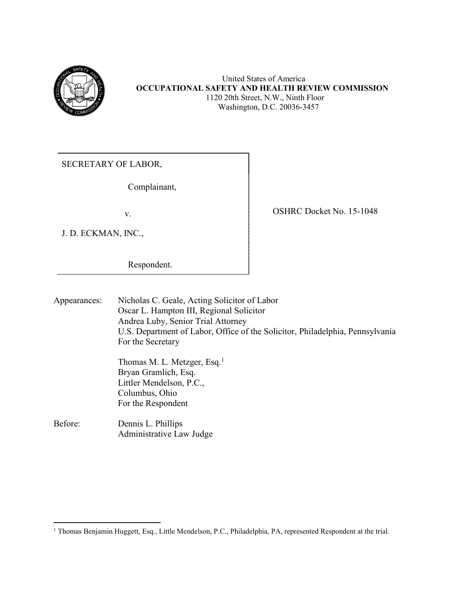

### United States of America **OCCUPATIONAL SAFETY AND HEALTH REVIEW COMMISSION** 1120 20th Street, N.W., Ninth Floor Washington, D.C. 20036-3457

SECRETARY OF LABOR,

Complainant,

J. D. ECKMAN, INC.,

 $\overline{a}$ 

v. SHRC Docket No. 15-1048

Respondent.

| Appearances: | Nicholas C. Geale, Acting Solicitor of Labor<br>Oscar L. Hampton III, Regional Solicitor<br>Andrea Luby, Senior Trial Attorney<br>U.S. Department of Labor, Office of the Solicitor, Philadelphia, Pennsylvania<br>For the Secretary |
|--------------|--------------------------------------------------------------------------------------------------------------------------------------------------------------------------------------------------------------------------------------|
|              | Thomas M. L. Metzger, Esq. <sup>1</sup><br>Bryan Gramlich, Esq.<br>Littler Mendelson, P.C.,<br>Columbus, Ohio<br>For the Respondent                                                                                                  |
| Before:      | Dennis L. Phillips<br>Administrative Law Judge                                                                                                                                                                                       |

<sup>&</sup>lt;sup>1</sup> Thomas Benjamin Huggett, Esq., Little Mendelson, P.C., Philadelphia, PA, represented Respondent at the trial.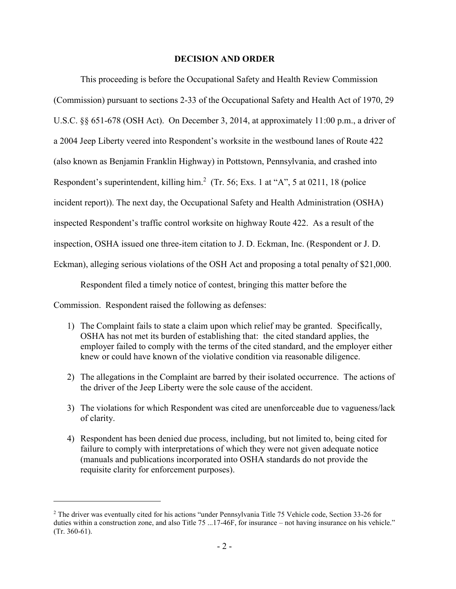#### **DECISION AND ORDER**

This proceeding is before the Occupational Safety and Health Review Commission (Commission) pursuant to sections 2-33 of the Occupational Safety and Health Act of 1970, 29 U.S.C. §§ 651-678 (OSH Act). On December 3, 2014, at approximately 11:00 p.m., a driver of a 2004 Jeep Liberty veered into Respondent's worksite in the westbound lanes of Route 422 (also known as Benjamin Franklin Highway) in Pottstown, Pennsylvania, and crashed into Respondent's superintendent, killing him. $^2$  (Tr. 56; Exs. 1 at "A", 5 at 0211, 18 (police incident report)). The next day, the Occupational Safety and Health Administration (OSHA) inspected Respondent's traffic control worksite on highway Route 422. As a result of the inspection, OSHA issued one three-item citation to J. D. Eckman, Inc. (Respondent or J. D. Eckman), alleging serious violations of the OSH Act and proposing a total penalty of \$21,000.

Respondent filed a timely notice of contest, bringing this matter before the

Commission. Respondent raised the following as defenses:

- 1) The Complaint fails to state a claim upon which relief may be granted. Specifically, OSHA has not met its burden of establishing that: the cited standard applies, the employer failed to comply with the terms of the cited standard, and the employer either knew or could have known of the violative condition via reasonable diligence.
- 2) The allegations in the Complaint are barred by their isolated occurrence. The actions of the driver of the Jeep Liberty were the sole cause of the accident.
- 3) The violations for which Respondent was cited are unenforceable due to vagueness/lack of clarity.
- 4) Respondent has been denied due process, including, but not limited to, being cited for failure to comply with interpretations of which they were not given adequate notice (manuals and publications incorporated into OSHA standards do not provide the requisite clarity for enforcement purposes).

<sup>2</sup> The driver was eventually cited for his actions "under Pennsylvania Title 75 Vehicle code, Section 33-26 for duties within a construction zone, and also Title 75 ...17-46F, for insurance – not having insurance on his vehicle." (Tr. 360-61).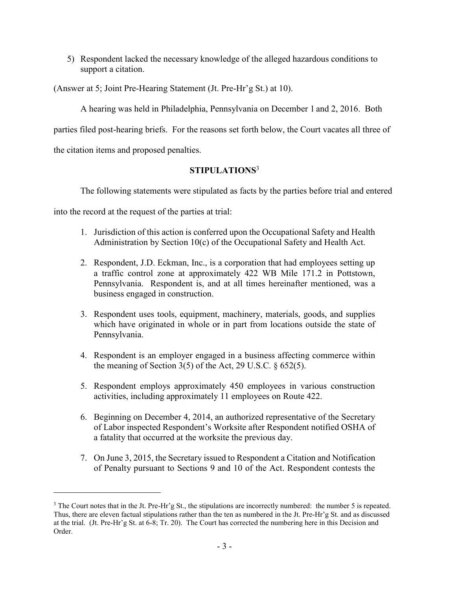5) Respondent lacked the necessary knowledge of the alleged hazardous conditions to support a citation.

(Answer at 5; Joint Pre-Hearing Statement (Jt. Pre-Hr'g St.) at 10).

A hearing was held in Philadelphia, Pennsylvania on December 1 and 2, 2016. Both

parties filed post-hearing briefs. For the reasons set forth below, the Court vacates all three of

the citation items and proposed penalties.

 $\overline{a}$ 

# **STIPULATIONS**<sup>3</sup>

The following statements were stipulated as facts by the parties before trial and entered

into the record at the request of the parties at trial:

- 1. Jurisdiction of this action is conferred upon the Occupational Safety and Health Administration by Section 10(c) of the Occupational Safety and Health Act.
- 2. Respondent, J.D. Eckman, Inc., is a corporation that had employees setting up a traffic control zone at approximately 422 WB Mile 171.2 in Pottstown, Pennsylvania. Respondent is, and at all times hereinafter mentioned, was a business engaged in construction.
- 3. Respondent uses tools, equipment, machinery, materials, goods, and supplies which have originated in whole or in part from locations outside the state of Pennsylvania.
- 4. Respondent is an employer engaged in a business affecting commerce within the meaning of Section  $3(5)$  of the Act, 29 U.S.C.  $\S 652(5)$ .
- 5. Respondent employs approximately 450 employees in various construction activities, including approximately 11 employees on Route 422.
- 6. Beginning on December 4, 2014, an authorized representative of the Secretary of Labor inspected Respondent's Worksite after Respondent notified OSHA of a fatality that occurred at the worksite the previous day.
- 7. On June 3, 2015, the Secretary issued to Respondent a Citation and Notification of Penalty pursuant to Sections 9 and 10 of the Act. Respondent contests the

 $3$  The Court notes that in the Jt. Pre-Hr'g St., the stipulations are incorrectly numbered: the number 5 is repeated. Thus, there are eleven factual stipulations rather than the ten as numbered in the Jt. Pre-Hr'g St. and as discussed at the trial. (Jt. Pre-Hr'g St. at 6-8; Tr. 20). The Court has corrected the numbering here in this Decision and Order.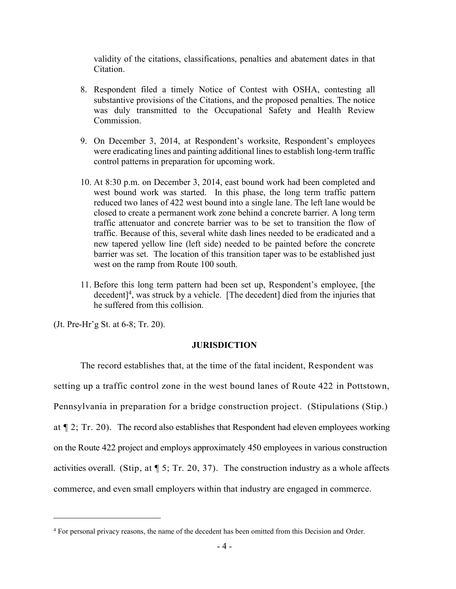validity of the citations, classifications, penalties and abatement dates in that Citation.

- 8. Respondent filed a timely Notice of Contest with OSHA, contesting all substantive provisions of the Citations, and the proposed penalties. The notice was duly transmitted to the Occupational Safety and Health Review Commission.
- 9. On December 3, 2014, at Respondent's worksite, Respondent's employees were eradicating lines and painting additional lines to establish long-term traffic control patterns in preparation for upcoming work.
- 10. At 8:30 p.m. on December 3, 2014, east bound work had been completed and west bound work was started. In this phase, the long term traffic pattern reduced two lanes of 422 west bound into a single lane. The left lane would be closed to create a permanent work zone behind a concrete barrier. A long term traffic attenuator and concrete barrier was to be set to transition the flow of traffic. Because of this, several white dash lines needed to be eradicated and a new tapered yellow line (left side) needed to be painted before the concrete barrier was set. The location of this transition taper was to be established just west on the ramp from Route 100 south.
- 11. Before this long term pattern had been set up, Respondent's employee, [the decedent]<sup>4</sup>, was struck by a vehicle. [The decedent] died from the injuries that he suffered from this collision.

(Jt. Pre-Hr'g St. at 6-8; Tr. 20).

 $\overline{a}$ 

#### **JURISDICTION**

The record establishes that, at the time of the fatal incident, Respondent was setting up a traffic control zone in the west bound lanes of Route 422 in Pottstown, Pennsylvania in preparation for a bridge construction project. (Stipulations (Stip.) at ¶ 2; Tr. 20). The record also establishes that Respondent had eleven employees working on the Route 422 project and employs approximately 450 employees in various construction activities overall. (Stip, at  $\lbrack 5;$  Tr. 20, 37). The construction industry as a whole affects commerce, and even small employers within that industry are engaged in commerce.

<sup>4</sup> For personal privacy reasons, the name of the decedent has been omitted from this Decision and Order.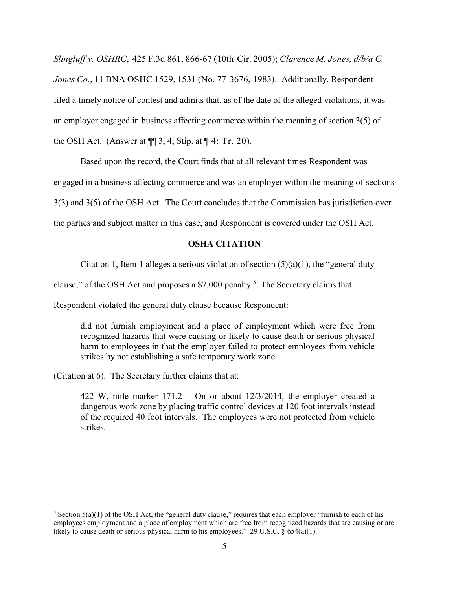*Slingluff v. OSHRC*, 425 F.3d 861, 866-67 (10th Cir. 2005); *Clarence M. Jones, d/b/a C. Jones Co.*, 11 BNA OSHC 1529, 1531 (No. 77-3676, 1983). Additionally, Respondent filed a timely notice of contest and admits that, as of the date of the alleged violations, it was an employer engaged in business affecting commerce within the meaning of section 3(5) of the OSH Act. (Answer at  $\P$  3, 4; Stip. at  $\P$  4; Tr. 20).

Based upon the record, the Court finds that at all relevant times Respondent was

engaged in a business affecting commerce and was an employer within the meaning of sections

3(3) and 3(5) of the OSH Act. The Court concludes that the Commission has jurisdiction over

the parties and subject matter in this case, and Respondent is covered under the OSH Act.

#### **OSHA CITATION**

Citation 1, Item 1 alleges a serious violation of section  $(5)(a)(1)$ , the "general duty

clause," of the OSH Act and proposes a \$7,000 penalty.<sup>5</sup> The Secretary claims that

Respondent violated the general duty clause because Respondent:

did not furnish employment and a place of employment which were free from recognized hazards that were causing or likely to cause death or serious physical harm to employees in that the employer failed to protect employees from vehicle strikes by not establishing a safe temporary work zone.

(Citation at 6). The Secretary further claims that at:

 $\overline{a}$ 

422 W, mile marker 171.2 – On or about 12/3/2014, the employer created a dangerous work zone by placing traffic control devices at 120 foot intervals instead of the required 40 foot intervals. The employees were not protected from vehicle strikes.

<sup>&</sup>lt;sup>5</sup> Section  $5(a)(1)$  of the OSH Act, the "general duty clause," requires that each employer "furnish to each of his employees employment and a place of employment which are free from recognized hazards that are causing or are likely to cause death or serious physical harm to his employees." 29 U.S.C. § 654(a)(1).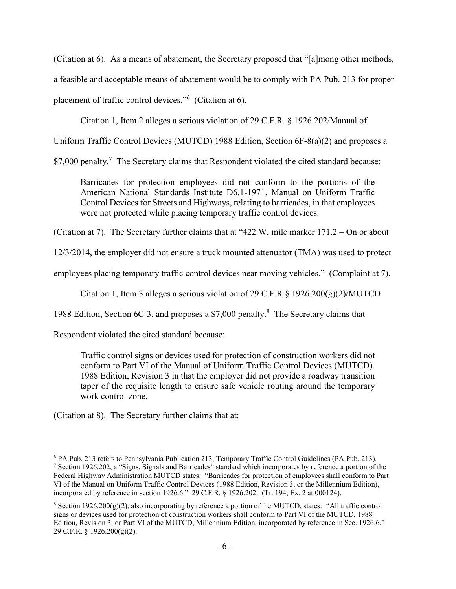(Citation at 6). As a means of abatement, the Secretary proposed that "[a]mong other methods,

a feasible and acceptable means of abatement would be to comply with PA Pub. 213 for proper

placement of traffic control devices."<sup>6</sup> (Citation at 6).

Citation 1, Item 2 alleges a serious violation of 29 C.F.R. § 1926.202/Manual of

Uniform Traffic Control Devices (MUTCD) 1988 Edition, Section 6F-8(a)(2) and proposes a

\$7,000 penalty.<sup>7</sup> The Secretary claims that Respondent violated the cited standard because:

Barricades for protection employees did not conform to the portions of the American National Standards Institute D6.1-1971, Manual on Uniform Traffic Control Devices for Streets and Highways, relating to barricades, in that employees were not protected while placing temporary traffic control devices.

(Citation at 7). The Secretary further claims that at "422 W, mile marker 171.2 – On or about

12/3/2014, the employer did not ensure a truck mounted attenuator (TMA) was used to protect

employees placing temporary traffic control devices near moving vehicles." (Complaint at 7).

Citation 1, Item 3 alleges a serious violation of 29 C.F.R  $\S$  1926.200(g)(2)/MUTCD

1988 Edition, Section 6C-3, and proposes a \$7,000 penalty.<sup>8</sup> The Secretary claims that

Respondent violated the cited standard because:

Traffic control signs or devices used for protection of construction workers did not conform to Part VI of the Manual of Uniform Traffic Control Devices (MUTCD), 1988 Edition, Revision 3 in that the employer did not provide a roadway transition taper of the requisite length to ensure safe vehicle routing around the temporary work control zone.

(Citation at 8). The Secretary further claims that at:

 $\overline{a}$ <sup>6</sup> PA Pub. 213 refers to Pennsylvania Publication 213, Temporary Traffic Control Guidelines (PA Pub. 213). <sup>7</sup> Section 1926.202, a "Signs, Signals and Barricades" standard which incorporates by reference a portion of the Federal Highway Administration MUTCD states: "Barricades for protection of employees shall conform to Part VI of the Manual on Uniform Traffic Control Devices (1988 Edition, Revision 3, or the Millennium Edition), incorporated by reference in section 1926.6." 29 C.F.R. § 1926.202. (Tr. 194; Ex. 2 at 000124).

<sup>&</sup>lt;sup>8</sup> Section 1926.200(g)(2), also incorporating by reference a portion of the MUTCD, states: "All traffic control signs or devices used for protection of construction workers shall conform to Part VI of the MUTCD, 1988 Edition, Revision 3, or Part VI of the MUTCD, Millennium Edition, incorporated by reference in Sec. 1926.6." 29 C.F.R. § 1926.200(g)(2).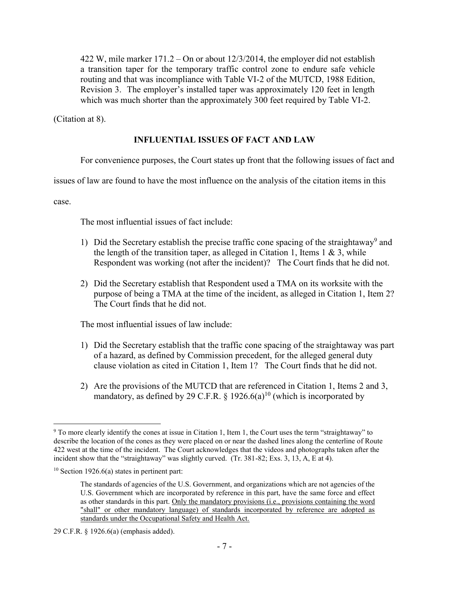422 W, mile marker 171.2 – On or about 12/3/2014, the employer did not establish a transition taper for the temporary traffic control zone to endure safe vehicle routing and that was incompliance with Table VI-2 of the MUTCD, 1988 Edition, Revision 3. The employer's installed taper was approximately 120 feet in length which was much shorter than the approximately 300 feet required by Table VI-2.

(Citation at 8).

## **INFLUENTIAL ISSUES OF FACT AND LAW**

For convenience purposes, the Court states up front that the following issues of fact and

issues of law are found to have the most influence on the analysis of the citation items in this

case.

The most influential issues of fact include:

- 1) Did the Secretary establish the precise traffic cone spacing of the straightaway<sup>9</sup> and the length of the transition taper, as alleged in Citation 1, Items  $1 \& 3$ , while Respondent was working (not after the incident)? The Court finds that he did not.
- 2) Did the Secretary establish that Respondent used a TMA on its worksite with the purpose of being a TMA at the time of the incident, as alleged in Citation 1, Item 2? The Court finds that he did not.

The most influential issues of law include:

- 1) Did the Secretary establish that the traffic cone spacing of the straightaway was part of a hazard, as defined by Commission precedent, for the alleged general duty clause violation as cited in Citation 1, Item 1? The Court finds that he did not.
- 2) Are the provisions of the MUTCD that are referenced in Citation 1, Items 2 and 3, mandatory, as defined by 29 C.F.R. § 1926.6(a)<sup>10</sup> (which is incorporated by

 $\overline{a}$ <sup>9</sup> To more clearly identify the cones at issue in Citation 1, Item 1, the Court uses the term "straightaway" to describe the location of the cones as they were placed on or near the dashed lines along the centerline of Route 422 west at the time of the incident. The Court acknowledges that the videos and photographs taken after the incident show that the "straightaway" was slightly curved. (Tr. 381-82; Exs. 3, 13, A, E at 4).

 $10$  Section 1926.6(a) states in pertinent part:

The standards of agencies of the U.S. Government, and organizations which are not agencies of the U.S. Government which are incorporated by reference in this part, have the same force and effect as other standards in this part. Only the mandatory provisions (i.e., provisions containing the word "shall" or other mandatory language) of standards incorporated by reference are adopted as standards under the Occupational Safety and Health Act.

<sup>29</sup> C.F.R. § 1926.6(a) (emphasis added).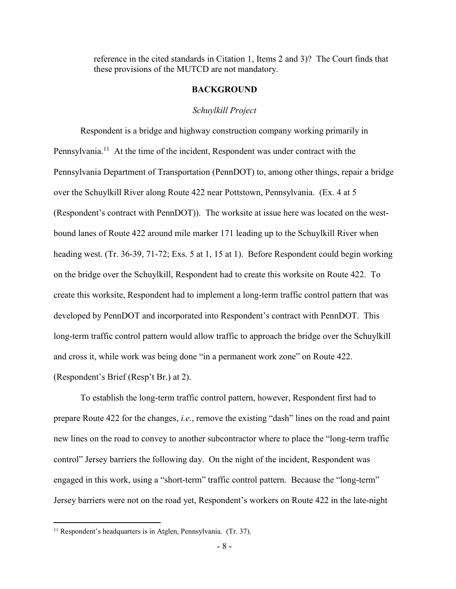reference in the cited standards in Citation 1, Items 2 and 3)? The Court finds that these provisions of the MUTCD are not mandatory.

#### **BACKGROUND**

#### *Schuylkill Project*

Respondent is a bridge and highway construction company working primarily in Pennsylvania.<sup>11</sup> At the time of the incident, Respondent was under contract with the Pennsylvania Department of Transportation (PennDOT) to, among other things, repair a bridge over the Schuylkill River along Route 422 near Pottstown, Pennsylvania. (Ex. 4 at 5 (Respondent's contract with PennDOT)). The worksite at issue here was located on the westbound lanes of Route 422 around mile marker 171 leading up to the Schuylkill River when heading west. (Tr. 36-39, 71-72; Exs. 5 at 1, 15 at 1). Before Respondent could begin working on the bridge over the Schuylkill, Respondent had to create this worksite on Route 422. To create this worksite, Respondent had to implement a long-term traffic control pattern that was developed by PennDOT and incorporated into Respondent's contract with PennDOT. This long-term traffic control pattern would allow traffic to approach the bridge over the Schuylkill and cross it, while work was being done "in a permanent work zone" on Route 422. (Respondent's Brief (Resp't Br.) at 2).

To establish the long-term traffic control pattern, however, Respondent first had to prepare Route 422 for the changes, *i.e.*, remove the existing "dash" lines on the road and paint new lines on the road to convey to another subcontractor where to place the "long-term traffic control" Jersey barriers the following day. On the night of the incident, Respondent was engaged in this work, using a "short-term" traffic control pattern. Because the "long-term" Jersey barriers were not on the road yet, Respondent's workers on Route 422 in the late-night

 $11$  Respondent's headquarters is in Atglen, Pennsylvania. (Tr. 37).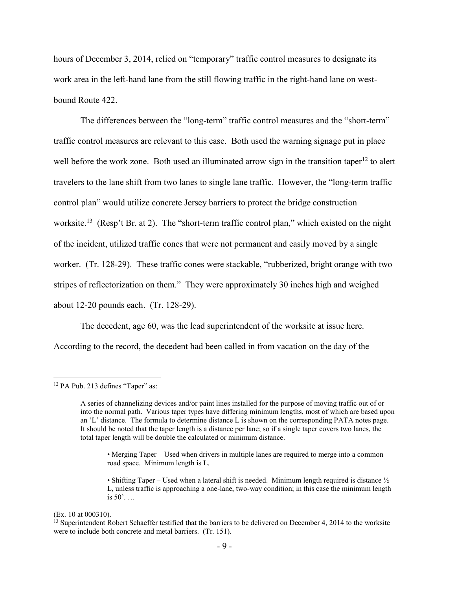hours of December 3, 2014, relied on "temporary" traffic control measures to designate its work area in the left-hand lane from the still flowing traffic in the right-hand lane on westbound Route 422.

The differences between the "long-term" traffic control measures and the "short-term" traffic control measures are relevant to this case. Both used the warning signage put in place well before the work zone. Both used an illuminated arrow sign in the transition taper<sup>12</sup> to alert travelers to the lane shift from two lanes to single lane traffic. However, the "long-term traffic control plan" would utilize concrete Jersey barriers to protect the bridge construction worksite.<sup>13</sup> (Resp't Br. at 2). The "short-term traffic control plan," which existed on the night of the incident, utilized traffic cones that were not permanent and easily moved by a single worker. (Tr. 128-29). These traffic cones were stackable, "rubberized, bright orange with two stripes of reflectorization on them." They were approximately 30 inches high and weighed about 12-20 pounds each. (Tr. 128-29).

The decedent, age 60, was the lead superintendent of the worksite at issue here. According to the record, the decedent had been called in from vacation on the day of the

<sup>&</sup>lt;sup>12</sup> PA Pub. 213 defines "Taper" as:

A series of channelizing devices and/or paint lines installed for the purpose of moving traffic out of or into the normal path. Various taper types have differing minimum lengths, most of which are based upon an 'L' distance. The formula to determine distance L is shown on the corresponding PATA notes page. It should be noted that the taper length is a distance per lane; so if a single taper covers two lanes, the total taper length will be double the calculated or minimum distance.

<sup>•</sup> Merging Taper – Used when drivers in multiple lanes are required to merge into a common road space. Minimum length is L.

<sup>•</sup> Shifting Taper – Used when a lateral shift is needed. Minimum length required is distance  $\frac{1}{2}$ L, unless traffic is approaching a one-lane, two-way condition; in this case the minimum length is 50'. …

<sup>(</sup>Ex. 10 at 000310).

 $13$  Superintendent Robert Schaeffer testified that the barriers to be delivered on December 4, 2014 to the worksite were to include both concrete and metal barriers. (Tr. 151).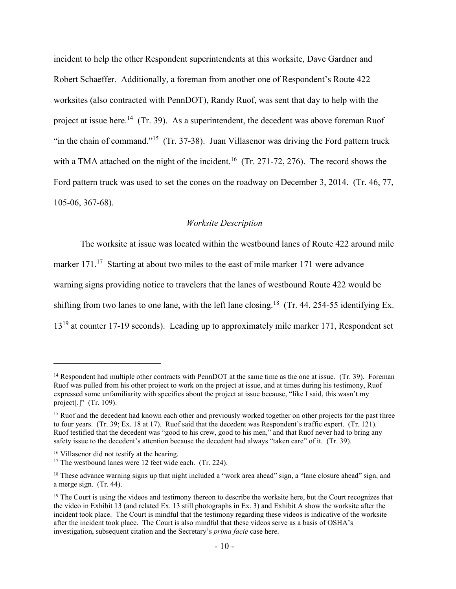incident to help the other Respondent superintendents at this worksite, Dave Gardner and Robert Schaeffer. Additionally, a foreman from another one of Respondent's Route 422 worksites (also contracted with PennDOT), Randy Ruof, was sent that day to help with the project at issue here.<sup>14</sup> (Tr. 39). As a superintendent, the decedent was above foreman Ruof "in the chain of command."<sup>15</sup> (Tr. 37-38). Juan Villasenor was driving the Ford pattern truck with a TMA attached on the night of the incident.<sup>16</sup> (Tr. 271-72, 276). The record shows the Ford pattern truck was used to set the cones on the roadway on December 3, 2014. (Tr. 46, 77, 105-06, 367-68).

### *Worksite Description*

The worksite at issue was located within the westbound lanes of Route 422 around mile marker 171.<sup>17</sup> Starting at about two miles to the east of mile marker 171 were advance warning signs providing notice to travelers that the lanes of westbound Route 422 would be shifting from two lanes to one lane, with the left lane closing.<sup>18</sup> (Tr. 44, 254-55 identifying Ex. 13<sup>19</sup> at counter 17-19 seconds). Leading up to approximately mile marker 171, Respondent set

<sup>&</sup>lt;sup>14</sup> Respondent had multiple other contracts with PennDOT at the same time as the one at issue. (Tr. 39). Foreman Ruof was pulled from his other project to work on the project at issue, and at times during his testimony, Ruof expressed some unfamiliarity with specifics about the project at issue because, "like I said, this wasn't my project[.]" (Tr. 109).

<sup>&</sup>lt;sup>15</sup> Ruof and the decedent had known each other and previously worked together on other projects for the past three to four years. (Tr. 39; Ex. 18 at 17). Ruof said that the decedent was Respondent's traffic expert. (Tr. 121). Ruof testified that the decedent was "good to his crew, good to his men," and that Ruof never had to bring any safety issue to the decedent's attention because the decedent had always "taken care" of it. (Tr. 39).

<sup>&</sup>lt;sup>16</sup> Villasenor did not testify at the hearing.

<sup>&</sup>lt;sup>17</sup> The westbound lanes were 12 feet wide each. (Tr. 224).

 $18$  These advance warning signs up that night included a "work area ahead" sign, a "lane closure ahead" sign, and a merge sign. (Tr. 44).

 $19$  The Court is using the videos and testimony thereon to describe the worksite here, but the Court recognizes that the video in Exhibit 13 (and related Ex. 13 still photographs in Ex. 3) and Exhibit A show the worksite after the incident took place. The Court is mindful that the testimony regarding these videos is indicative of the worksite after the incident took place. The Court is also mindful that these videos serve as a basis of OSHA's investigation, subsequent citation and the Secretary's *prima facie* case here.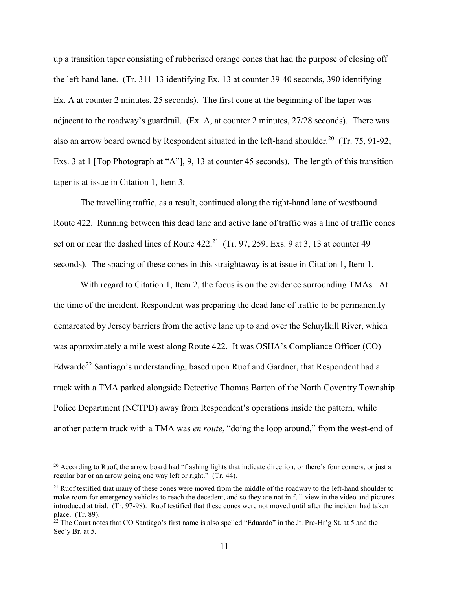up a transition taper consisting of rubberized orange cones that had the purpose of closing off the left-hand lane. (Tr. 311-13 identifying Ex. 13 at counter 39-40 seconds, 390 identifying Ex. A at counter 2 minutes, 25 seconds). The first cone at the beginning of the taper was adjacent to the roadway's guardrail. (Ex. A, at counter 2 minutes, 27/28 seconds). There was also an arrow board owned by Respondent situated in the left-hand shoulder.<sup>20</sup> (Tr. 75, 91-92; Exs. 3 at 1 [Top Photograph at "A"], 9, 13 at counter 45 seconds). The length of this transition taper is at issue in Citation 1, Item 3.

The travelling traffic, as a result, continued along the right-hand lane of westbound Route 422. Running between this dead lane and active lane of traffic was a line of traffic cones set on or near the dashed lines of Route  $422.^{21}$  (Tr. 97, 259; Exs. 9 at 3, 13 at counter 49 seconds). The spacing of these cones in this straightaway is at issue in Citation 1, Item 1.

With regard to Citation 1, Item 2, the focus is on the evidence surrounding TMAs. At the time of the incident, Respondent was preparing the dead lane of traffic to be permanently demarcated by Jersey barriers from the active lane up to and over the Schuylkill River, which was approximately a mile west along Route 422. It was OSHA's Compliance Officer (CO) Edwardo<sup>22</sup> Santiago's understanding, based upon Ruof and Gardner, that Respondent had a truck with a TMA parked alongside Detective Thomas Barton of the North Coventry Township Police Department (NCTPD) away from Respondent's operations inside the pattern, while another pattern truck with a TMA was *en route*, "doing the loop around," from the west-end of

<sup>&</sup>lt;sup>20</sup> According to Ruof, the arrow board had "flashing lights that indicate direction, or there's four corners, or just a regular bar or an arrow going one way left or right." (Tr. 44).

<sup>&</sup>lt;sup>21</sup> Ruof testified that many of these cones were moved from the middle of the roadway to the left-hand shoulder to make room for emergency vehicles to reach the decedent, and so they are not in full view in the video and pictures introduced at trial. (Tr. 97-98). Ruof testified that these cones were not moved until after the incident had taken place. (Tr. 89).

<sup>&</sup>lt;sup>22</sup> The Court notes that CO Santiago's first name is also spelled "Eduardo" in the Jt. Pre-Hr'g St. at 5 and the Sec'y Br. at 5.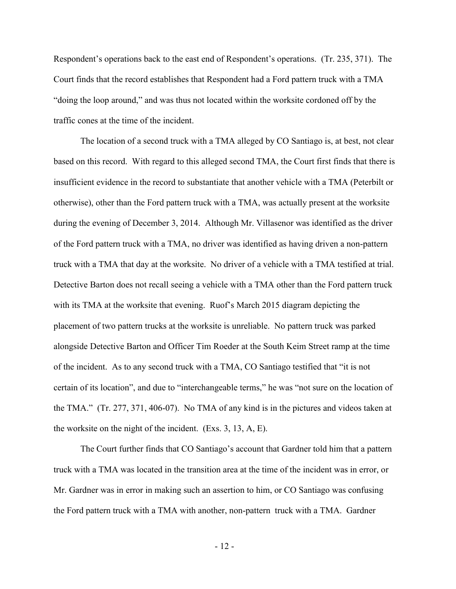Respondent's operations back to the east end of Respondent's operations. (Tr. 235, 371). The Court finds that the record establishes that Respondent had a Ford pattern truck with a TMA "doing the loop around," and was thus not located within the worksite cordoned off by the traffic cones at the time of the incident.

The location of a second truck with a TMA alleged by CO Santiago is, at best, not clear based on this record. With regard to this alleged second TMA, the Court first finds that there is insufficient evidence in the record to substantiate that another vehicle with a TMA (Peterbilt or otherwise), other than the Ford pattern truck with a TMA, was actually present at the worksite during the evening of December 3, 2014. Although Mr. Villasenor was identified as the driver of the Ford pattern truck with a TMA, no driver was identified as having driven a non-pattern truck with a TMA that day at the worksite. No driver of a vehicle with a TMA testified at trial. Detective Barton does not recall seeing a vehicle with a TMA other than the Ford pattern truck with its TMA at the worksite that evening. Ruof's March 2015 diagram depicting the placement of two pattern trucks at the worksite is unreliable. No pattern truck was parked alongside Detective Barton and Officer Tim Roeder at the South Keim Street ramp at the time of the incident. As to any second truck with a TMA, CO Santiago testified that "it is not certain of its location", and due to "interchangeable terms," he was "not sure on the location of the TMA." (Tr. 277, 371, 406-07). No TMA of any kind is in the pictures and videos taken at the worksite on the night of the incident. (Exs. 3, 13, A, E).

The Court further finds that CO Santiago's account that Gardner told him that a pattern truck with a TMA was located in the transition area at the time of the incident was in error, or Mr. Gardner was in error in making such an assertion to him, or CO Santiago was confusing the Ford pattern truck with a TMA with another, non-pattern truck with a TMA. Gardner

- 12 -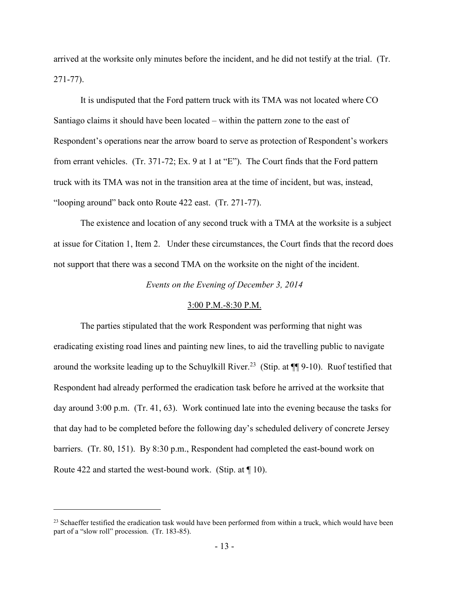arrived at the worksite only minutes before the incident, and he did not testify at the trial. (Tr. 271-77).

It is undisputed that the Ford pattern truck with its TMA was not located where CO Santiago claims it should have been located – within the pattern zone to the east of Respondent's operations near the arrow board to serve as protection of Respondent's workers from errant vehicles. (Tr. 371-72; Ex. 9 at 1 at "E"). The Court finds that the Ford pattern truck with its TMA was not in the transition area at the time of incident, but was, instead, "looping around" back onto Route 422 east. (Tr. 271-77).

The existence and location of any second truck with a TMA at the worksite is a subject at issue for Citation 1, Item 2. Under these circumstances, the Court finds that the record does not support that there was a second TMA on the worksite on the night of the incident.

*Events on the Evening of December 3, 2014*

#### 3:00 P.M.-8:30 P.M.

The parties stipulated that the work Respondent was performing that night was eradicating existing road lines and painting new lines, to aid the travelling public to navigate around the worksite leading up to the Schuylkill River.<sup>23</sup> (Stip. at  $\P$ ] 9-10). Ruof testified that Respondent had already performed the eradication task before he arrived at the worksite that day around 3:00 p.m. (Tr. 41, 63). Work continued late into the evening because the tasks for that day had to be completed before the following day's scheduled delivery of concrete Jersey barriers. (Tr. 80, 151). By 8:30 p.m., Respondent had completed the east-bound work on Route 422 and started the west-bound work. (Stip. at ¶ 10).

<sup>&</sup>lt;sup>23</sup> Schaeffer testified the eradication task would have been performed from within a truck, which would have been part of a "slow roll" procession. (Tr. 183-85).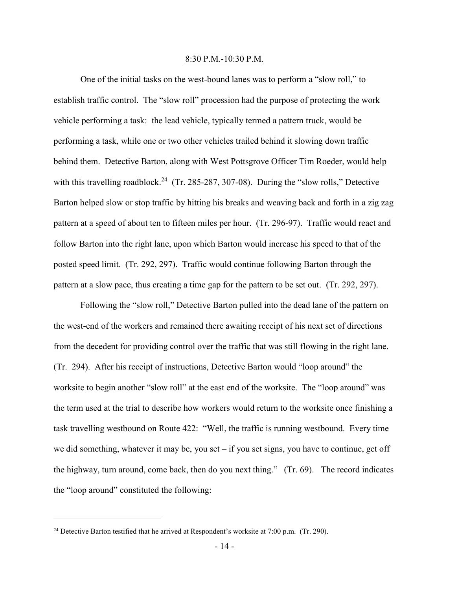#### 8:30 P.M.-10:30 P.M.

One of the initial tasks on the west-bound lanes was to perform a "slow roll," to establish traffic control. The "slow roll" procession had the purpose of protecting the work vehicle performing a task: the lead vehicle, typically termed a pattern truck, would be performing a task, while one or two other vehicles trailed behind it slowing down traffic behind them. Detective Barton, along with West Pottsgrove Officer Tim Roeder, would help with this travelling roadblock.<sup>24</sup> (Tr. 285-287, 307-08). During the "slow rolls," Detective Barton helped slow or stop traffic by hitting his breaks and weaving back and forth in a zig zag pattern at a speed of about ten to fifteen miles per hour. (Tr. 296-97). Traffic would react and follow Barton into the right lane, upon which Barton would increase his speed to that of the posted speed limit. (Tr. 292, 297). Traffic would continue following Barton through the pattern at a slow pace, thus creating a time gap for the pattern to be set out. (Tr. 292, 297).

Following the "slow roll," Detective Barton pulled into the dead lane of the pattern on the west-end of the workers and remained there awaiting receipt of his next set of directions from the decedent for providing control over the traffic that was still flowing in the right lane. (Tr. 294). After his receipt of instructions, Detective Barton would "loop around" the worksite to begin another "slow roll" at the east end of the worksite. The "loop around" was the term used at the trial to describe how workers would return to the worksite once finishing a task travelling westbound on Route 422: "Well, the traffic is running westbound. Every time we did something, whatever it may be, you set  $-$  if you set signs, you have to continue, get off the highway, turn around, come back, then do you next thing." (Tr. 69). The record indicates the "loop around" constituted the following:

<sup>&</sup>lt;sup>24</sup> Detective Barton testified that he arrived at Respondent's worksite at 7:00 p.m. (Tr. 290).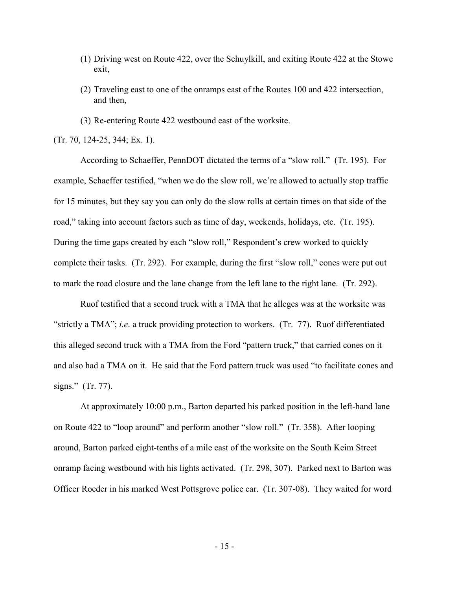- (1) Driving west on Route 422, over the Schuylkill, and exiting Route 422 at the Stowe exit,
- (2) Traveling east to one of the onramps east of the Routes 100 and 422 intersection, and then,
- (3) Re-entering Route 422 westbound east of the worksite.

(Tr. 70, 124-25, 344; Ex. 1).

According to Schaeffer, PennDOT dictated the terms of a "slow roll." (Tr. 195). For example, Schaeffer testified, "when we do the slow roll, we're allowed to actually stop traffic for 15 minutes, but they say you can only do the slow rolls at certain times on that side of the road," taking into account factors such as time of day, weekends, holidays, etc. (Tr. 195). During the time gaps created by each "slow roll," Respondent's crew worked to quickly complete their tasks. (Tr. 292). For example, during the first "slow roll," cones were put out to mark the road closure and the lane change from the left lane to the right lane. (Tr. 292).

Ruof testified that a second truck with a TMA that he alleges was at the worksite was "strictly a TMA"; *i.e*. a truck providing protection to workers. (Tr. 77). Ruof differentiated this alleged second truck with a TMA from the Ford "pattern truck," that carried cones on it and also had a TMA on it. He said that the Ford pattern truck was used "to facilitate cones and signs." (Tr. 77).

At approximately 10:00 p.m., Barton departed his parked position in the left-hand lane on Route 422 to "loop around" and perform another "slow roll." (Tr. 358). After looping around, Barton parked eight-tenths of a mile east of the worksite on the South Keim Street onramp facing westbound with his lights activated. (Tr. 298, 307). Parked next to Barton was Officer Roeder in his marked West Pottsgrove police car. (Tr. 307-08). They waited for word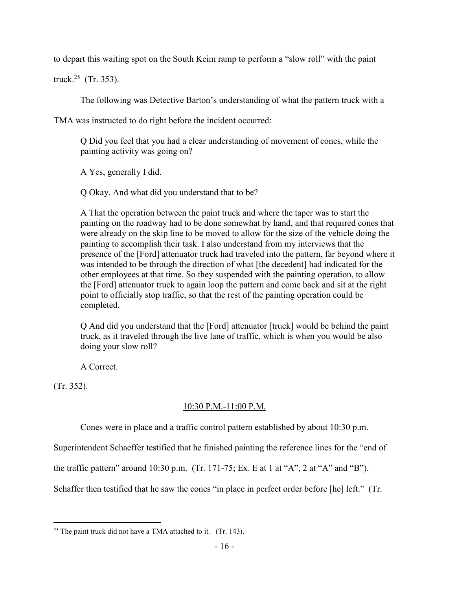to depart this waiting spot on the South Keim ramp to perform a "slow roll" with the paint

truck.<sup>25</sup> (Tr. 353).

The following was Detective Barton's understanding of what the pattern truck with a

TMA was instructed to do right before the incident occurred:

Q Did you feel that you had a clear understanding of movement of cones, while the painting activity was going on?

A Yes, generally I did.

Q Okay. And what did you understand that to be?

A That the operation between the paint truck and where the taper was to start the painting on the roadway had to be done somewhat by hand, and that required cones that were already on the skip line to be moved to allow for the size of the vehicle doing the painting to accomplish their task. I also understand from my interviews that the presence of the [Ford] attenuator truck had traveled into the pattern, far beyond where it was intended to be through the direction of what [the decedent] had indicated for the other employees at that time. So they suspended with the painting operation, to allow the [Ford] attenuator truck to again loop the pattern and come back and sit at the right point to officially stop traffic, so that the rest of the painting operation could be completed.

Q And did you understand that the [Ford] attenuator [truck] would be behind the paint truck, as it traveled through the live lane of traffic, which is when you would be also doing your slow roll?

A Correct.

(Tr. 352).

## 10:30 P.M.-11:00 P.M.

Cones were in place and a traffic control pattern established by about 10:30 p.m.

Superintendent Schaeffer testified that he finished painting the reference lines for the "end of

the traffic pattern" around 10:30 p.m. (Tr. 171-75; Ex. E at 1 at "A", 2 at "A" and "B").

Schaffer then testified that he saw the cones "in place in perfect order before [he] left." (Tr.

 $\overline{a}$ <sup>25</sup> The paint truck did not have a TMA attached to it. (Tr. 143).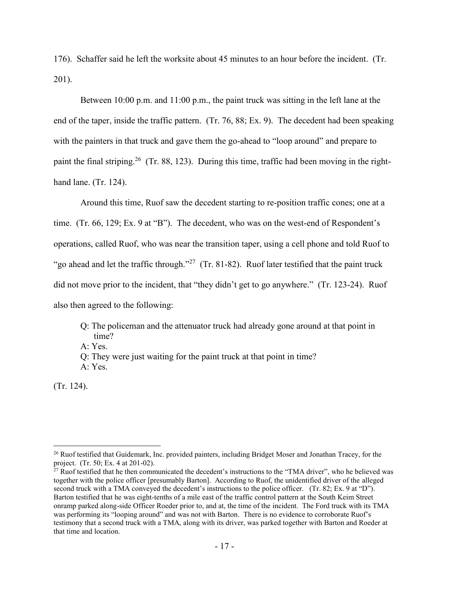176). Schaffer said he left the worksite about 45 minutes to an hour before the incident. (Tr. 201).

Between 10:00 p.m. and 11:00 p.m., the paint truck was sitting in the left lane at the end of the taper, inside the traffic pattern. (Tr. 76, 88; Ex. 9). The decedent had been speaking with the painters in that truck and gave them the go-ahead to "loop around" and prepare to paint the final striping.<sup>26</sup> (Tr. 88, 123). During this time, traffic had been moving in the righthand lane. (Tr. 124).

Around this time, Ruof saw the decedent starting to re-position traffic cones; one at a time. (Tr. 66, 129; Ex. 9 at "B"). The decedent, who was on the west-end of Respondent's operations, called Ruof, who was near the transition taper, using a cell phone and told Ruof to "go ahead and let the traffic through."<sup>27</sup> (Tr. 81-82). Ruof later testified that the paint truck did not move prior to the incident, that "they didn't get to go anywhere." (Tr. 123-24). Ruof also then agreed to the following:

Q: The policeman and the attenuator truck had already gone around at that point in time?

A: Yes.

Q: They were just waiting for the paint truck at that point in time? A: Yes.

(Tr. 124).

<sup>&</sup>lt;sup>26</sup> Ruof testified that Guidemark, Inc. provided painters, including Bridget Moser and Jonathan Tracey, for the project. (Tr. 50; Ex. 4 at 201-02).

<sup>&</sup>lt;sup>27</sup> Ruof testified that he then communicated the decedent's instructions to the "TMA driver", who he believed was together with the police officer [presumably Barton]. According to Ruof, the unidentified driver of the alleged second truck with a TMA conveyed the decedent's instructions to the police officer. (Tr. 82; Ex. 9 at "D"). Barton testified that he was eight-tenths of a mile east of the traffic control pattern at the South Keim Street onramp parked along-side Officer Roeder prior to, and at, the time of the incident. The Ford truck with its TMA was performing its "looping around" and was not with Barton. There is no evidence to corroborate Ruof's testimony that a second truck with a TMA, along with its driver, was parked together with Barton and Roeder at that time and location.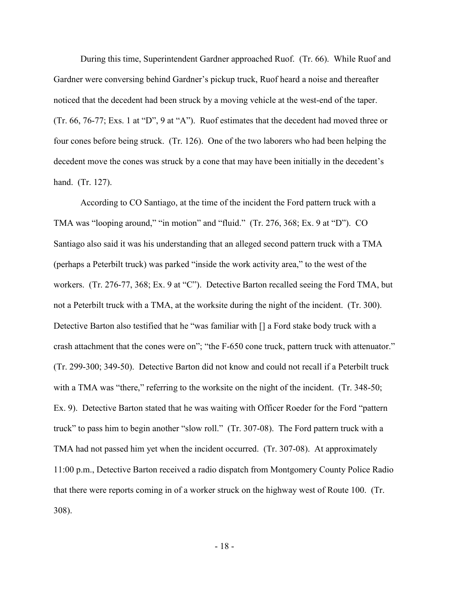During this time, Superintendent Gardner approached Ruof. (Tr. 66). While Ruof and Gardner were conversing behind Gardner's pickup truck, Ruof heard a noise and thereafter noticed that the decedent had been struck by a moving vehicle at the west-end of the taper. (Tr. 66, 76-77; Exs. 1 at "D", 9 at "A"). Ruof estimates that the decedent had moved three or four cones before being struck. (Tr. 126). One of the two laborers who had been helping the decedent move the cones was struck by a cone that may have been initially in the decedent's hand. (Tr. 127).

According to CO Santiago, at the time of the incident the Ford pattern truck with a TMA was "looping around," "in motion" and "fluid." (Tr. 276, 368; Ex. 9 at "D"). CO Santiago also said it was his understanding that an alleged second pattern truck with a TMA (perhaps a Peterbilt truck) was parked "inside the work activity area," to the west of the workers. (Tr. 276-77, 368; Ex. 9 at "C"). Detective Barton recalled seeing the Ford TMA, but not a Peterbilt truck with a TMA, at the worksite during the night of the incident. (Tr. 300). Detective Barton also testified that he "was familiar with [] a Ford stake body truck with a crash attachment that the cones were on"; "the F-650 cone truck, pattern truck with attenuator." (Tr. 299-300; 349-50). Detective Barton did not know and could not recall if a Peterbilt truck with a TMA was "there," referring to the worksite on the night of the incident. (Tr. 348-50; Ex. 9). Detective Barton stated that he was waiting with Officer Roeder for the Ford "pattern truck" to pass him to begin another "slow roll." (Tr. 307-08). The Ford pattern truck with a TMA had not passed him yet when the incident occurred. (Tr. 307-08). At approximately 11:00 p.m., Detective Barton received a radio dispatch from Montgomery County Police Radio that there were reports coming in of a worker struck on the highway west of Route 100. (Tr. 308).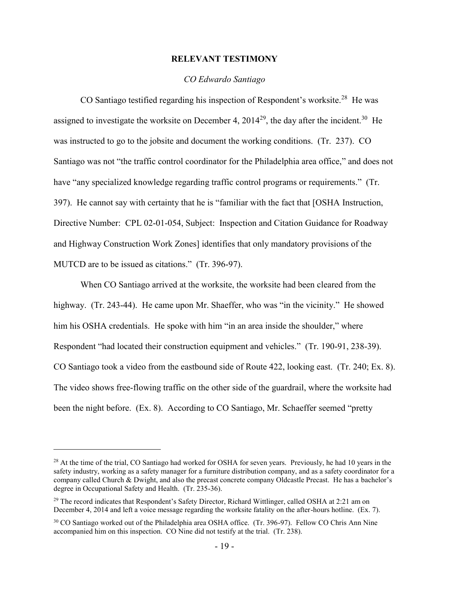#### **RELEVANT TESTIMONY**

#### *CO Edwardo Santiago*

CO Santiago testified regarding his inspection of Respondent's worksite.<sup>28</sup> He was assigned to investigate the worksite on December 4, 2014<sup>29</sup>, the day after the incident.<sup>30</sup> He was instructed to go to the jobsite and document the working conditions. (Tr. 237). CO Santiago was not "the traffic control coordinator for the Philadelphia area office," and does not have "any specialized knowledge regarding traffic control programs or requirements." (Tr. 397). He cannot say with certainty that he is "familiar with the fact that [OSHA Instruction, Directive Number: CPL 02-01-054, Subject: Inspection and Citation Guidance for Roadway and Highway Construction Work Zones] identifies that only mandatory provisions of the MUTCD are to be issued as citations." (Tr. 396-97).

When CO Santiago arrived at the worksite, the worksite had been cleared from the highway. (Tr. 243-44). He came upon Mr. Shaeffer, who was "in the vicinity." He showed him his OSHA credentials. He spoke with him "in an area inside the shoulder," where Respondent "had located their construction equipment and vehicles." (Tr. 190-91, 238-39). CO Santiago took a video from the eastbound side of Route 422, looking east. (Tr. 240; Ex. 8). The video shows free-flowing traffic on the other side of the guardrail, where the worksite had been the night before. (Ex. 8). According to CO Santiago, Mr. Schaeffer seemed "pretty

<sup>&</sup>lt;sup>28</sup> At the time of the trial, CO Santiago had worked for OSHA for seven years. Previously, he had 10 years in the safety industry, working as a safety manager for a furniture distribution company, and as a safety coordinator for a company called Church & Dwight, and also the precast concrete company Oldcastle Precast. He has a bachelor's degree in Occupational Safety and Health. (Tr. 235-36).

 $^{29}$  The record indicates that Respondent's Safety Director, Richard Wittlinger, called OSHA at 2:21 am on December 4, 2014 and left a voice message regarding the worksite fatality on the after-hours hotline. (Ex. 7).

<sup>30</sup> CO Santiago worked out of the Philadelphia area OSHA office. (Tr. 396-97). Fellow CO Chris Ann Nine accompanied him on this inspection. CO Nine did not testify at the trial. (Tr. 238).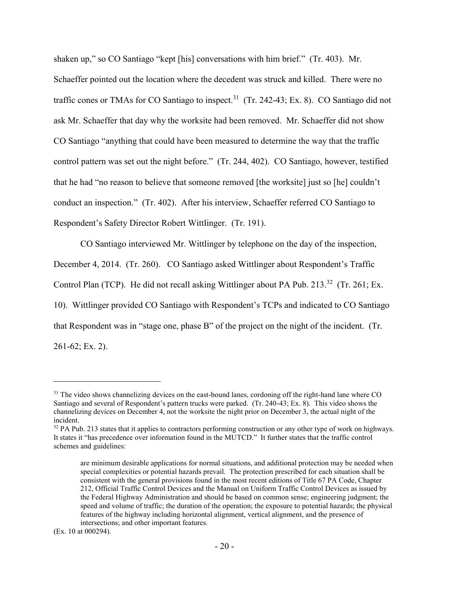shaken up," so CO Santiago "kept [his] conversations with him brief." (Tr. 403). Mr. Schaeffer pointed out the location where the decedent was struck and killed. There were no traffic cones or TMAs for CO Santiago to inspect.<sup>31</sup> (Tr. 242-43; Ex. 8). CO Santiago did not ask Mr. Schaeffer that day why the worksite had been removed. Mr. Schaeffer did not show CO Santiago "anything that could have been measured to determine the way that the traffic control pattern was set out the night before." (Tr. 244, 402). CO Santiago, however, testified that he had "no reason to believe that someone removed [the worksite] just so [he] couldn't conduct an inspection." (Tr. 402). After his interview, Schaeffer referred CO Santiago to Respondent's Safety Director Robert Wittlinger. (Tr. 191).

CO Santiago interviewed Mr. Wittlinger by telephone on the day of the inspection, December 4, 2014. (Tr. 260). CO Santiago asked Wittlinger about Respondent's Traffic Control Plan (TCP). He did not recall asking Wittlinger about PA Pub. 213. $^{32}$  (Tr. 261; Ex. 10). Wittlinger provided CO Santiago with Respondent's TCPs and indicated to CO Santiago that Respondent was in "stage one, phase B" of the project on the night of the incident. (Tr. 261-62; Ex. 2).

<sup>&</sup>lt;sup>31</sup> The video shows channelizing devices on the east-bound lanes, cordoning off the right-hand lane where CO Santiago and several of Respondent's pattern trucks were parked. (Tr. 240-43; Ex. 8). This video shows the channelizing devices on December 4, not the worksite the night prior on December 3, the actual night of the incident.

<sup>&</sup>lt;sup>32</sup> PA Pub. 213 states that it applies to contractors performing construction or any other type of work on highways. It states it "has precedence over information found in the MUTCD." It further states that the traffic control schemes and guidelines:

are minimum desirable applications for normal situations, and additional protection may be needed when special complexities or potential hazards prevail. The protection prescribed for each situation shall be consistent with the general provisions found in the most recent editions of Title 67 PA Code, Chapter 212, Official Traffic Control Devices and the Manual on Uniform Traffic Control Devices as issued by the Federal Highway Administration and should be based on common sense; engineering judgment; the speed and volume of traffic; the duration of the operation; the exposure to potential hazards; the physical features of the highway including horizontal alignment, vertical alignment, and the presence of intersections; and other important features.

<sup>(</sup>Ex. 10 at 000294).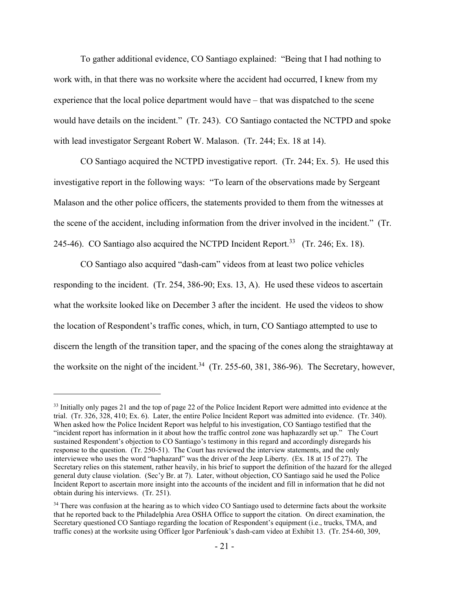To gather additional evidence, CO Santiago explained: "Being that I had nothing to work with, in that there was no worksite where the accident had occurred, I knew from my experience that the local police department would have – that was dispatched to the scene would have details on the incident." (Tr. 243). CO Santiago contacted the NCTPD and spoke with lead investigator Sergeant Robert W. Malason. (Tr. 244; Ex. 18 at 14).

CO Santiago acquired the NCTPD investigative report. (Tr. 244; Ex. 5). He used this investigative report in the following ways: "To learn of the observations made by Sergeant Malason and the other police officers, the statements provided to them from the witnesses at the scene of the accident, including information from the driver involved in the incident." (Tr. 245-46). CO Santiago also acquired the NCTPD Incident Report.<sup>33</sup> (Tr. 246; Ex. 18).

CO Santiago also acquired "dash-cam" videos from at least two police vehicles responding to the incident. (Tr. 254, 386-90; Exs. 13, A). He used these videos to ascertain what the worksite looked like on December 3 after the incident. He used the videos to show the location of Respondent's traffic cones, which, in turn, CO Santiago attempted to use to discern the length of the transition taper, and the spacing of the cones along the straightaway at the worksite on the night of the incident.<sup>34</sup> (Tr. 255-60, 381, 386-96). The Secretary, however,

<sup>&</sup>lt;sup>33</sup> Initially only pages 21 and the top of page 22 of the Police Incident Report were admitted into evidence at the trial. (Tr. 326, 328, 410; Ex. 6). Later, the entire Police Incident Report was admitted into evidence. (Tr. 340). When asked how the Police Incident Report was helpful to his investigation, CO Santiago testified that the "incident report has information in it about how the traffic control zone was haphazardly set up." The Court sustained Respondent's objection to CO Santiago's testimony in this regard and accordingly disregards his response to the question. (Tr. 250-51). The Court has reviewed the interview statements, and the only interviewee who uses the word "haphazard" was the driver of the Jeep Liberty. (Ex. 18 at 15 of 27). The Secretary relies on this statement, rather heavily, in his brief to support the definition of the hazard for the alleged general duty clause violation. (Sec'y Br. at 7). Later, without objection, CO Santiago said he used the Police Incident Report to ascertain more insight into the accounts of the incident and fill in information that he did not obtain during his interviews. (Tr. 251).

<sup>&</sup>lt;sup>34</sup> There was confusion at the hearing as to which video CO Santiago used to determine facts about the worksite that he reported back to the Philadelphia Area OSHA Office to support the citation. On direct examination, the Secretary questioned CO Santiago regarding the location of Respondent's equipment (i.e., trucks, TMA, and traffic cones) at the worksite using Officer Igor Parfeniouk's dash-cam video at Exhibit 13. (Tr. 254-60, 309,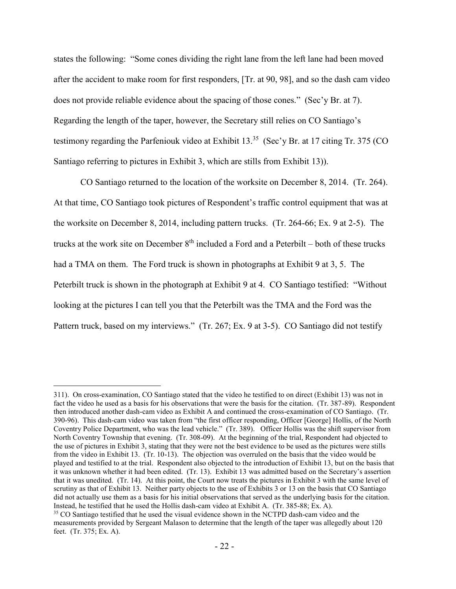states the following: "Some cones dividing the right lane from the left lane had been moved after the accident to make room for first responders, [Tr. at 90, 98], and so the dash cam video does not provide reliable evidence about the spacing of those cones." (Sec'y Br. at 7). Regarding the length of the taper, however, the Secretary still relies on CO Santiago's testimony regarding the Parfeniouk video at Exhibit 13.<sup>35</sup> (Sec'y Br. at 17 citing Tr. 375 (CO Santiago referring to pictures in Exhibit 3, which are stills from Exhibit 13)).

CO Santiago returned to the location of the worksite on December 8, 2014. (Tr. 264). At that time, CO Santiago took pictures of Respondent's traffic control equipment that was at the worksite on December 8, 2014, including pattern trucks. (Tr. 264-66; Ex. 9 at 2-5). The trucks at the work site on December  $8<sup>th</sup>$  included a Ford and a Peterbilt – both of these trucks had a TMA on them. The Ford truck is shown in photographs at Exhibit 9 at 3, 5. The Peterbilt truck is shown in the photograph at Exhibit 9 at 4. CO Santiago testified: "Without looking at the pictures I can tell you that the Peterbilt was the TMA and the Ford was the Pattern truck, based on my interviews." (Tr. 267; Ex. 9 at 3-5). CO Santiago did not testify

<sup>311).</sup> On cross-examination, CO Santiago stated that the video he testified to on direct (Exhibit 13) was not in fact the video he used as a basis for his observations that were the basis for the citation. (Tr. 387-89). Respondent then introduced another dash-cam video as Exhibit A and continued the cross-examination of CO Santiago. (Tr. 390-96). This dash-cam video was taken from "the first officer responding, Officer [George] Hollis, of the North Coventry Police Department, who was the lead vehicle." (Tr. 389). Officer Hollis was the shift supervisor from North Coventry Township that evening. (Tr. 308-09). At the beginning of the trial, Respondent had objected to the use of pictures in Exhibit 3, stating that they were not the best evidence to be used as the pictures were stills from the video in Exhibit 13. (Tr. 10-13). The objection was overruled on the basis that the video would be played and testified to at the trial. Respondent also objected to the introduction of Exhibit 13, but on the basis that it was unknown whether it had been edited. (Tr. 13). Exhibit 13 was admitted based on the Secretary's assertion that it was unedited. (Tr. 14). At this point, the Court now treats the pictures in Exhibit 3 with the same level of scrutiny as that of Exhibit 13. Neither party objects to the use of Exhibits 3 or 13 on the basis that CO Santiago did not actually use them as a basis for his initial observations that served as the underlying basis for the citation. Instead, he testified that he used the Hollis dash-cam video at Exhibit A. (Tr. 385-88; Ex. A).

<sup>&</sup>lt;sup>35</sup> CO Santiago testified that he used the visual evidence shown in the NCTPD dash-cam video and the measurements provided by Sergeant Malason to determine that the length of the taper was allegedly about 120 feet. (Tr. 375; Ex. A).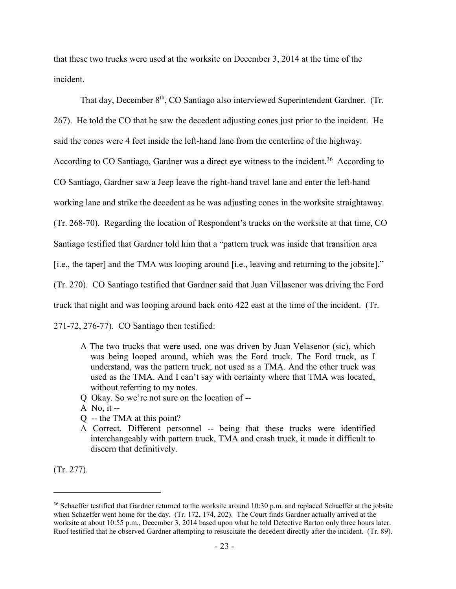that these two trucks were used at the worksite on December 3, 2014 at the time of the incident.

That day, December 8<sup>th</sup>, CO Santiago also interviewed Superintendent Gardner. (Tr. 267). He told the CO that he saw the decedent adjusting cones just prior to the incident. He said the cones were 4 feet inside the left-hand lane from the centerline of the highway. According to CO Santiago, Gardner was a direct eye witness to the incident.<sup>36</sup> According to CO Santiago, Gardner saw a Jeep leave the right-hand travel lane and enter the left-hand working lane and strike the decedent as he was adjusting cones in the worksite straightaway. (Tr. 268-70). Regarding the location of Respondent's trucks on the worksite at that time, CO Santiago testified that Gardner told him that a "pattern truck was inside that transition area [i.e., the taper] and the TMA was looping around [i.e., leaving and returning to the jobsite]." (Tr. 270). CO Santiago testified that Gardner said that Juan Villasenor was driving the Ford truck that night and was looping around back onto 422 east at the time of the incident. (Tr. 271-72, 276-77). CO Santiago then testified:

- A The two trucks that were used, one was driven by Juan Velasenor (sic), which was being looped around, which was the Ford truck. The Ford truck, as I understand, was the pattern truck, not used as a TMA. And the other truck was used as the TMA. And I can't say with certainty where that TMA was located, without referring to my notes.
- Q Okay. So we're not sure on the location of --
- A No, it  $-$
- Q -- the TMA at this point?
- A Correct. Different personnel -- being that these trucks were identified interchangeably with pattern truck, TMA and crash truck, it made it difficult to discern that definitively.

(Tr. 277).

 $36$  Schaeffer testified that Gardner returned to the worksite around 10:30 p.m. and replaced Schaeffer at the jobsite when Schaeffer went home for the day. (Tr. 172, 174, 202). The Court finds Gardner actually arrived at the worksite at about 10:55 p.m., December 3, 2014 based upon what he told Detective Barton only three hours later. Ruof testified that he observed Gardner attempting to resuscitate the decedent directly after the incident. (Tr. 89).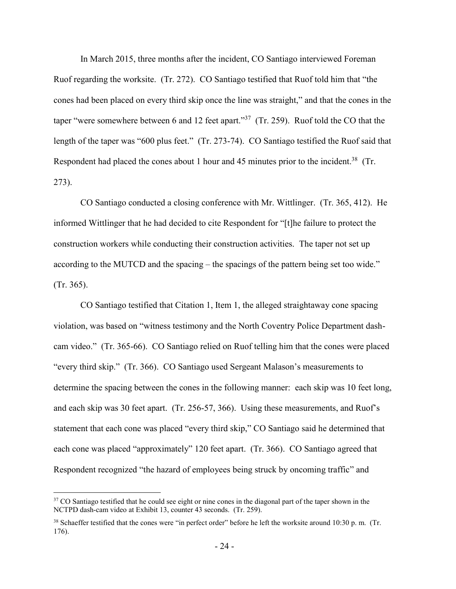In March 2015, three months after the incident, CO Santiago interviewed Foreman Ruof regarding the worksite. (Tr. 272). CO Santiago testified that Ruof told him that "the cones had been placed on every third skip once the line was straight," and that the cones in the taper "were somewhere between 6 and 12 feet apart."<sup>37</sup> (Tr. 259). Ruof told the CO that the length of the taper was "600 plus feet." (Tr. 273-74). CO Santiago testified the Ruof said that Respondent had placed the cones about 1 hour and 45 minutes prior to the incident.<sup>38</sup> (Tr. 273).

CO Santiago conducted a closing conference with Mr. Wittlinger. (Tr. 365, 412). He informed Wittlinger that he had decided to cite Respondent for "[t]he failure to protect the construction workers while conducting their construction activities. The taper not set up according to the MUTCD and the spacing – the spacings of the pattern being set too wide." (Tr. 365).

CO Santiago testified that Citation 1, Item 1, the alleged straightaway cone spacing violation, was based on "witness testimony and the North Coventry Police Department dashcam video." (Tr. 365-66). CO Santiago relied on Ruof telling him that the cones were placed "every third skip." (Tr. 366). CO Santiago used Sergeant Malason's measurements to determine the spacing between the cones in the following manner: each skip was 10 feet long, and each skip was 30 feet apart. (Tr. 256-57, 366). Using these measurements, and Ruof's statement that each cone was placed "every third skip," CO Santiago said he determined that each cone was placed "approximately" 120 feet apart. (Tr. 366). CO Santiago agreed that Respondent recognized "the hazard of employees being struck by oncoming traffic" and

<sup>&</sup>lt;sup>37</sup> CO Santiago testified that he could see eight or nine cones in the diagonal part of the taper shown in the NCTPD dash-cam video at Exhibit 13, counter 43 seconds. (Tr. 259).

<sup>&</sup>lt;sup>38</sup> Schaeffer testified that the cones were "in perfect order" before he left the worksite around 10:30 p.m. (Tr. 176).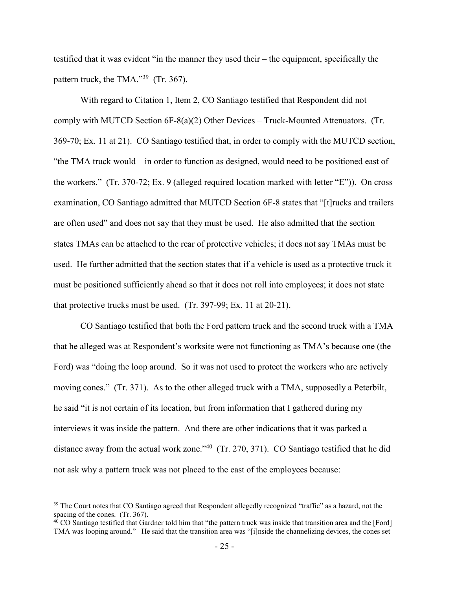testified that it was evident "in the manner they used their – the equipment, specifically the pattern truck, the TMA."<sup>39</sup> (Tr. 367).

With regard to Citation 1, Item 2, CO Santiago testified that Respondent did not comply with MUTCD Section 6F-8(a)(2) Other Devices – Truck-Mounted Attenuators. (Tr. 369-70; Ex. 11 at 21). CO Santiago testified that, in order to comply with the MUTCD section, "the TMA truck would – in order to function as designed, would need to be positioned east of the workers." (Tr. 370-72; Ex. 9 (alleged required location marked with letter "E")). On cross examination, CO Santiago admitted that MUTCD Section 6F-8 states that "[t]rucks and trailers are often used" and does not say that they must be used. He also admitted that the section states TMAs can be attached to the rear of protective vehicles; it does not say TMAs must be used. He further admitted that the section states that if a vehicle is used as a protective truck it must be positioned sufficiently ahead so that it does not roll into employees; it does not state that protective trucks must be used. (Tr. 397-99; Ex. 11 at 20-21).

CO Santiago testified that both the Ford pattern truck and the second truck with a TMA that he alleged was at Respondent's worksite were not functioning as TMA's because one (the Ford) was "doing the loop around. So it was not used to protect the workers who are actively moving cones." (Tr. 371). As to the other alleged truck with a TMA, supposedly a Peterbilt, he said "it is not certain of its location, but from information that I gathered during my interviews it was inside the pattern. And there are other indications that it was parked a distance away from the actual work zone." $40$  (Tr. 270, 371). CO Santiago testified that he did not ask why a pattern truck was not placed to the east of the employees because:

<sup>&</sup>lt;sup>39</sup> The Court notes that CO Santiago agreed that Respondent allegedly recognized "traffic" as a hazard, not the spacing of the cones. (Tr. 367).

 $40$  CO Santiago testified that Gardner told him that "the pattern truck was inside that transition area and the [Ford] TMA was looping around." He said that the transition area was "[i]nside the channelizing devices, the cones set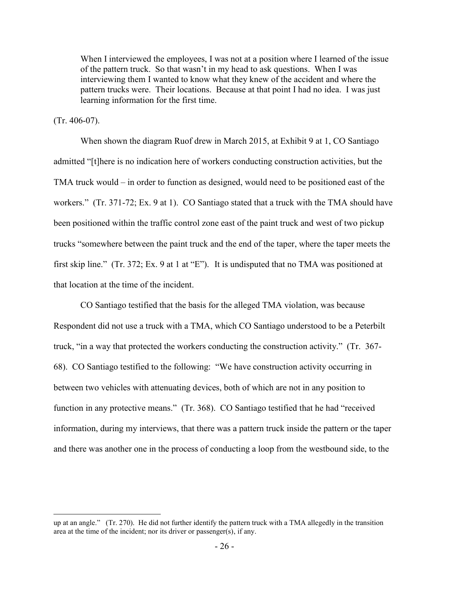When I interviewed the employees, I was not at a position where I learned of the issue of the pattern truck. So that wasn't in my head to ask questions. When I was interviewing them I wanted to know what they knew of the accident and where the pattern trucks were. Their locations. Because at that point I had no idea. I was just learning information for the first time.

#### (Tr. 406-07).

 $\overline{a}$ 

When shown the diagram Ruof drew in March 2015, at Exhibit 9 at 1, CO Santiago admitted "[t]here is no indication here of workers conducting construction activities, but the TMA truck would – in order to function as designed, would need to be positioned east of the workers." (Tr. 371-72; Ex. 9 at 1). CO Santiago stated that a truck with the TMA should have been positioned within the traffic control zone east of the paint truck and west of two pickup trucks "somewhere between the paint truck and the end of the taper, where the taper meets the first skip line." (Tr. 372; Ex. 9 at 1 at "E"). It is undisputed that no TMA was positioned at that location at the time of the incident.

CO Santiago testified that the basis for the alleged TMA violation, was because Respondent did not use a truck with a TMA, which CO Santiago understood to be a Peterbilt truck, "in a way that protected the workers conducting the construction activity." (Tr. 367- 68). CO Santiago testified to the following: "We have construction activity occurring in between two vehicles with attenuating devices, both of which are not in any position to function in any protective means." (Tr. 368). CO Santiago testified that he had "received information, during my interviews, that there was a pattern truck inside the pattern or the taper and there was another one in the process of conducting a loop from the westbound side, to the

up at an angle." (Tr. 270). He did not further identify the pattern truck with a TMA allegedly in the transition area at the time of the incident; nor its driver or passenger(s), if any.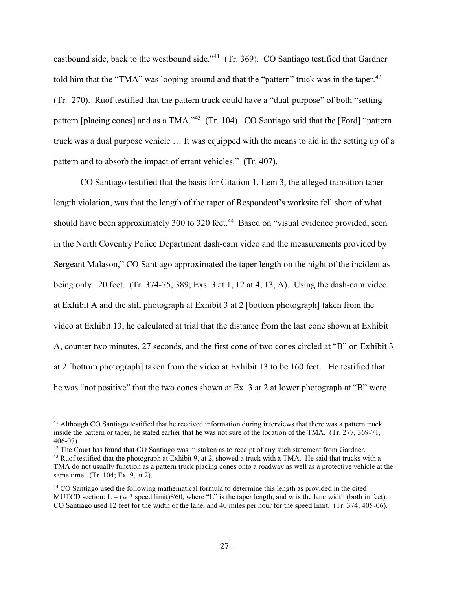eastbound side, back to the westbound side."<sup>41</sup> (Tr. 369). CO Santiago testified that Gardner told him that the "TMA" was looping around and that the "pattern" truck was in the taper.<sup>42</sup> (Tr. 270). Ruof testified that the pattern truck could have a "dual-purpose" of both "setting pattern [placing cones] and as a TMA."<sup>43</sup> (Tr. 104). CO Santiago said that the [Ford] "pattern truck was a dual purpose vehicle … It was equipped with the means to aid in the setting up of a pattern and to absorb the impact of errant vehicles." (Tr. 407).

CO Santiago testified that the basis for Citation 1, Item 3, the alleged transition taper length violation, was that the length of the taper of Respondent's worksite fell short of what should have been approximately 300 to 320 feet.<sup>44</sup> Based on "visual evidence provided, seen in the North Coventry Police Department dash-cam video and the measurements provided by Sergeant Malason," CO Santiago approximated the taper length on the night of the incident as being only 120 feet. (Tr. 374-75, 389; Exs. 3 at 1, 12 at 4, 13, A). Using the dash-cam video at Exhibit A and the still photograph at Exhibit 3 at 2 [bottom photograph] taken from the video at Exhibit 13, he calculated at trial that the distance from the last cone shown at Exhibit A, counter two minutes, 27 seconds, and the first cone of two cones circled at "B" on Exhibit 3 at 2 [bottom photograph] taken from the video at Exhibit 13 to be 160 feet. He testified that he was "not positive" that the two cones shown at Ex. 3 at 2 at lower photograph at "B" were

<sup>42</sup> The Court has found that CO Santiago was mistaken as to receipt of any such statement from Gardner.

<sup>&</sup>lt;sup>41</sup> Although CO Santiago testified that he received information during interviews that there was a pattern truck inside the pattern or taper, he stated earlier that he was not sure of the location of the TMA. (Tr. 277, 369-71, 406-07).

<sup>&</sup>lt;sup>43</sup> Ruof testified that the photograph at Exhibit 9, at 2, showed a truck with a TMA. He said that trucks with a TMA do not usually function as a pattern truck placing cones onto a roadway as well as a protective vehicle at the same time. (Tr. 104; Ex. 9, at 2).

<sup>44</sup> CO Santiago used the following mathematical formula to determine this length as provided in the cited MUTCD section:  $L = (w^* \text{ speed limit})^2/60$ , where "L" is the taper length, and w is the lane width (both in feet). CO Santiago used 12 feet for the width of the lane, and 40 miles per hour for the speed limit. (Tr. 374; 405-06).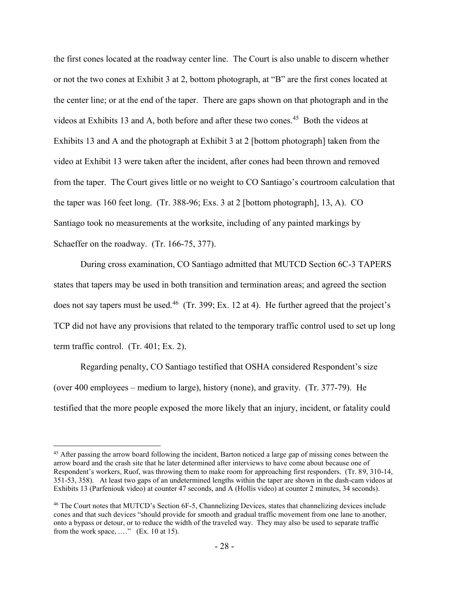the first cones located at the roadway center line. The Court is also unable to discern whether or not the two cones at Exhibit 3 at 2, bottom photograph, at "B" are the first cones located at the center line; or at the end of the taper. There are gaps shown on that photograph and in the videos at Exhibits 13 and A, both before and after these two cones.<sup>45</sup> Both the videos at Exhibits 13 and A and the photograph at Exhibit 3 at 2 [bottom photograph] taken from the video at Exhibit 13 were taken after the incident, after cones had been thrown and removed from the taper. The Court gives little or no weight to CO Santiago's courtroom calculation that the taper was 160 feet long. (Tr. 388-96; Exs. 3 at 2 [bottom photograph], 13, A). CO Santiago took no measurements at the worksite, including of any painted markings by Schaeffer on the roadway. (Tr. 166-75, 377).

During cross examination, CO Santiago admitted that MUTCD Section 6C-3 TAPERS states that tapers may be used in both transition and termination areas; and agreed the section does not say tapers must be used.<sup>46</sup> (Tr. 399; Ex. 12 at 4). He further agreed that the project's TCP did not have any provisions that related to the temporary traffic control used to set up long term traffic control. (Tr. 401; Ex. 2).

Regarding penalty, CO Santiago testified that OSHA considered Respondent's size (over 400 employees – medium to large), history (none), and gravity. (Tr. 377-79). He testified that the more people exposed the more likely that an injury, incident, or fatality could

<sup>&</sup>lt;sup>45</sup> After passing the arrow board following the incident, Barton noticed a large gap of missing cones between the arrow board and the crash site that he later determined after interviews to have come about because one of Respondent's workers, Ruof, was throwing them to make room for approaching first responders. (Tr. 89, 310-14, 351-53, 358). At least two gaps of an undetermined lengths within the taper are shown in the dash-cam videos at Exhibits 13 (Parfeniouk video) at counter 47 seconds, and A (Hollis video) at counter 2 minutes, 34 seconds).

<sup>46</sup> The Court notes that MUTCD's Section 6F-5, Channelizing Devices, states that channelizing devices include cones and that such devices "should provide for smooth and gradual traffic movement from one lane to another, onto a bypass or detour, or to reduce the width of the traveled way. They may also be used to separate traffic from the work space, ...." (Ex. 10 at 15).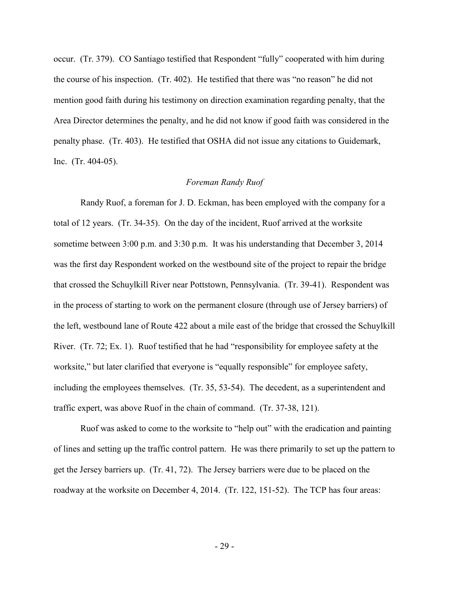occur. (Tr. 379). CO Santiago testified that Respondent "fully" cooperated with him during the course of his inspection. (Tr. 402). He testified that there was "no reason" he did not mention good faith during his testimony on direction examination regarding penalty, that the Area Director determines the penalty, and he did not know if good faith was considered in the penalty phase. (Tr. 403). He testified that OSHA did not issue any citations to Guidemark, Inc. (Tr. 404-05).

#### *Foreman Randy Ruof*

Randy Ruof, a foreman for J. D. Eckman, has been employed with the company for a total of 12 years. (Tr. 34-35). On the day of the incident, Ruof arrived at the worksite sometime between 3:00 p.m. and 3:30 p.m. It was his understanding that December 3, 2014 was the first day Respondent worked on the westbound site of the project to repair the bridge that crossed the Schuylkill River near Pottstown, Pennsylvania. (Tr. 39-41). Respondent was in the process of starting to work on the permanent closure (through use of Jersey barriers) of the left, westbound lane of Route 422 about a mile east of the bridge that crossed the Schuylkill River. (Tr. 72; Ex. 1). Ruof testified that he had "responsibility for employee safety at the worksite," but later clarified that everyone is "equally responsible" for employee safety, including the employees themselves. (Tr. 35, 53-54). The decedent, as a superintendent and traffic expert, was above Ruof in the chain of command. (Tr. 37-38, 121).

Ruof was asked to come to the worksite to "help out" with the eradication and painting of lines and setting up the traffic control pattern. He was there primarily to set up the pattern to get the Jersey barriers up. (Tr. 41, 72). The Jersey barriers were due to be placed on the roadway at the worksite on December 4, 2014. (Tr. 122, 151-52). The TCP has four areas: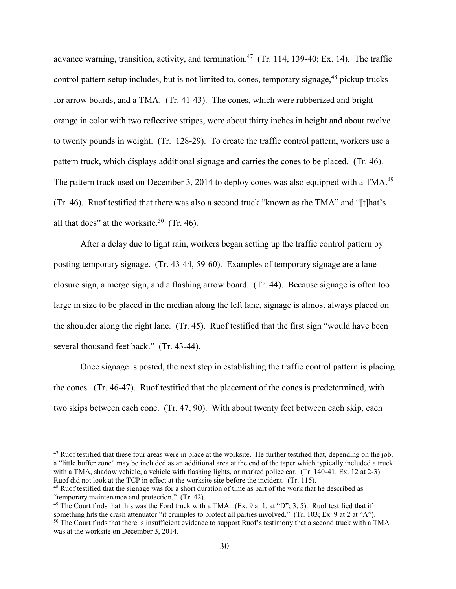advance warning, transition, activity, and termination.<sup>47</sup> (Tr. 114, 139-40; Ex. 14). The traffic control pattern setup includes, but is not limited to, cones, temporary signage,<sup>48</sup> pickup trucks for arrow boards, and a TMA. (Tr. 41-43). The cones, which were rubberized and bright orange in color with two reflective stripes, were about thirty inches in height and about twelve to twenty pounds in weight. (Tr. 128-29). To create the traffic control pattern, workers use a pattern truck, which displays additional signage and carries the cones to be placed. (Tr. 46). The pattern truck used on December 3, 2014 to deploy cones was also equipped with a TMA.<sup>49</sup> (Tr. 46). Ruof testified that there was also a second truck "known as the TMA" and "[t]hat's all that does" at the worksite.<sup>50</sup> (Tr. 46).

After a delay due to light rain, workers began setting up the traffic control pattern by posting temporary signage. (Tr. 43-44, 59-60). Examples of temporary signage are a lane closure sign, a merge sign, and a flashing arrow board. (Tr. 44). Because signage is often too large in size to be placed in the median along the left lane, signage is almost always placed on the shoulder along the right lane. (Tr. 45). Ruof testified that the first sign "would have been several thousand feet back." (Tr. 43-44).

Once signage is posted, the next step in establishing the traffic control pattern is placing the cones. (Tr. 46-47). Ruof testified that the placement of the cones is predetermined, with two skips between each cone. (Tr. 47, 90). With about twenty feet between each skip, each

 $47$  Ruof testified that these four areas were in place at the worksite. He further testified that, depending on the job, a "little buffer zone" may be included as an additional area at the end of the taper which typically included a truck with a TMA, shadow vehicle, a vehicle with flashing lights, or marked police car. (Tr. 140-41; Ex. 12 at 2-3). Ruof did not look at the TCP in effect at the worksite site before the incident. (Tr. 115).

<sup>&</sup>lt;sup>48</sup> Ruof testified that the signage was for a short duration of time as part of the work that he described as "temporary maintenance and protection." (Tr. 42).

<sup>49</sup> The Court finds that this was the Ford truck with a TMA. (Ex. 9 at 1, at "D"; 3, 5).Ruof testified that if something hits the crash attenuator "it crumples to protect all parties involved." (Tr. 103; Ex. 9 at 2 at "A"). <sup>50</sup> The Court finds that there is insufficient evidence to support Ruof's testimony that a second truck with a TMA was at the worksite on December 3, 2014.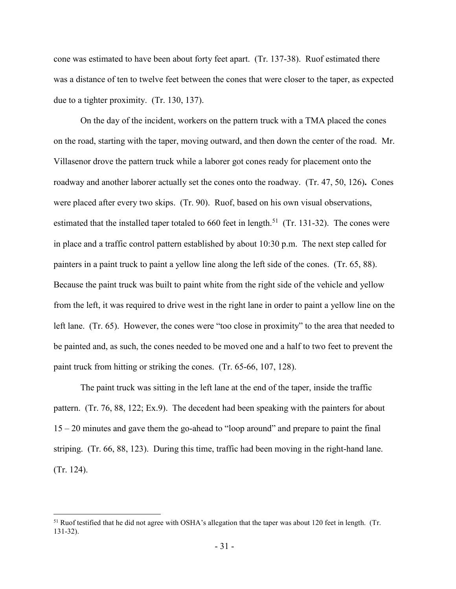cone was estimated to have been about forty feet apart. (Tr. 137-38). Ruof estimated there was a distance of ten to twelve feet between the cones that were closer to the taper, as expected due to a tighter proximity. (Tr. 130, 137).

On the day of the incident, workers on the pattern truck with a TMA placed the cones on the road, starting with the taper, moving outward, and then down the center of the road. Mr. Villasenor drove the pattern truck while a laborer got cones ready for placement onto the roadway and another laborer actually set the cones onto the roadway. (Tr. 47, 50, 126)**.** Cones were placed after every two skips. (Tr. 90). Ruof, based on his own visual observations, estimated that the installed taper totaled to  $660$  feet in length.<sup>51</sup> (Tr. 131-32). The cones were in place and a traffic control pattern established by about 10:30 p.m. The next step called for painters in a paint truck to paint a yellow line along the left side of the cones. (Tr. 65, 88). Because the paint truck was built to paint white from the right side of the vehicle and yellow from the left, it was required to drive west in the right lane in order to paint a yellow line on the left lane. (Tr. 65). However, the cones were "too close in proximity" to the area that needed to be painted and, as such, the cones needed to be moved one and a half to two feet to prevent the paint truck from hitting or striking the cones. (Tr. 65-66, 107, 128).

The paint truck was sitting in the left lane at the end of the taper, inside the traffic pattern. (Tr. 76, 88, 122; Ex.9). The decedent had been speaking with the painters for about 15 – 20 minutes and gave them the go-ahead to "loop around" and prepare to paint the final striping. (Tr. 66, 88, 123). During this time, traffic had been moving in the right-hand lane. (Tr. 124).

<sup>51</sup> Ruof testified that he did not agree with OSHA's allegation that the taper was about 120 feet in length. (Tr. 131-32).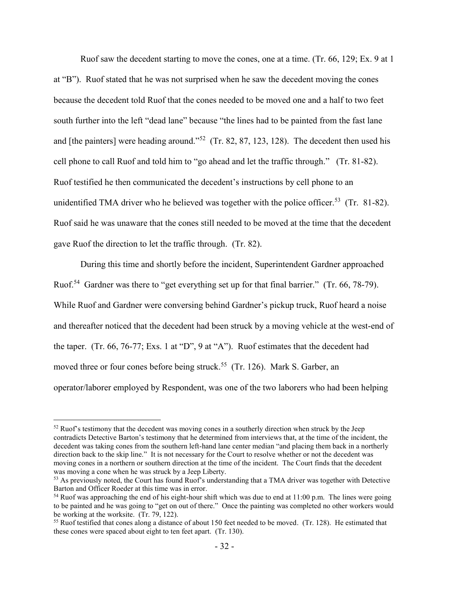Ruof saw the decedent starting to move the cones, one at a time. (Tr. 66, 129; Ex. 9 at 1 at "B"). Ruof stated that he was not surprised when he saw the decedent moving the cones because the decedent told Ruof that the cones needed to be moved one and a half to two feet south further into the left "dead lane" because "the lines had to be painted from the fast lane and [the painters] were heading around."<sup>52</sup> (Tr. 82, 87, 123, 128). The decedent then used his cell phone to call Ruof and told him to "go ahead and let the traffic through." (Tr. 81-82). Ruof testified he then communicated the decedent's instructions by cell phone to an unidentified TMA driver who he believed was together with the police officer.<sup>53</sup> (Tr. 81-82). Ruof said he was unaware that the cones still needed to be moved at the time that the decedent gave Ruof the direction to let the traffic through. (Tr. 82).

During this time and shortly before the incident, Superintendent Gardner approached Ruof.<sup>54</sup> Gardner was there to "get everything set up for that final barrier." (Tr. 66, 78-79). While Ruof and Gardner were conversing behind Gardner's pickup truck, Ruof heard a noise and thereafter noticed that the decedent had been struck by a moving vehicle at the west-end of the taper. (Tr. 66, 76-77; Exs. 1 at "D", 9 at "A"). Ruof estimates that the decedent had moved three or four cones before being struck.<sup>55</sup> (Tr. 126). Mark S. Garber, an operator/laborer employed by Respondent, was one of the two laborers who had been helping

 $52$  Ruof's testimony that the decedent was moving cones in a southerly direction when struck by the Jeep contradicts Detective Barton's testimony that he determined from interviews that, at the time of the incident, the decedent was taking cones from the southern left-hand lane center median "and placing them back in a northerly direction back to the skip line." It is not necessary for the Court to resolve whether or not the decedent was moving cones in a northern or southern direction at the time of the incident. The Court finds that the decedent was moving a cone when he was struck by a Jeep Liberty.

<sup>&</sup>lt;sup>53</sup> As previously noted, the Court has found Ruof's understanding that a TMA driver was together with Detective Barton and Officer Roeder at this time was in error.

 $54$  Ruof was approaching the end of his eight-hour shift which was due to end at 11:00 p.m. The lines were going to be painted and he was going to "get on out of there." Once the painting was completed no other workers would be working at the worksite. (Tr. 79, 122).

<sup>&</sup>lt;sup>55</sup> Ruof testified that cones along a distance of about 150 feet needed to be moved. (Tr. 128). He estimated that these cones were spaced about eight to ten feet apart. (Tr. 130).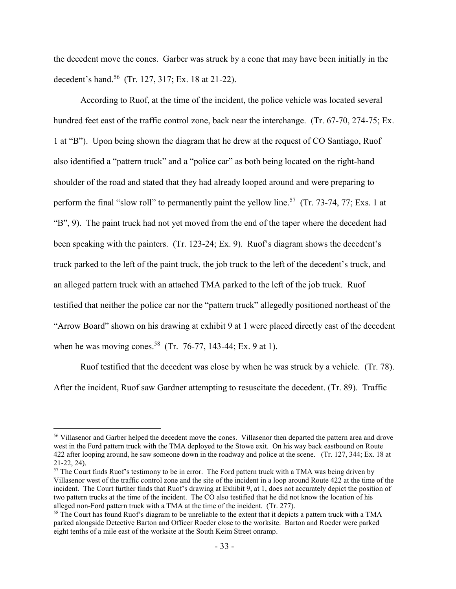the decedent move the cones. Garber was struck by a cone that may have been initially in the decedent's hand.<sup>56</sup> (Tr. 127, 317; Ex. 18 at 21-22).

According to Ruof, at the time of the incident, the police vehicle was located several hundred feet east of the traffic control zone, back near the interchange. (Tr. 67-70, 274-75; Ex. 1 at "B"). Upon being shown the diagram that he drew at the request of CO Santiago, Ruof also identified a "pattern truck" and a "police car" as both being located on the right-hand shoulder of the road and stated that they had already looped around and were preparing to perform the final "slow roll" to permanently paint the yellow line.<sup>57</sup> (Tr. 73-74, 77; Exs. 1 at "B", 9). The paint truck had not yet moved from the end of the taper where the decedent had been speaking with the painters. (Tr. 123-24; Ex. 9). Ruof's diagram shows the decedent's truck parked to the left of the paint truck, the job truck to the left of the decedent's truck, and an alleged pattern truck with an attached TMA parked to the left of the job truck. Ruof testified that neither the police car nor the "pattern truck" allegedly positioned northeast of the "Arrow Board" shown on his drawing at exhibit 9 at 1 were placed directly east of the decedent when he was moving cones.<sup>58</sup> (Tr. 76-77, 143-44; Ex. 9 at 1).

Ruof testified that the decedent was close by when he was struck by a vehicle. (Tr. 78). After the incident, Ruof saw Gardner attempting to resuscitate the decedent. (Tr. 89). Traffic

<sup>56</sup> Villasenor and Garber helped the decedent move the cones. Villasenor then departed the pattern area and drove west in the Ford pattern truck with the TMA deployed to the Stowe exit. On his way back eastbound on Route 422 after looping around, he saw someone down in the roadway and police at the scene. (Tr. 127, 344; Ex. 18 at 21-22, 24).

<sup>&</sup>lt;sup>57</sup> The Court finds Ruof's testimony to be in error. The Ford pattern truck with a TMA was being driven by Villasenor west of the traffic control zone and the site of the incident in a loop around Route 422 at the time of the incident. The Court further finds that Ruof's drawing at Exhibit 9, at 1, does not accurately depict the position of two pattern trucks at the time of the incident. The CO also testified that he did not know the location of his alleged non-Ford pattern truck with a TMA at the time of the incident. (Tr. 277).

<sup>&</sup>lt;sup>58</sup> The Court has found Ruof's diagram to be unreliable to the extent that it depicts a pattern truck with a TMA parked alongside Detective Barton and Officer Roeder close to the worksite. Barton and Roeder were parked eight tenths of a mile east of the worksite at the South Keim Street onramp.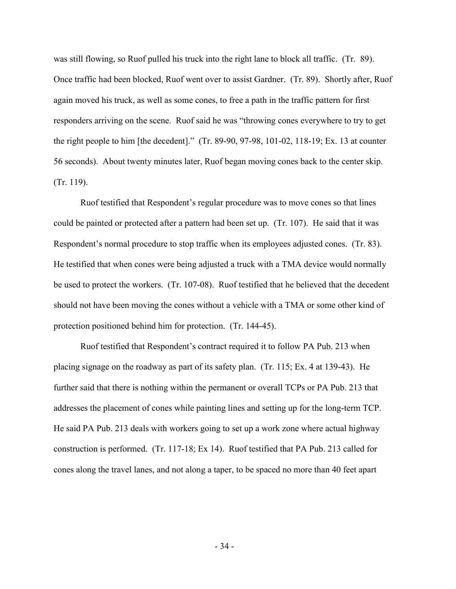was still flowing, so Ruof pulled his truck into the right lane to block all traffic. (Tr. 89). Once traffic had been blocked, Ruof went over to assist Gardner. (Tr. 89). Shortly after, Ruof again moved his truck, as well as some cones, to free a path in the traffic pattern for first responders arriving on the scene. Ruof said he was "throwing cones everywhere to try to get the right people to him [the decedent]." (Tr. 89-90, 97-98, 101-02, 118-19; Ex. 13 at counter 56 seconds). About twenty minutes later, Ruof began moving cones back to the center skip. (Tr. 119).

Ruof testified that Respondent's regular procedure was to move cones so that lines could be painted or protected after a pattern had been set up. (Tr. 107). He said that it was Respondent's normal procedure to stop traffic when its employees adjusted cones. (Tr. 83). He testified that when cones were being adjusted a truck with a TMA device would normally be used to protect the workers. (Tr. 107-08). Ruof testified that he believed that the decedent should not have been moving the cones without a vehicle with a TMA or some other kind of protection positioned behind him for protection. (Tr. 144-45).

Ruof testified that Respondent's contract required it to follow PA Pub. 213 when placing signage on the roadway as part of its safety plan. (Tr. 115; Ex. 4 at 139-43). He further said that there is nothing within the permanent or overall TCPs or PA Pub. 213 that addresses the placement of cones while painting lines and setting up for the long-term TCP. He said PA Pub. 213 deals with workers going to set up a work zone where actual highway construction is performed. (Tr. 117-18; Ex 14). Ruof testified that PA Pub. 213 called for cones along the travel lanes, and not along a taper, to be spaced no more than 40 feet apart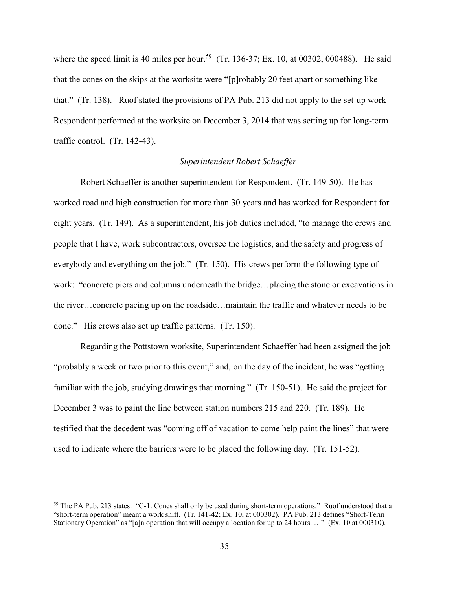where the speed limit is 40 miles per hour.<sup>59</sup> (Tr. 136-37; Ex. 10, at 00302, 000488). He said that the cones on the skips at the worksite were "[p]robably 20 feet apart or something like that." (Tr. 138). Ruof stated the provisions of PA Pub. 213 did not apply to the set-up work Respondent performed at the worksite on December 3, 2014 that was setting up for long-term traffic control. (Tr. 142-43).

### *Superintendent Robert Schaeffer*

Robert Schaeffer is another superintendent for Respondent. (Tr. 149-50). He has worked road and high construction for more than 30 years and has worked for Respondent for eight years. (Tr. 149). As a superintendent, his job duties included, "to manage the crews and people that I have, work subcontractors, oversee the logistics, and the safety and progress of everybody and everything on the job." (Tr. 150). His crews perform the following type of work: "concrete piers and columns underneath the bridge…placing the stone or excavations in the river…concrete pacing up on the roadside…maintain the traffic and whatever needs to be done." His crews also set up traffic patterns. (Tr. 150).

Regarding the Pottstown worksite, Superintendent Schaeffer had been assigned the job "probably a week or two prior to this event," and, on the day of the incident, he was "getting familiar with the job, studying drawings that morning." (Tr. 150-51). He said the project for December 3 was to paint the line between station numbers 215 and 220. (Tr. 189). He testified that the decedent was "coming off of vacation to come help paint the lines" that were used to indicate where the barriers were to be placed the following day. (Tr. 151-52).

<sup>&</sup>lt;sup>59</sup> The PA Pub. 213 states: "C-1. Cones shall only be used during short-term operations." Ruof understood that a "short-term operation" meant a work shift. (Tr. 141-42; Ex. 10, at 000302). PA Pub. 213 defines "Short-Term Stationary Operation" as "[a]n operation that will occupy a location for up to 24 hours. …" (Ex. 10 at 000310).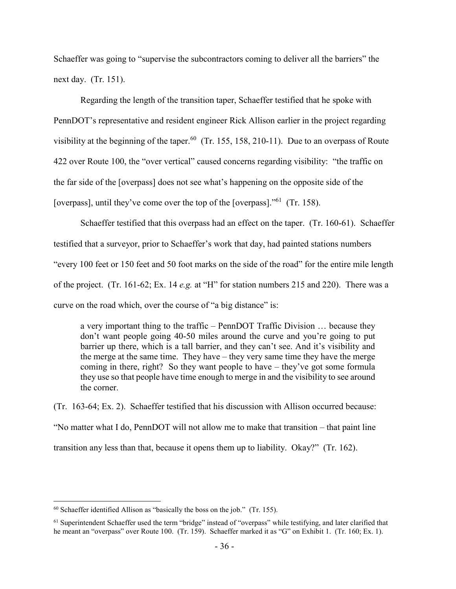Schaeffer was going to "supervise the subcontractors coming to deliver all the barriers" the next day. (Tr. 151).

Regarding the length of the transition taper, Schaeffer testified that he spoke with PennDOT's representative and resident engineer Rick Allison earlier in the project regarding visibility at the beginning of the taper.<sup>60</sup> (Tr. 155, 158, 210-11). Due to an overpass of Route 422 over Route 100, the "over vertical" caused concerns regarding visibility: "the traffic on the far side of the [overpass] does not see what's happening on the opposite side of the [overpass], until they've come over the top of the [overpass]."<sup>61</sup> (Tr. 158).

Schaeffer testified that this overpass had an effect on the taper. (Tr. 160-61). Schaeffer testified that a surveyor, prior to Schaeffer's work that day, had painted stations numbers "every 100 feet or 150 feet and 50 foot marks on the side of the road" for the entire mile length of the project. (Tr. 161-62; Ex. 14 *e.g.* at "H" for station numbers 215 and 220). There was a curve on the road which, over the course of "a big distance" is:

a very important thing to the traffic – PennDOT Traffic Division … because they don't want people going 40-50 miles around the curve and you're going to put barrier up there, which is a tall barrier, and they can't see. And it's visibility and the merge at the same time. They have – they very same time they have the merge coming in there, right? So they want people to have – they've got some formula they use so that people have time enough to merge in and the visibility to see around the corner.

(Tr. 163-64; Ex. 2). Schaeffer testified that his discussion with Allison occurred because: "No matter what I do, PennDOT will not allow me to make that transition – that paint line transition any less than that, because it opens them up to liability. Okay?" (Tr. 162).

 $60$  Schaeffer identified Allison as "basically the boss on the job." (Tr. 155).

<sup>61</sup> Superintendent Schaeffer used the term "bridge" instead of "overpass" while testifying, and later clarified that he meant an "overpass" over Route 100. (Tr. 159). Schaeffer marked it as "G" on Exhibit 1. (Tr. 160; Ex. 1).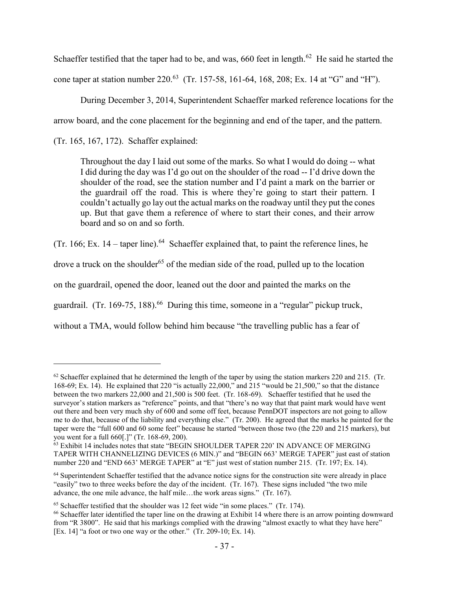Schaeffer testified that the taper had to be, and was,  $660$  feet in length.<sup>62</sup> He said he started the cone taper at station number 220.<sup>63</sup> (Tr. 157-58, 161-64, 168, 208; Ex. 14 at "G" and "H").

During December 3, 2014, Superintendent Schaeffer marked reference locations for the arrow board, and the cone placement for the beginning and end of the taper, and the pattern.

(Tr. 165, 167, 172). Schaffer explained:

 $\overline{a}$ 

Throughout the day I laid out some of the marks. So what I would do doing -- what I did during the day was I'd go out on the shoulder of the road -- I'd drive down the shoulder of the road, see the station number and I'd paint a mark on the barrier or the guardrail off the road. This is where they're going to start their pattern. I couldn't actually go lay out the actual marks on the roadway until they put the cones up. But that gave them a reference of where to start their cones, and their arrow board and so on and so forth.

(Tr. 166; Ex. 14 – taper line).<sup>64</sup> Schaeffer explained that, to paint the reference lines, he drove a truck on the shoulder<sup>65</sup> of the median side of the road, pulled up to the location on the guardrail, opened the door, leaned out the door and painted the marks on the guardrail. (Tr. 169-75, 188).<sup>66</sup> During this time, someone in a "regular" pickup truck, without a TMA, would follow behind him because "the travelling public has a fear of

 $62$  Schaeffer explained that he determined the length of the taper by using the station markers 220 and 215. (Tr. 168-69; Ex. 14). He explained that 220 "is actually 22,000," and 215 "would be 21,500," so that the distance between the two markers 22,000 and 21,500 is 500 feet. (Tr. 168-69). Schaeffer testified that he used the surveyor's station markers as "reference" points, and that "there's no way that that paint mark would have went out there and been very much shy of 600 and some off feet, because PennDOT inspectors are not going to allow me to do that, because of the liability and everything else." (Tr. 200). He agreed that the marks he painted for the taper were the "full 600 and 60 some feet" because he started "between those two (the 220 and 215 markers), but you went for a full 660[.]" (Tr. 168-69, 200).

<sup>&</sup>lt;sup>63</sup> Exhibit 14 includes notes that state "BEGIN SHOULDER TAPER 220' IN ADVANCE OF MERGING TAPER WITH CHANNELIZING DEVICES (6 MIN.)" and "BEGIN 663' MERGE TAPER" just east of station number 220 and "END 663' MERGE TAPER" at "E" just west of station number 215. (Tr. 197; Ex. 14).

 $64$  Superintendent Schaeffer testified that the advance notice signs for the construction site were already in place "easily" two to three weeks before the day of the incident. (Tr. 167). These signs included "the two mile advance, the one mile advance, the half mile…the work areas signs." (Tr. 167).

 $65$  Schaeffer testified that the shoulder was 12 feet wide "in some places." (Tr. 174).

<sup>66</sup> Schaeffer later identified the taper line on the drawing at Exhibit 14 where there is an arrow pointing downward from "R 3800". He said that his markings complied with the drawing "almost exactly to what they have here" [Ex. 14] "a foot or two one way or the other." (Tr. 209-10; Ex. 14).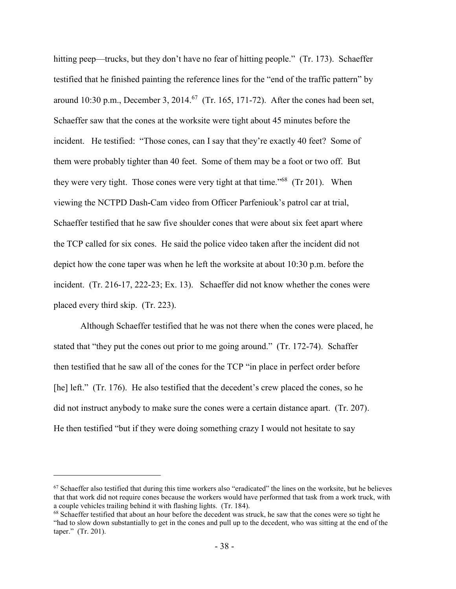hitting peep—trucks, but they don't have no fear of hitting people." (Tr. 173). Schaeffer testified that he finished painting the reference lines for the "end of the traffic pattern" by around 10:30 p.m., December 3, 2014.<sup>67</sup> (Tr. 165, 171-72). After the cones had been set, Schaeffer saw that the cones at the worksite were tight about 45 minutes before the incident. He testified: "Those cones, can I say that they're exactly 40 feet? Some of them were probably tighter than 40 feet. Some of them may be a foot or two off. But they were very tight. Those cones were very tight at that time."<sup>68</sup> (Tr 201). When viewing the NCTPD Dash-Cam video from Officer Parfeniouk's patrol car at trial, Schaeffer testified that he saw five shoulder cones that were about six feet apart where the TCP called for six cones. He said the police video taken after the incident did not depict how the cone taper was when he left the worksite at about 10:30 p.m. before the incident. (Tr. 216-17, 222-23; Ex. 13). Schaeffer did not know whether the cones were placed every third skip. (Tr. 223).

Although Schaeffer testified that he was not there when the cones were placed, he stated that "they put the cones out prior to me going around." (Tr. 172-74). Schaffer then testified that he saw all of the cones for the TCP "in place in perfect order before [he] left." (Tr. 176). He also testified that the decedent's crew placed the cones, so he did not instruct anybody to make sure the cones were a certain distance apart. (Tr. 207). He then testified "but if they were doing something crazy I would not hesitate to say

 $67$  Schaeffer also testified that during this time workers also "eradicated" the lines on the worksite, but he believes that that work did not require cones because the workers would have performed that task from a work truck, with a couple vehicles trailing behind it with flashing lights. (Tr. 184).

<sup>&</sup>lt;sup>68</sup> Schaeffer testified that about an hour before the decedent was struck, he saw that the cones were so tight he "had to slow down substantially to get in the cones and pull up to the decedent, who was sitting at the end of the taper." (Tr. 201).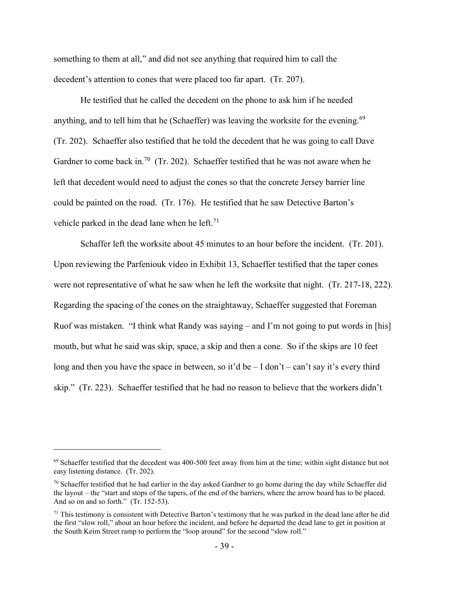something to them at all," and did not see anything that required him to call the decedent's attention to cones that were placed too far apart. (Tr. 207).

He testified that he called the decedent on the phone to ask him if he needed anything, and to tell him that he (Schaeffer) was leaving the worksite for the evening.<sup>69</sup> (Tr. 202). Schaeffer also testified that he told the decedent that he was going to call Dave Gardner to come back in.<sup>70</sup> (Tr. 202). Schaeffer testified that he was not aware when he left that decedent would need to adjust the cones so that the concrete Jersey barrier line could be painted on the road. (Tr. 176). He testified that he saw Detective Barton's vehicle parked in the dead lane when he left.<sup>71</sup>

Schaffer left the worksite about 45 minutes to an hour before the incident. (Tr. 201). Upon reviewing the Parfeniouk video in Exhibit 13, Schaeffer testified that the taper cones were not representative of what he saw when he left the worksite that night. (Tr. 217-18, 222). Regarding the spacing of the cones on the straightaway, Schaeffer suggested that Foreman Ruof was mistaken. "I think what Randy was saying – and I'm not going to put words in [his] mouth, but what he said was skip, space, a skip and then a cone. So if the skips are 10 feet long and then you have the space in between, so it'd be  $-I$  don't – can't say it's every third skip." (Tr. 223). Schaeffer testified that he had no reason to believe that the workers didn't

<sup>&</sup>lt;sup>69</sup> Schaeffer testified that the decedent was 400-500 feet away from him at the time; within sight distance but not easy listening distance. (Tr. 202).

 $70$  Schaeffer testified that he had earlier in the day asked Gardner to go home during the day while Schaeffer did the layout – the "start and stops of the tapers, of the end of the barriers, where the arrow board has to be placed. And so on and so forth." (Tr. 152-53).

 $71$  This testimony is consistent with Detective Barton's testimony that he was parked in the dead lane after he did the first "slow roll," about an hour before the incident, and before he departed the dead lane to get in position at the South Keim Street ramp to perform the "loop around" for the second "slow roll."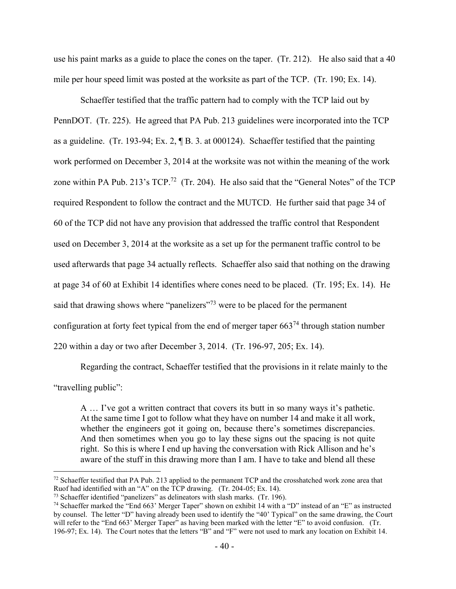use his paint marks as a guide to place the cones on the taper. (Tr. 212). He also said that a 40 mile per hour speed limit was posted at the worksite as part of the TCP. (Tr. 190; Ex. 14).

Schaeffer testified that the traffic pattern had to comply with the TCP laid out by PennDOT. (Tr. 225). He agreed that PA Pub. 213 guidelines were incorporated into the TCP as a guideline. (Tr. 193-94; Ex. 2, ¶ B. 3. at 000124). Schaeffer testified that the painting work performed on December 3, 2014 at the worksite was not within the meaning of the work zone within PA Pub. 213's TCP.<sup>72</sup> (Tr. 204). He also said that the "General Notes" of the TCP required Respondent to follow the contract and the MUTCD. He further said that page 34 of 60 of the TCP did not have any provision that addressed the traffic control that Respondent used on December 3, 2014 at the worksite as a set up for the permanent traffic control to be used afterwards that page 34 actually reflects. Schaeffer also said that nothing on the drawing at page 34 of 60 at Exhibit 14 identifies where cones need to be placed. (Tr. 195; Ex. 14). He said that drawing shows where "panelizers"<sup>73</sup> were to be placed for the permanent configuration at forty feet typical from the end of merger taper  $663<sup>74</sup>$  through station number 220 within a day or two after December 3, 2014. (Tr. 196-97, 205; Ex. 14).

Regarding the contract, Schaeffer testified that the provisions in it relate mainly to the "travelling public":

A … I've got a written contract that covers its butt in so many ways it's pathetic. At the same time I got to follow what they have on number 14 and make it all work, whether the engineers got it going on, because there's sometimes discrepancies. And then sometimes when you go to lay these signs out the spacing is not quite right. So this is where I end up having the conversation with Rick Allison and he's aware of the stuff in this drawing more than I am. I have to take and blend all these

<sup>&</sup>lt;sup>72</sup> Schaeffer testified that PA Pub. 213 applied to the permanent TCP and the crosshatched work zone area that Ruof had identified with an "A" on the TCP drawing. (Tr. 204-05; Ex. 14).

<sup>73</sup> Schaeffer identified "panelizers" as delineators with slash marks. (Tr. 196).

<sup>74</sup> Schaeffer marked the "End 663' Merger Taper" shown on exhibit 14 with a "D" instead of an "E" as instructed by counsel. The letter "D" having already been used to identify the "40' Typical" on the same drawing, the Court will refer to the "End 663' Merger Taper" as having been marked with the letter "E" to avoid confusion. (Tr. 196-97; Ex. 14). The Court notes that the letters "B" and "F" were not used to mark any location on Exhibit 14.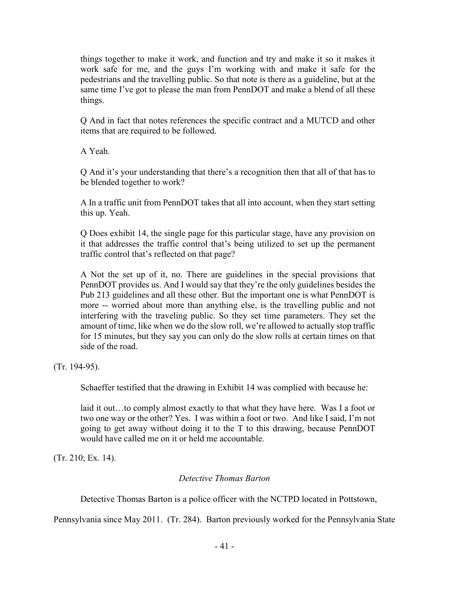things together to make it work, and function and try and make it so it makes it work safe for me, and the guys I'm working with and make it safe for the pedestrians and the travelling public. So that note is there as a guideline, but at the same time I've got to please the man from PennDOT and make a blend of all these things.

Q And in fact that notes references the specific contract and a MUTCD and other items that are required to be followed.

A Yeah.

Q And it's your understanding that there's a recognition then that all of that has to be blended together to work?

A In a traffic unit from PennDOT takes that all into account, when they start setting this up. Yeah.

Q Does exhibit 14, the single page for this particular stage, have any provision on it that addresses the traffic control that's being utilized to set up the permanent traffic control that's reflected on that page?

A Not the set up of it, no. There are guidelines in the special provisions that PennDOT provides us. And I would say that they're the only guidelines besides the Pub 213 guidelines and all these other. But the important one is what PennDOT is more -- worried about more than anything else, is the travelling public and not interfering with the traveling public. So they set time parameters. They set the amount of time, like when we do the slow roll, we're allowed to actually stop traffic for 15 minutes, but they say you can only do the slow rolls at certain times on that side of the road.

(Tr. 194-95).

Schaeffer testified that the drawing in Exhibit 14 was complied with because he:

laid it out…to comply almost exactly to that what they have here. Was I a foot or two one way or the other? Yes. I was within a foot or two. And like I said, I'm not going to get away without doing it to the T to this drawing, because PennDOT would have called me on it or held me accountable.

(Tr. 210; Ex. 14).

## *Detective Thomas Barton*

Detective Thomas Barton is a police officer with the NCTPD located in Pottstown,

Pennsylvania since May 2011. (Tr. 284). Barton previously worked for the Pennsylvania State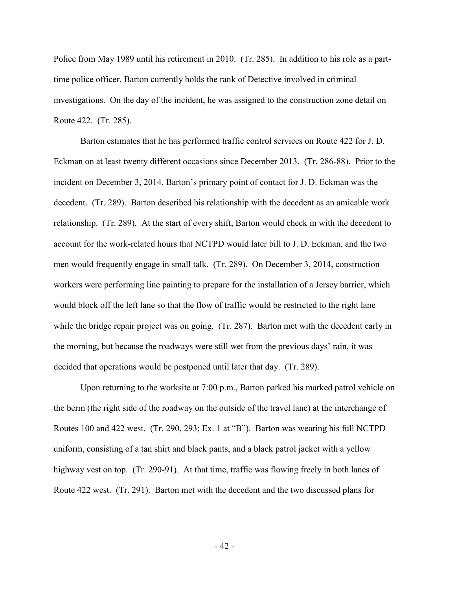Police from May 1989 until his retirement in 2010. (Tr. 285). In addition to his role as a parttime police officer, Barton currently holds the rank of Detective involved in criminal investigations. On the day of the incident, he was assigned to the construction zone detail on Route 422. (Tr. 285).

Barton estimates that he has performed traffic control services on Route 422 for J. D. Eckman on at least twenty different occasions since December 2013. (Tr. 286-88). Prior to the incident on December 3, 2014, Barton's primary point of contact for J. D. Eckman was the decedent. (Tr. 289). Barton described his relationship with the decedent as an amicable work relationship. (Tr. 289). At the start of every shift, Barton would check in with the decedent to account for the work-related hours that NCTPD would later bill to J. D. Eckman, and the two men would frequently engage in small talk. (Tr. 289). On December 3, 2014, construction workers were performing line painting to prepare for the installation of a Jersey barrier, which would block off the left lane so that the flow of traffic would be restricted to the right lane while the bridge repair project was on going. (Tr. 287). Barton met with the decedent early in the morning, but because the roadways were still wet from the previous days' rain, it was decided that operations would be postponed until later that day. (Tr. 289).

Upon returning to the worksite at 7:00 p.m., Barton parked his marked patrol vehicle on the berm (the right side of the roadway on the outside of the travel lane) at the interchange of Routes 100 and 422 west. (Tr. 290, 293; Ex. 1 at "B"). Barton was wearing his full NCTPD uniform, consisting of a tan shirt and black pants, and a black patrol jacket with a yellow highway vest on top. (Tr. 290-91). At that time, traffic was flowing freely in both lanes of Route 422 west. (Tr. 291). Barton met with the decedent and the two discussed plans for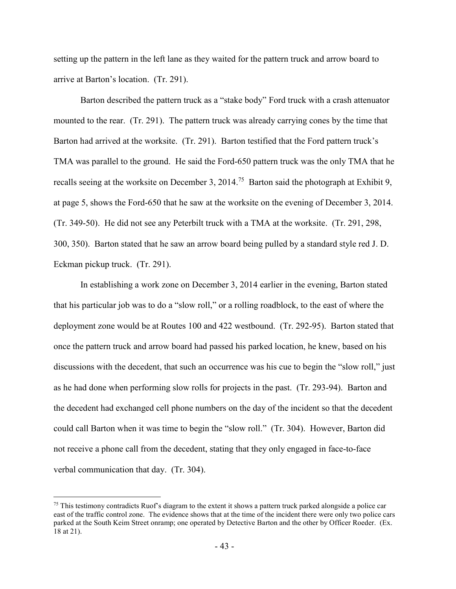setting up the pattern in the left lane as they waited for the pattern truck and arrow board to arrive at Barton's location. (Tr. 291).

Barton described the pattern truck as a "stake body" Ford truck with a crash attenuator mounted to the rear. (Tr. 291). The pattern truck was already carrying cones by the time that Barton had arrived at the worksite. (Tr. 291). Barton testified that the Ford pattern truck's TMA was parallel to the ground. He said the Ford-650 pattern truck was the only TMA that he recalls seeing at the worksite on December 3, 2014.<sup>75</sup> Barton said the photograph at Exhibit 9, at page 5, shows the Ford-650 that he saw at the worksite on the evening of December 3, 2014. (Tr. 349-50). He did not see any Peterbilt truck with a TMA at the worksite. (Tr. 291, 298, 300, 350). Barton stated that he saw an arrow board being pulled by a standard style red J. D. Eckman pickup truck. (Tr. 291).

In establishing a work zone on December 3, 2014 earlier in the evening, Barton stated that his particular job was to do a "slow roll," or a rolling roadblock, to the east of where the deployment zone would be at Routes 100 and 422 westbound. (Tr. 292-95). Barton stated that once the pattern truck and arrow board had passed his parked location, he knew, based on his discussions with the decedent, that such an occurrence was his cue to begin the "slow roll," just as he had done when performing slow rolls for projects in the past. (Tr. 293-94). Barton and the decedent had exchanged cell phone numbers on the day of the incident so that the decedent could call Barton when it was time to begin the "slow roll." (Tr. 304). However, Barton did not receive a phone call from the decedent, stating that they only engaged in face-to-face verbal communication that day. (Tr. 304).

 $75$  This testimony contradicts Ruof's diagram to the extent it shows a pattern truck parked alongside a police car east of the traffic control zone. The evidence shows that at the time of the incident there were only two police cars parked at the South Keim Street onramp; one operated by Detective Barton and the other by Officer Roeder. (Ex. 18 at 21).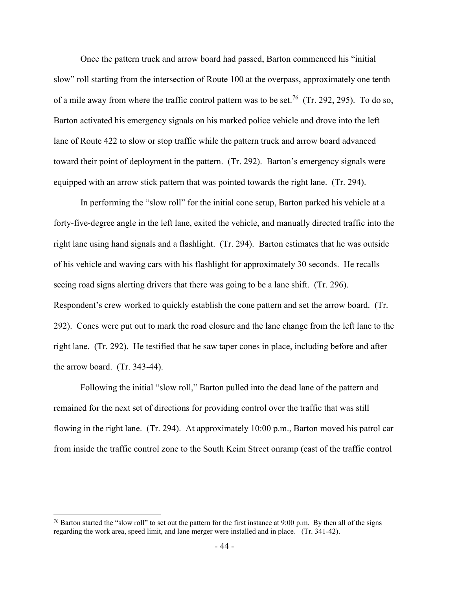Once the pattern truck and arrow board had passed, Barton commenced his "initial slow" roll starting from the intersection of Route 100 at the overpass, approximately one tenth of a mile away from where the traffic control pattern was to be set.<sup>76</sup> (Tr. 292, 295). To do so, Barton activated his emergency signals on his marked police vehicle and drove into the left lane of Route 422 to slow or stop traffic while the pattern truck and arrow board advanced toward their point of deployment in the pattern. (Tr. 292). Barton's emergency signals were equipped with an arrow stick pattern that was pointed towards the right lane. (Tr. 294).

In performing the "slow roll" for the initial cone setup, Barton parked his vehicle at a forty-five-degree angle in the left lane, exited the vehicle, and manually directed traffic into the right lane using hand signals and a flashlight. (Tr. 294). Barton estimates that he was outside of his vehicle and waving cars with his flashlight for approximately 30 seconds. He recalls seeing road signs alerting drivers that there was going to be a lane shift. (Tr. 296). Respondent's crew worked to quickly establish the cone pattern and set the arrow board. (Tr. 292). Cones were put out to mark the road closure and the lane change from the left lane to the right lane. (Tr. 292). He testified that he saw taper cones in place, including before and after the arrow board. (Tr. 343-44).

Following the initial "slow roll," Barton pulled into the dead lane of the pattern and remained for the next set of directions for providing control over the traffic that was still flowing in the right lane. (Tr. 294). At approximately 10:00 p.m., Barton moved his patrol car from inside the traffic control zone to the South Keim Street onramp (east of the traffic control

<sup>&</sup>lt;sup>76</sup> Barton started the "slow roll" to set out the pattern for the first instance at 9:00 p.m. By then all of the signs regarding the work area, speed limit, and lane merger were installed and in place. (Tr. 341-42).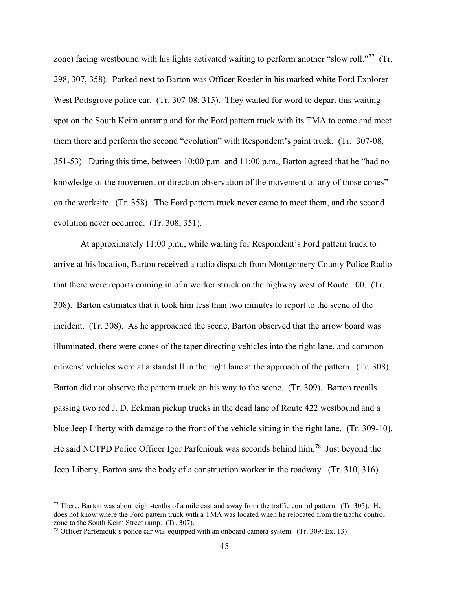zone) facing westbound with his lights activated waiting to perform another "slow roll."<sup>77</sup> (Tr. 298, 307, 358). Parked next to Barton was Officer Roeder in his marked white Ford Explorer West Pottsgrove police car. (Tr. 307-08, 315). They waited for word to depart this waiting spot on the South Keim onramp and for the Ford pattern truck with its TMA to come and meet them there and perform the second "evolution" with Respondent's paint truck. (Tr. 307-08, 351-53). During this time, between 10:00 p.m. and 11:00 p.m., Barton agreed that he "had no knowledge of the movement or direction observation of the movement of any of those cones" on the worksite. (Tr. 358). The Ford pattern truck never came to meet them, and the second evolution never occurred. (Tr. 308, 351).

At approximately 11:00 p.m., while waiting for Respondent's Ford pattern truck to arrive at his location, Barton received a radio dispatch from Montgomery County Police Radio that there were reports coming in of a worker struck on the highway west of Route 100. (Tr. 308). Barton estimates that it took him less than two minutes to report to the scene of the incident. (Tr. 308). As he approached the scene, Barton observed that the arrow board was illuminated, there were cones of the taper directing vehicles into the right lane, and common citizens' vehicles were at a standstill in the right lane at the approach of the pattern. (Tr. 308). Barton did not observe the pattern truck on his way to the scene. (Tr. 309). Barton recalls passing two red J. D. Eckman pickup trucks in the dead lane of Route 422 westbound and a blue Jeep Liberty with damage to the front of the vehicle sitting in the right lane. (Tr. 309-10). He said NCTPD Police Officer Igor Parfeniouk was seconds behind him.<sup>78</sup> Just beyond the Jeep Liberty, Barton saw the body of a construction worker in the roadway. (Tr. 310, 316).

 $77$  There, Barton was about eight-tenths of a mile east and away from the traffic control pattern. (Tr. 305). He does not know where the Ford pattern truck with a TMA was located when he relocated from the traffic control zone to the South Keim Street ramp. (Tr. 307).

<sup>&</sup>lt;sup>78</sup> Officer Parfeniouk's police car was equipped with an onboard camera system. (Tr. 309; Ex. 13).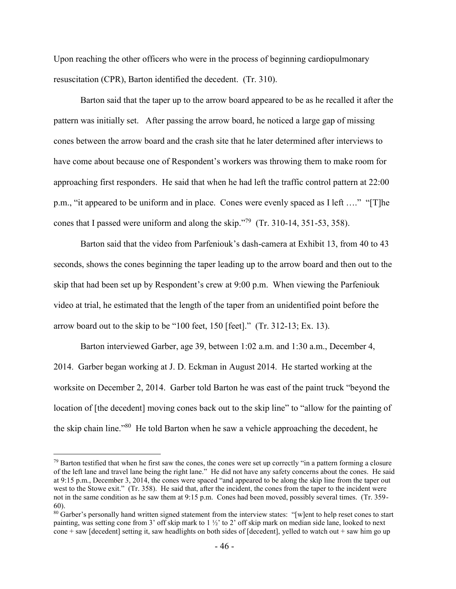Upon reaching the other officers who were in the process of beginning cardiopulmonary resuscitation (CPR), Barton identified the decedent. (Tr. 310).

Barton said that the taper up to the arrow board appeared to be as he recalled it after the pattern was initially set. After passing the arrow board, he noticed a large gap of missing cones between the arrow board and the crash site that he later determined after interviews to have come about because one of Respondent's workers was throwing them to make room for approaching first responders. He said that when he had left the traffic control pattern at 22:00 p.m., "it appeared to be uniform and in place. Cones were evenly spaced as I left …." "[T]he cones that I passed were uniform and along the skip."<sup>79</sup> (Tr. 310-14, 351-53, 358).

Barton said that the video from Parfeniouk's dash-camera at Exhibit 13, from 40 to 43 seconds, shows the cones beginning the taper leading up to the arrow board and then out to the skip that had been set up by Respondent's crew at 9:00 p.m. When viewing the Parfeniouk video at trial, he estimated that the length of the taper from an unidentified point before the arrow board out to the skip to be "100 feet, 150 [feet]." (Tr. 312-13; Ex. 13).

Barton interviewed Garber, age 39, between 1:02 a.m. and 1:30 a.m., December 4, 2014. Garber began working at J. D. Eckman in August 2014. He started working at the worksite on December 2, 2014. Garber told Barton he was east of the paint truck "beyond the location of [the decedent] moving cones back out to the skip line" to "allow for the painting of the skip chain line."<sup>80</sup> He told Barton when he saw a vehicle approaching the decedent, he

 $79$  Barton testified that when he first saw the cones, the cones were set up correctly "in a pattern forming a closure of the left lane and travel lane being the right lane." He did not have any safety concerns about the cones. He said at 9:15 p.m., December 3, 2014, the cones were spaced "and appeared to be along the skip line from the taper out west to the Stowe exit." (Tr. 358). He said that, after the incident, the cones from the taper to the incident were not in the same condition as he saw them at 9:15 p.m. Cones had been moved, possibly several times. (Tr. 359- 60).

<sup>&</sup>lt;sup>80</sup> Garber's personally hand written signed statement from the interview states: "[w]ent to help reset cones to start painting, was setting cone from 3' off skip mark to 1 ½' to 2' off skip mark on median side lane, looked to next cone + saw [decedent] setting it, saw headlights on both sides of [decedent], yelled to watch out + saw him go up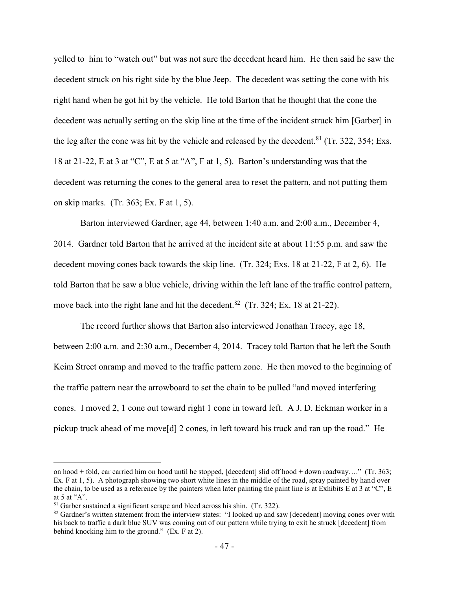yelled to him to "watch out" but was not sure the decedent heard him. He then said he saw the decedent struck on his right side by the blue Jeep. The decedent was setting the cone with his right hand when he got hit by the vehicle. He told Barton that he thought that the cone the decedent was actually setting on the skip line at the time of the incident struck him [Garber] in the leg after the cone was hit by the vehicle and released by the decedent.<sup>81</sup> (Tr. 322, 354; Exs. 18 at 21-22, E at 3 at "C", E at 5 at "A", F at 1, 5). Barton's understanding was that the decedent was returning the cones to the general area to reset the pattern, and not putting them on skip marks. (Tr. 363; Ex. F at 1, 5).

Barton interviewed Gardner, age 44, between 1:40 a.m. and 2:00 a.m., December 4, 2014. Gardner told Barton that he arrived at the incident site at about 11:55 p.m. and saw the decedent moving cones back towards the skip line. (Tr. 324; Exs. 18 at 21-22, F at 2, 6). He told Barton that he saw a blue vehicle, driving within the left lane of the traffic control pattern, move back into the right lane and hit the decedent.<sup>82</sup> (Tr. 324; Ex. 18 at 21-22).

The record further shows that Barton also interviewed Jonathan Tracey, age 18, between 2:00 a.m. and 2:30 a.m., December 4, 2014. Tracey told Barton that he left the South Keim Street onramp and moved to the traffic pattern zone. He then moved to the beginning of the traffic pattern near the arrowboard to set the chain to be pulled "and moved interfering cones. I moved 2, 1 cone out toward right 1 cone in toward left. A J. D. Eckman worker in a pickup truck ahead of me move[d] 2 cones, in left toward his truck and ran up the road." He

on hood + fold, car carried him on hood until he stopped, [decedent] slid off hood + down roadway…." (Tr. 363; Ex. F at 1, 5). A photograph showing two short white lines in the middle of the road, spray painted by hand over the chain, to be used as a reference by the painters when later painting the paint line is at Exhibits E at 3 at "C", E at 5 at " $A$ ".

 $81$  Garber sustained a significant scrape and bleed across his shin. (Tr. 322).

<sup>&</sup>lt;sup>82</sup> Gardner's written statement from the interview states: "I looked up and saw [decedent] moving cones over with his back to traffic a dark blue SUV was coming out of our pattern while trying to exit he struck [decedent] from behind knocking him to the ground." (Ex. F at 2).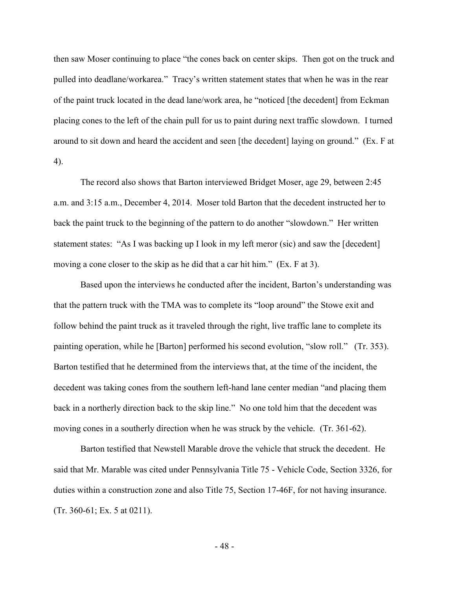then saw Moser continuing to place "the cones back on center skips. Then got on the truck and pulled into deadlane/workarea." Tracy's written statement states that when he was in the rear of the paint truck located in the dead lane/work area, he "noticed [the decedent] from Eckman placing cones to the left of the chain pull for us to paint during next traffic slowdown. I turned around to sit down and heard the accident and seen [the decedent] laying on ground." (Ex. F at 4).

The record also shows that Barton interviewed Bridget Moser, age 29, between 2:45 a.m. and 3:15 a.m., December 4, 2014. Moser told Barton that the decedent instructed her to back the paint truck to the beginning of the pattern to do another "slowdown." Her written statement states: "As I was backing up I look in my left meror (sic) and saw the [decedent] moving a cone closer to the skip as he did that a car hit him." (Ex. F at 3).

Based upon the interviews he conducted after the incident, Barton's understanding was that the pattern truck with the TMA was to complete its "loop around" the Stowe exit and follow behind the paint truck as it traveled through the right, live traffic lane to complete its painting operation, while he [Barton] performed his second evolution, "slow roll." (Tr. 353). Barton testified that he determined from the interviews that, at the time of the incident, the decedent was taking cones from the southern left-hand lane center median "and placing them back in a northerly direction back to the skip line." No one told him that the decedent was moving cones in a southerly direction when he was struck by the vehicle. (Tr. 361-62).

Barton testified that Newstell Marable drove the vehicle that struck the decedent. He said that Mr. Marable was cited under Pennsylvania Title 75 - Vehicle Code, Section 3326, for duties within a construction zone and also Title 75, Section 17-46F, for not having insurance. (Tr. 360-61; Ex. 5 at 0211).

- 48 -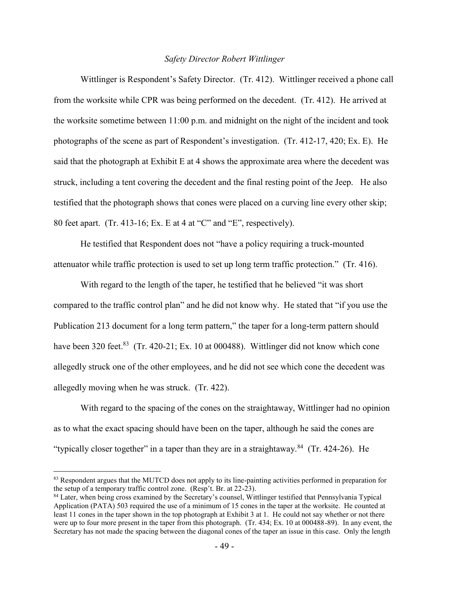### *Safety Director Robert Wittlinger*

Wittlinger is Respondent's Safety Director. (Tr. 412). Wittlinger received a phone call from the worksite while CPR was being performed on the decedent. (Tr. 412). He arrived at the worksite sometime between 11:00 p.m. and midnight on the night of the incident and took photographs of the scene as part of Respondent's investigation. (Tr. 412-17, 420; Ex. E). He said that the photograph at Exhibit E at 4 shows the approximate area where the decedent was struck, including a tent covering the decedent and the final resting point of the Jeep. He also testified that the photograph shows that cones were placed on a curving line every other skip; 80 feet apart. (Tr. 413-16; Ex. E at 4 at "C" and "E", respectively).

He testified that Respondent does not "have a policy requiring a truck-mounted attenuator while traffic protection is used to set up long term traffic protection." (Tr. 416).

With regard to the length of the taper, he testified that he believed "it was short compared to the traffic control plan" and he did not know why. He stated that "if you use the Publication 213 document for a long term pattern," the taper for a long-term pattern should have been 320 feet.<sup>83</sup> (Tr. 420-21; Ex. 10 at 000488). Wittlinger did not know which cone allegedly struck one of the other employees, and he did not see which cone the decedent was allegedly moving when he was struck. (Tr. 422).

With regard to the spacing of the cones on the straightaway, Wittlinger had no opinion as to what the exact spacing should have been on the taper, although he said the cones are "typically closer together" in a taper than they are in a straightaway. $84$  (Tr. 424-26). He

<sup>&</sup>lt;sup>83</sup> Respondent argues that the MUTCD does not apply to its line-painting activities performed in preparation for the setup of a temporary traffic control zone. (Resp't. Br. at 22-23).

<sup>&</sup>lt;sup>84</sup> Later, when being cross examined by the Secretary's counsel, Wittlinger testified that Pennsylvania Typical Application (PATA) 503 required the use of a minimum of 15 cones in the taper at the worksite. He counted at least 11 cones in the taper shown in the top photograph at Exhibit 3 at 1. He could not say whether or not there were up to four more present in the taper from this photograph. (Tr. 434; Ex. 10 at 000488-89). In any event, the Secretary has not made the spacing between the diagonal cones of the taper an issue in this case. Only the length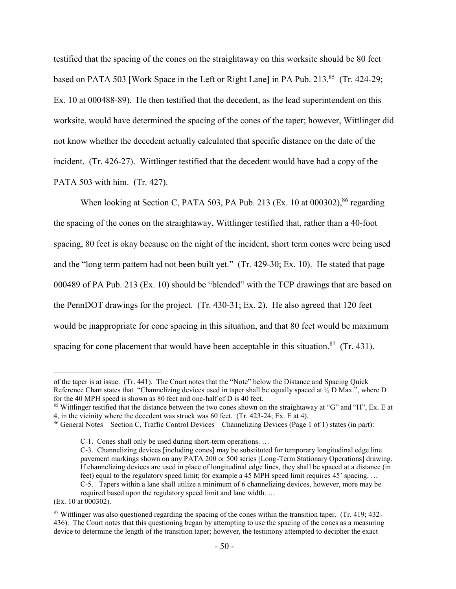testified that the spacing of the cones on the straightaway on this worksite should be 80 feet based on PATA 503 [Work Space in the Left or Right Lane] in PA Pub. 213.<sup>85</sup> (Tr. 424-29; Ex. 10 at 000488-89). He then testified that the decedent, as the lead superintendent on this worksite, would have determined the spacing of the cones of the taper; however, Wittlinger did not know whether the decedent actually calculated that specific distance on the date of the incident. (Tr. 426-27). Wittlinger testified that the decedent would have had a copy of the PATA 503 with him. (Tr. 427).

When looking at Section C, PATA 503, PA Pub. 213 (Ex. 10 at 000302),<sup>86</sup> regarding the spacing of the cones on the straightaway, Wittlinger testified that, rather than a 40-foot spacing, 80 feet is okay because on the night of the incident, short term cones were being used and the "long term pattern had not been built yet." (Tr. 429-30; Ex. 10). He stated that page 000489 of PA Pub. 213 (Ex. 10) should be "blended" with the TCP drawings that are based on the PennDOT drawings for the project. (Tr. 430-31; Ex. 2). He also agreed that 120 feet would be inappropriate for cone spacing in this situation, and that 80 feet would be maximum spacing for cone placement that would have been acceptable in this situation.<sup>87</sup> (Tr. 431).

<sup>85</sup> Wittlinger testified that the distance between the two cones shown on the straightaway at "G" and "H", Ex. E at 4, in the vicinity where the decedent was struck was 60 feet. (Tr. 423-24; Ex. E at 4).

of the taper is at issue. (Tr. 441). The Court notes that the "Note" below the Distance and Spacing Quick Reference Chart states that "Channelizing devices used in taper shall be equally spaced at ½ D Max.", where D for the 40 MPH speed is shown as 80 feet and one-half of D is 40 feet.

<sup>86</sup> General Notes – Section C, Traffic Control Devices – Channelizing Devices (Page 1 of 1) states (in part):

C-1. Cones shall only be used during short-term operations. …

C-3. Channelizing devices [including cones] may be substituted for temporary longitudinal edge line pavement markings shown on any PATA 200 or 500 series [Long-Term Stationary Operations] drawing. If channelizing devices are used in place of longitudinal edge lines, they shall be spaced at a distance (in feet) equal to the regulatory speed limit; for example a 45 MPH speed limit requires 45' spacing. … C-5. Tapers within a lane shall utilize a minimum of 6 channelizing devices, however, more may be

required based upon the regulatory speed limit and lane width. …

<sup>(</sup>Ex. 10 at 000302).

<sup>87</sup> Wittlinger was also questioned regarding the spacing of the cones within the transition taper. (Tr. 419; 432- 436). The Court notes that this questioning began by attempting to use the spacing of the cones as a measuring device to determine the length of the transition taper; however, the testimony attempted to decipher the exact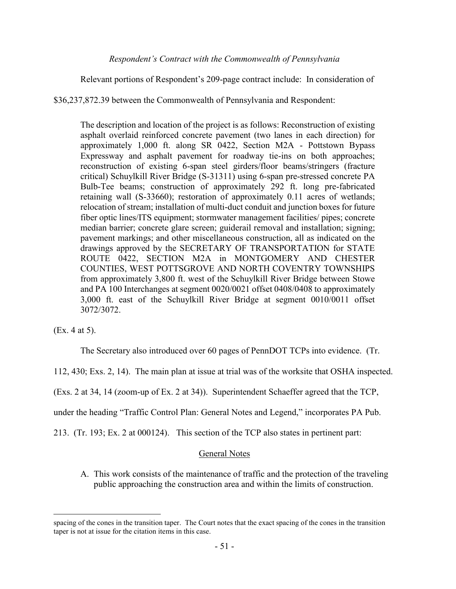### *Respondent's Contract with the Commonwealth of Pennsylvania*

Relevant portions of Respondent's 209-page contract include: In consideration of

\$36,237,872.39 between the Commonwealth of Pennsylvania and Respondent:

The description and location of the project is as follows: Reconstruction of existing asphalt overlaid reinforced concrete pavement (two lanes in each direction) for approximately 1,000 ft. along SR 0422, Section M2A - Pottstown Bypass Expressway and asphalt pavement for roadway tie-ins on both approaches; reconstruction of existing 6-span steel girders/floor beams/stringers (fracture critical) Schuylkill River Bridge (S-31311) using 6-span pre-stressed concrete PA Bulb-Tee beams; construction of approximately 292 ft. long pre-fabricated retaining wall (S-33660); restoration of approximately 0.11 acres of wetlands; relocation of stream; installation of multi-duct conduit and junction boxes for future fiber optic lines/ITS equipment; stormwater management facilities/ pipes; concrete median barrier; concrete glare screen; guiderail removal and installation; signing; pavement markings; and other miscellaneous construction, all as indicated on the drawings approved by the SECRETARY OF TRANSPORTATION for STATE ROUTE 0422, SECTION M2A in MONTGOMERY AND CHESTER COUNTIES, WEST POTTSGROVE AND NORTH COVENTRY TOWNSHIPS from approximately 3,800 ft. west of the Schuylkill River Bridge between Stowe and PA 100 Interchanges at segment 0020/0021 offset 0408/0408 to approximately 3,000 ft. east of the Schuylkill River Bridge at segment 0010/0011 offset 3072/3072.

(Ex. 4 at 5).

 $\overline{a}$ 

The Secretary also introduced over 60 pages of PennDOT TCPs into evidence. (Tr.

112, 430; Exs. 2, 14). The main plan at issue at trial was of the worksite that OSHA inspected.

(Exs. 2 at 34, 14 (zoom-up of Ex. 2 at 34)). Superintendent Schaeffer agreed that the TCP,

under the heading "Traffic Control Plan: General Notes and Legend," incorporates PA Pub.

213. (Tr. 193; Ex. 2 at 000124). This section of the TCP also states in pertinent part:

### General Notes

A. This work consists of the maintenance of traffic and the protection of the traveling public approaching the construction area and within the limits of construction.

spacing of the cones in the transition taper. The Court notes that the exact spacing of the cones in the transition taper is not at issue for the citation items in this case.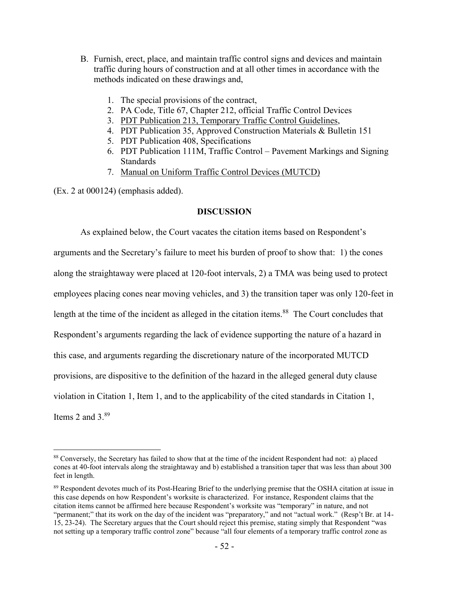- B. Furnish, erect, place, and maintain traffic control signs and devices and maintain traffic during hours of construction and at all other times in accordance with the methods indicated on these drawings and,
	- 1. The special provisions of the contract,
	- 2. PA Code, Title 67, Chapter 212, official Traffic Control Devices
	- 3. PDT Publication 213, Temporary Traffic Control Guidelines,
	- 4. PDT Publication 35, Approved Construction Materials & Bulletin 151
	- 5. PDT Publication 408, Specifications
	- 6. PDT Publication 111M, Traffic Control Pavement Markings and Signing Standards
	- 7. Manual on Uniform Traffic Control Devices (MUTCD)

(Ex. 2 at 000124) (emphasis added).

 $\overline{a}$ 

### **DISCUSSION**

As explained below, the Court vacates the citation items based on Respondent's arguments and the Secretary's failure to meet his burden of proof to show that: 1) the cones along the straightaway were placed at 120-foot intervals, 2) a TMA was being used to protect employees placing cones near moving vehicles, and 3) the transition taper was only 120-feet in length at the time of the incident as alleged in the citation items.<sup>88</sup> The Court concludes that Respondent's arguments regarding the lack of evidence supporting the nature of a hazard in this case, and arguments regarding the discretionary nature of the incorporated MUTCD provisions, are dispositive to the definition of the hazard in the alleged general duty clause violation in Citation 1, Item 1, and to the applicability of the cited standards in Citation 1, Items 2 and 3.<sup>89</sup>

<sup>88</sup> Conversely, the Secretary has failed to show that at the time of the incident Respondent had not: a) placed cones at 40-foot intervals along the straightaway and b) established a transition taper that was less than about 300 feet in length.

<sup>&</sup>lt;sup>89</sup> Respondent devotes much of its Post-Hearing Brief to the underlying premise that the OSHA citation at issue in this case depends on how Respondent's worksite is characterized. For instance, Respondent claims that the citation items cannot be affirmed here because Respondent's worksite was "temporary" in nature, and not "permanent;" that its work on the day of the incident was "preparatory," and not "actual work." (Resp't Br. at 14-15, 23-24). The Secretary argues that the Court should reject this premise, stating simply that Respondent "was not setting up a temporary traffic control zone" because "all four elements of a temporary traffic control zone as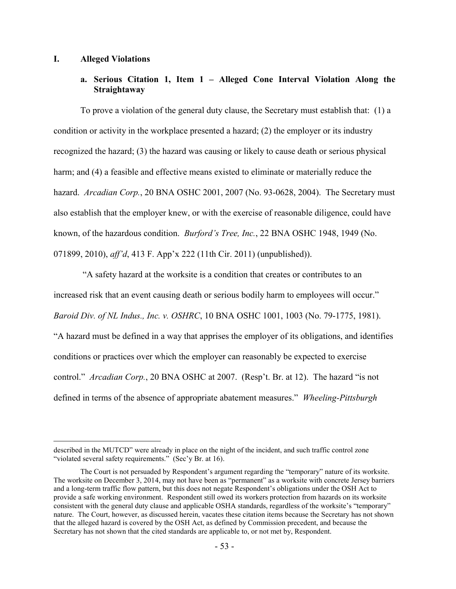#### **I. Alleged Violations**

## **a. Serious Citation 1, Item 1 – Alleged Cone Interval Violation Along the Straightaway**

To prove a violation of the general duty clause, the Secretary must establish that: (1) a condition or activity in the workplace presented a hazard; (2) the employer or its industry recognized the hazard; (3) the hazard was causing or likely to cause death or serious physical harm; and (4) a feasible and effective means existed to eliminate or materially reduce the hazard. *Arcadian Corp.*, 20 BNA OSHC 2001, 2007 (No. 93-0628, 2004). The Secretary must also establish that the employer knew, or with the exercise of reasonable diligence, could have known, of the hazardous condition. *Burford's Tree, Inc.*, 22 BNA OSHC 1948, 1949 (No. 071899, 2010), *aff'd*, 413 F. App'x 222 (11th Cir. 2011) (unpublished)).

"A safety hazard at the worksite is a condition that creates or contributes to an increased risk that an event causing death or serious bodily harm to employees will occur." *Baroid Div. of NL Indus., Inc. v. OSHRC*, 10 BNA OSHC 1001, 1003 (No. 79-1775, 1981). "A hazard must be defined in a way that apprises the employer of its obligations, and identifies conditions or practices over which the employer can reasonably be expected to exercise control." *Arcadian Corp.*, 20 BNA OSHC at 2007. (Resp't. Br. at 12). The hazard "is not defined in terms of the absence of appropriate abatement measures." *Wheeling-Pittsburgh* 

 $\overline{a}$ described in the MUTCD" were already in place on the night of the incident, and such traffic control zone "violated several safety requirements." (Sec'y Br. at 16).

The Court is not persuaded by Respondent's argument regarding the "temporary" nature of its worksite. The worksite on December 3, 2014, may not have been as "permanent" as a worksite with concrete Jersey barriers and a long-term traffic flow pattern, but this does not negate Respondent's obligations under the OSH Act to provide a safe working environment. Respondent still owed its workers protection from hazards on its worksite consistent with the general duty clause and applicable OSHA standards, regardless of the worksite's "temporary" nature. The Court, however, as discussed herein, vacates these citation items because the Secretary has not shown that the alleged hazard is covered by the OSH Act, as defined by Commission precedent, and because the Secretary has not shown that the cited standards are applicable to, or not met by, Respondent.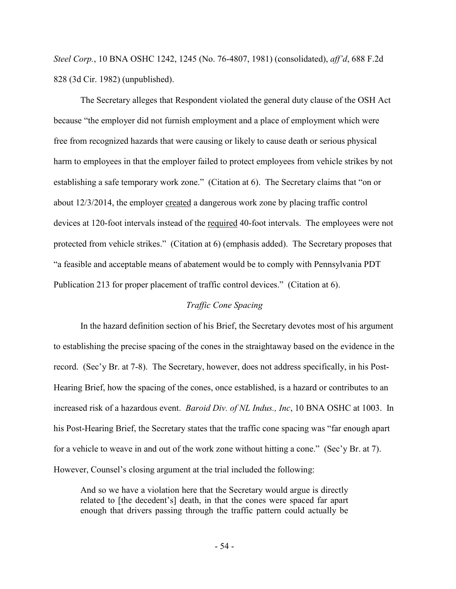*Steel Corp.*, 10 BNA OSHC 1242, 1245 (No. 76-4807, 1981) (consolidated), *aff'd*, 688 F.2d 828 (3d Cir. 1982) (unpublished).

The Secretary alleges that Respondent violated the general duty clause of the OSH Act because "the employer did not furnish employment and a place of employment which were free from recognized hazards that were causing or likely to cause death or serious physical harm to employees in that the employer failed to protect employees from vehicle strikes by not establishing a safe temporary work zone." (Citation at 6). The Secretary claims that "on or about 12/3/2014, the employer created a dangerous work zone by placing traffic control devices at 120-foot intervals instead of the required 40-foot intervals. The employees were not protected from vehicle strikes." (Citation at 6) (emphasis added). The Secretary proposes that "a feasible and acceptable means of abatement would be to comply with Pennsylvania PDT Publication 213 for proper placement of traffic control devices." (Citation at 6).

### *Traffic Cone Spacing*

In the hazard definition section of his Brief, the Secretary devotes most of his argument to establishing the precise spacing of the cones in the straightaway based on the evidence in the record. (Sec'y Br. at 7-8). The Secretary, however, does not address specifically, in his Post-Hearing Brief, how the spacing of the cones, once established, is a hazard or contributes to an increased risk of a hazardous event. *Baroid Div. of NL Indus., Inc*, 10 BNA OSHC at 1003. In his Post-Hearing Brief, the Secretary states that the traffic cone spacing was "far enough apart for a vehicle to weave in and out of the work zone without hitting a cone." (Sec'y Br. at 7). However, Counsel's closing argument at the trial included the following:

And so we have a violation here that the Secretary would argue is directly related to [the decedent's] death, in that the cones were spaced far apart enough that drivers passing through the traffic pattern could actually be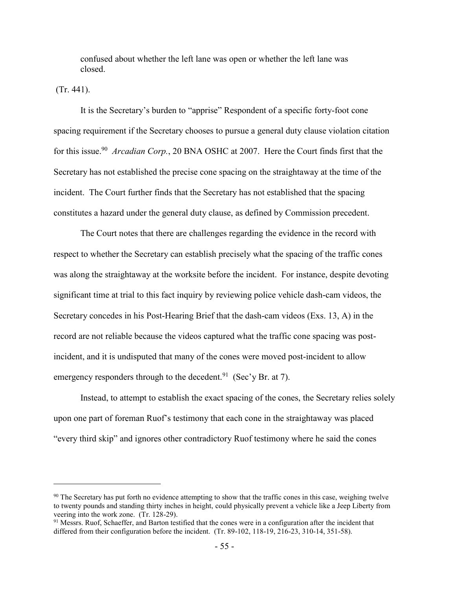confused about whether the left lane was open or whether the left lane was closed.

(Tr. 441).

It is the Secretary's burden to "apprise" Respondent of a specific forty-foot cone spacing requirement if the Secretary chooses to pursue a general duty clause violation citation for this issue.<sup>90</sup> Arcadian Corp., 20 BNA OSHC at 2007. Here the Court finds first that the Secretary has not established the precise cone spacing on the straightaway at the time of the incident. The Court further finds that the Secretary has not established that the spacing constitutes a hazard under the general duty clause, as defined by Commission precedent.

The Court notes that there are challenges regarding the evidence in the record with respect to whether the Secretary can establish precisely what the spacing of the traffic cones was along the straightaway at the worksite before the incident. For instance, despite devoting significant time at trial to this fact inquiry by reviewing police vehicle dash-cam videos, the Secretary concedes in his Post-Hearing Brief that the dash-cam videos (Exs. 13, A) in the record are not reliable because the videos captured what the traffic cone spacing was postincident, and it is undisputed that many of the cones were moved post-incident to allow emergency responders through to the decedent.<sup>91</sup> (Sec'y Br. at 7).

Instead, to attempt to establish the exact spacing of the cones, the Secretary relies solely upon one part of foreman Ruof's testimony that each cone in the straightaway was placed "every third skip" and ignores other contradictory Ruof testimony where he said the cones

<sup>&</sup>lt;sup>90</sup> The Secretary has put forth no evidence attempting to show that the traffic cones in this case, weighing twelve to twenty pounds and standing thirty inches in height, could physically prevent a vehicle like a Jeep Liberty from veering into the work zone. (Tr. 128-29).

<sup>&</sup>lt;sup>91</sup> Messrs. Ruof, Schaeffer, and Barton testified that the cones were in a configuration after the incident that differed from their configuration before the incident. (Tr. 89-102, 118-19, 216-23, 310-14, 351-58).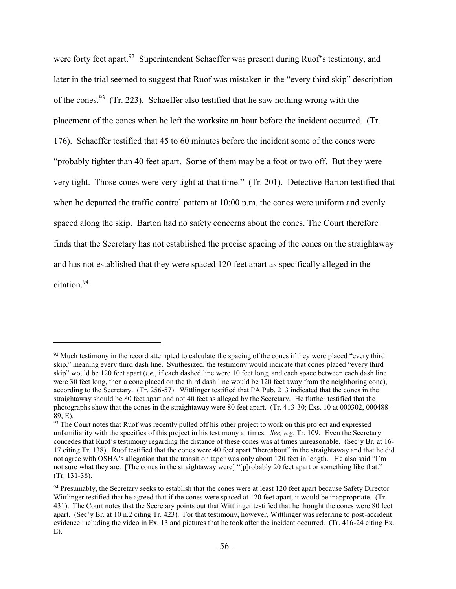were forty feet apart.<sup>92</sup> Superintendent Schaeffer was present during Ruof's testimony, and later in the trial seemed to suggest that Ruof was mistaken in the "every third skip" description of the cones.<sup>93</sup> (Tr. 223). Schaeffer also testified that he saw nothing wrong with the placement of the cones when he left the worksite an hour before the incident occurred. (Tr. 176). Schaeffer testified that 45 to 60 minutes before the incident some of the cones were "probably tighter than 40 feet apart. Some of them may be a foot or two off. But they were very tight. Those cones were very tight at that time." (Tr. 201). Detective Barton testified that when he departed the traffic control pattern at 10:00 p.m. the cones were uniform and evenly spaced along the skip. Barton had no safety concerns about the cones. The Court therefore finds that the Secretary has not established the precise spacing of the cones on the straightaway and has not established that they were spaced 120 feet apart as specifically alleged in the citation.<sup>94</sup>

 $92$  Much testimony in the record attempted to calculate the spacing of the cones if they were placed "every third" skip," meaning every third dash line. Synthesized, the testimony would indicate that cones placed "every third skip" would be 120 feet apart (*i.e.*, if each dashed line were 10 feet long, and each space between each dash line were 30 feet long, then a cone placed on the third dash line would be 120 feet away from the neighboring cone), according to the Secretary. (Tr. 256-57). Wittlinger testified that PA Pub. 213 indicated that the cones in the straightaway should be 80 feet apart and not 40 feet as alleged by the Secretary. He further testified that the photographs show that the cones in the straightaway were 80 feet apart. (Tr. 413-30; Exs. 10 at 000302, 000488- 89, E).

<sup>&</sup>lt;sup>93</sup> The Court notes that Ruof was recently pulled off his other project to work on this project and expressed unfamiliarity with the specifics of this project in his testimony at times. *See, e.g*, Tr. 109. Even the Secretary concedes that Ruof's testimony regarding the distance of these cones was at times unreasonable. (Sec'y Br. at 16- 17 citing Tr. 138). Ruof testified that the cones were 40 feet apart "thereabout" in the straightaway and that he did not agree with OSHA's allegation that the transition taper was only about 120 feet in length. He also said "I'm not sure what they are. [The cones in the straightaway were] "[p]robably 20 feet apart or something like that." (Tr. 131-38).

<sup>&</sup>lt;sup>94</sup> Presumably, the Secretary seeks to establish that the cones were at least 120 feet apart because Safety Director Wittlinger testified that he agreed that if the cones were spaced at 120 feet apart, it would be inappropriate. (Tr. 431). The Court notes that the Secretary points out that Wittlinger testified that he thought the cones were 80 feet apart. (Sec'y Br. at 10 n.2 citing Tr. 423). For that testimony, however, Wittlinger was referring to post-accident evidence including the video in Ex. 13 and pictures that he took after the incident occurred. (Tr. 416-24 citing Ex. E).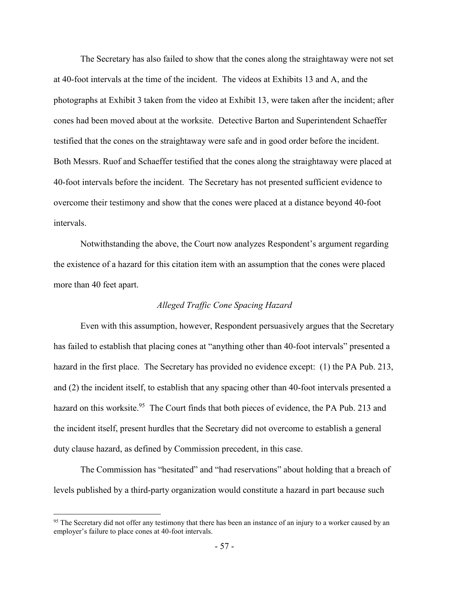The Secretary has also failed to show that the cones along the straightaway were not set at 40-foot intervals at the time of the incident. The videos at Exhibits 13 and A, and the photographs at Exhibit 3 taken from the video at Exhibit 13, were taken after the incident; after cones had been moved about at the worksite. Detective Barton and Superintendent Schaeffer testified that the cones on the straightaway were safe and in good order before the incident. Both Messrs. Ruof and Schaeffer testified that the cones along the straightaway were placed at 40-foot intervals before the incident. The Secretary has not presented sufficient evidence to overcome their testimony and show that the cones were placed at a distance beyond 40-foot intervals.

Notwithstanding the above, the Court now analyzes Respondent's argument regarding the existence of a hazard for this citation item with an assumption that the cones were placed more than 40 feet apart.

### *Alleged Traffic Cone Spacing Hazard*

Even with this assumption, however, Respondent persuasively argues that the Secretary has failed to establish that placing cones at "anything other than 40-foot intervals" presented a hazard in the first place. The Secretary has provided no evidence except: (1) the PA Pub. 213, and (2) the incident itself, to establish that any spacing other than 40-foot intervals presented a hazard on this worksite.<sup>95</sup> The Court finds that both pieces of evidence, the PA Pub. 213 and the incident itself, present hurdles that the Secretary did not overcome to establish a general duty clause hazard, as defined by Commission precedent, in this case.

The Commission has "hesitated" and "had reservations" about holding that a breach of levels published by a third-party organization would constitute a hazard in part because such

<sup>&</sup>lt;sup>95</sup> The Secretary did not offer any testimony that there has been an instance of an injury to a worker caused by an employer's failure to place cones at 40-foot intervals.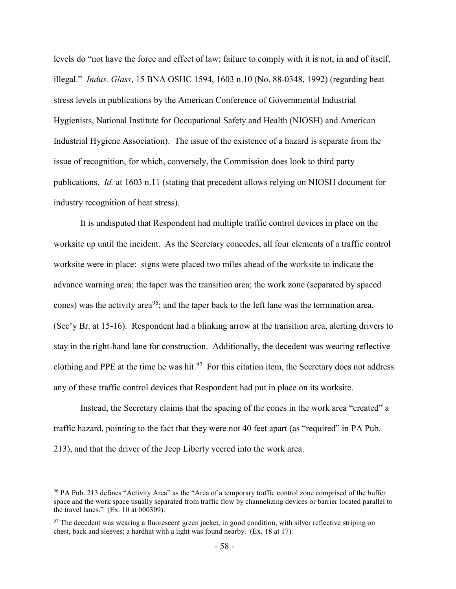levels do "not have the force and effect of law; failure to comply with it is not, in and of itself, illegal." *Indus. Glass*, 15 BNA OSHC 1594, 1603 n.10 (No. 88-0348, 1992) (regarding heat stress levels in publications by the American Conference of Governmental Industrial Hygienists, National Institute for Occupational Safety and Health (NIOSH) and American Industrial Hygiene Association). The issue of the existence of a hazard is separate from the issue of recognition, for which, conversely, the Commission does look to third party publications. *Id.* at 1603 n.11 (stating that precedent allows relying on NIOSH document for industry recognition of heat stress).

It is undisputed that Respondent had multiple traffic control devices in place on the worksite up until the incident. As the Secretary concedes, all four elements of a traffic control worksite were in place: signs were placed two miles ahead of the worksite to indicate the advance warning area; the taper was the transition area; the work zone (separated by spaced cones) was the activity area<sup>96</sup>; and the taper back to the left lane was the termination area. (Sec'y Br. at 15-16). Respondent had a blinking arrow at the transition area, alerting drivers to stay in the right-hand lane for construction. Additionally, the decedent was wearing reflective clothing and PPE at the time he was hit.<sup>97</sup> For this citation item, the Secretary does not address any of these traffic control devices that Respondent had put in place on its worksite.

Instead, the Secretary claims that the spacing of the cones in the work area "created" a traffic hazard, pointing to the fact that they were not 40 feet apart (as "required" in PA Pub. 213), and that the driver of the Jeep Liberty veered into the work area.

<sup>&</sup>lt;sup>96</sup> PA Pub. 213 defines "Activity Area" as the "Area of a temporary traffic control zone comprised of the buffer space and the work space usually separated from traffic flow by channelizing devices or barrier located parallel to the travel lanes."  $(E_{\rm X}$ . 10 at 000309).

<sup>&</sup>lt;sup>97</sup> The decedent was wearing a fluorescent green jacket, in good condition, with silver reflective striping on chest, back and sleeves; a hardhat with a light was found nearby. (Ex. 18 at 17).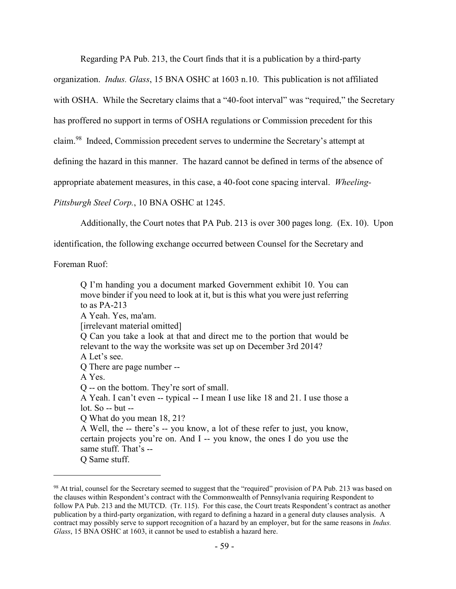Regarding PA Pub. 213, the Court finds that it is a publication by a third-party

organization. *Indus. Glass*, 15 BNA OSHC at 1603 n.10. This publication is not affiliated

with OSHA. While the Secretary claims that a "40-foot interval" was "required," the Secretary

has proffered no support in terms of OSHA regulations or Commission precedent for this

claim.<sup>98</sup> Indeed, Commission precedent serves to undermine the Secretary's attempt at

defining the hazard in this manner. The hazard cannot be defined in terms of the absence of

appropriate abatement measures, in this case, a 40-foot cone spacing interval. *Wheeling-*

*Pittsburgh Steel Corp.*, 10 BNA OSHC at 1245.

Additionally, the Court notes that PA Pub. 213 is over 300 pages long. (Ex. 10). Upon

identification, the following exchange occurred between Counsel for the Secretary and

Foreman Ruof:

 $\overline{a}$ 

Q I'm handing you a document marked Government exhibit 10. You can move binder if you need to look at it, but is this what you were just referring to as PA-213 A Yeah. Yes, ma'am. [irrelevant material omitted] Q Can you take a look at that and direct me to the portion that would be relevant to the way the worksite was set up on December 3rd 2014? A Let's see. Q There are page number -- A Yes. Q -- on the bottom. They're sort of small. A Yeah. I can't even -- typical -- I mean I use like 18 and 21. I use those a lot. So -- but -- Q What do you mean 18, 21? A Well, the -- there's -- you know, a lot of these refer to just, you know, certain projects you're on. And I -- you know, the ones I do you use the same stuff. That's -- Q Same stuff.

<sup>&</sup>lt;sup>98</sup> At trial, counsel for the Secretary seemed to suggest that the "required" provision of PA Pub. 213 was based on the clauses within Respondent's contract with the Commonwealth of Pennsylvania requiring Respondent to follow PA Pub. 213 and the MUTCD. (Tr. 115). For this case, the Court treats Respondent's contract as another publication by a third-party organization, with regard to defining a hazard in a general duty clauses analysis. A contract may possibly serve to support recognition of a hazard by an employer, but for the same reasons in *Indus. Glass*, 15 BNA OSHC at 1603, it cannot be used to establish a hazard here.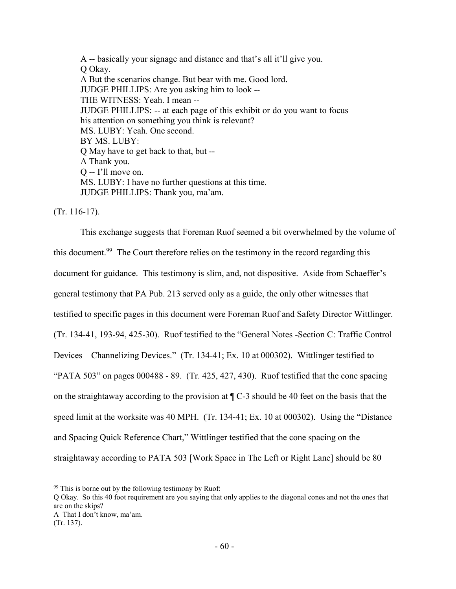A -- basically your signage and distance and that's all it'll give you. Q Okay. A But the scenarios change. But bear with me. Good lord. JUDGE PHILLIPS: Are you asking him to look -- THE WITNESS: Yeah. I mean -- JUDGE PHILLIPS: -- at each page of this exhibit or do you want to focus his attention on something you think is relevant? MS. LUBY: Yeah. One second. BY MS. LUBY: Q May have to get back to that, but -- A Thank you. Q -- I'll move on. MS. LUBY: I have no further questions at this time. JUDGE PHILLIPS: Thank you, ma'am.

(Tr. 116-17).

This exchange suggests that Foreman Ruof seemed a bit overwhelmed by the volume of this document.<sup>99</sup> The Court therefore relies on the testimony in the record regarding this document for guidance. This testimony is slim, and, not dispositive. Aside from Schaeffer's general testimony that PA Pub. 213 served only as a guide, the only other witnesses that testified to specific pages in this document were Foreman Ruof and Safety Director Wittlinger. (Tr. 134-41, 193-94, 425-30). Ruof testified to the "General Notes -Section C: Traffic Control Devices – Channelizing Devices." (Tr. 134-41; Ex. 10 at 000302). Wittlinger testified to "PATA 503" on pages 000488 - 89. (Tr. 425, 427, 430). Ruof testified that the cone spacing on the straightaway according to the provision at ¶ C-3 should be 40 feet on the basis that the speed limit at the worksite was 40 MPH. (Tr. 134-41; Ex. 10 at 000302). Using the "Distance and Spacing Quick Reference Chart," Wittlinger testified that the cone spacing on the straightaway according to PATA 503 [Work Space in The Left or Right Lane] should be 80

Q Okay. So this 40 foot requirement are you saying that only applies to the diagonal cones and not the ones that are on the skips?

 $99$  This is borne out by the following testimony by Ruof:

A That I don't know, ma'am. (Tr. 137).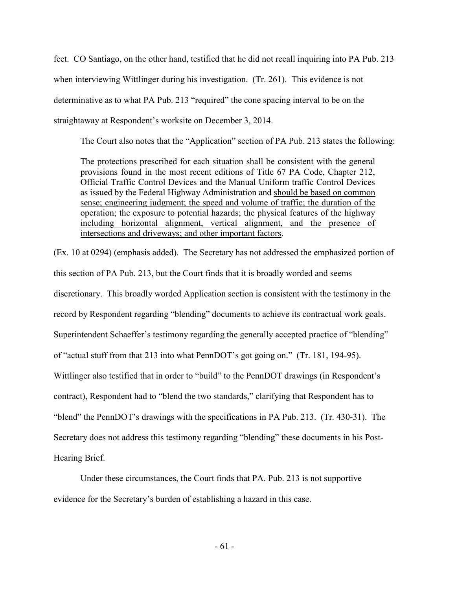feet. CO Santiago, on the other hand, testified that he did not recall inquiring into PA Pub. 213 when interviewing Wittlinger during his investigation. (Tr. 261). This evidence is not determinative as to what PA Pub. 213 "required" the cone spacing interval to be on the straightaway at Respondent's worksite on December 3, 2014.

The Court also notes that the "Application" section of PA Pub. 213 states the following:

The protections prescribed for each situation shall be consistent with the general provisions found in the most recent editions of Title 67 PA Code, Chapter 212, Official Traffic Control Devices and the Manual Uniform traffic Control Devices as issued by the Federal Highway Administration and should be based on common sense; engineering judgment; the speed and volume of traffic; the duration of the operation; the exposure to potential hazards; the physical features of the highway including horizontal alignment, vertical alignment, and the presence of intersections and driveways; and other important factors.

(Ex. 10 at 0294) (emphasis added). The Secretary has not addressed the emphasized portion of this section of PA Pub. 213, but the Court finds that it is broadly worded and seems discretionary. This broadly worded Application section is consistent with the testimony in the record by Respondent regarding "blending" documents to achieve its contractual work goals. Superintendent Schaeffer's testimony regarding the generally accepted practice of "blending" of "actual stuff from that 213 into what PennDOT's got going on." (Tr. 181, 194-95). Wittlinger also testified that in order to "build" to the PennDOT drawings (in Respondent's contract), Respondent had to "blend the two standards," clarifying that Respondent has to "blend" the PennDOT's drawings with the specifications in PA Pub. 213. (Tr. 430-31). The Secretary does not address this testimony regarding "blending" these documents in his Post-Hearing Brief.

Under these circumstances, the Court finds that PA. Pub. 213 is not supportive evidence for the Secretary's burden of establishing a hazard in this case.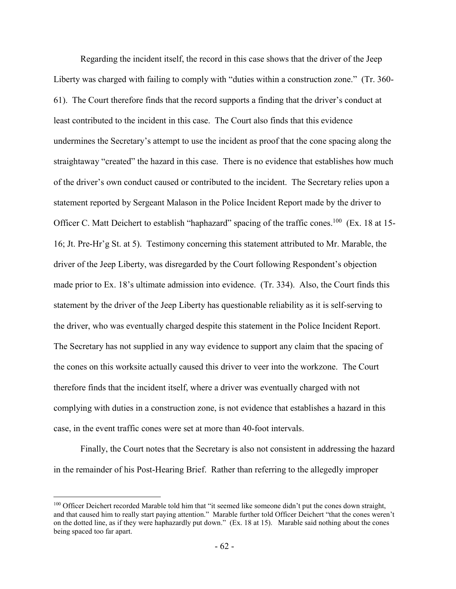Regarding the incident itself, the record in this case shows that the driver of the Jeep Liberty was charged with failing to comply with "duties within a construction zone." (Tr. 360- 61). The Court therefore finds that the record supports a finding that the driver's conduct at least contributed to the incident in this case. The Court also finds that this evidence undermines the Secretary's attempt to use the incident as proof that the cone spacing along the straightaway "created" the hazard in this case. There is no evidence that establishes how much of the driver's own conduct caused or contributed to the incident. The Secretary relies upon a statement reported by Sergeant Malason in the Police Incident Report made by the driver to Officer C. Matt Deichert to establish "haphazard" spacing of the traffic cones.<sup>100</sup> (Ex. 18 at 15-16; Jt. Pre-Hr'g St. at 5). Testimony concerning this statement attributed to Mr. Marable, the driver of the Jeep Liberty, was disregarded by the Court following Respondent's objection made prior to Ex. 18's ultimate admission into evidence. (Tr. 334). Also, the Court finds this statement by the driver of the Jeep Liberty has questionable reliability as it is self-serving to the driver, who was eventually charged despite this statement in the Police Incident Report. The Secretary has not supplied in any way evidence to support any claim that the spacing of the cones on this worksite actually caused this driver to veer into the workzone. The Court therefore finds that the incident itself, where a driver was eventually charged with not complying with duties in a construction zone, is not evidence that establishes a hazard in this case, in the event traffic cones were set at more than 40-foot intervals.

Finally, the Court notes that the Secretary is also not consistent in addressing the hazard in the remainder of his Post-Hearing Brief. Rather than referring to the allegedly improper

<sup>&</sup>lt;sup>100</sup> Officer Deichert recorded Marable told him that "it seemed like someone didn't put the cones down straight, and that caused him to really start paying attention." Marable further told Officer Deichert "that the cones weren't on the dotted line, as if they were haphazardly put down." (Ex. 18 at 15). Marable said nothing about the cones being spaced too far apart.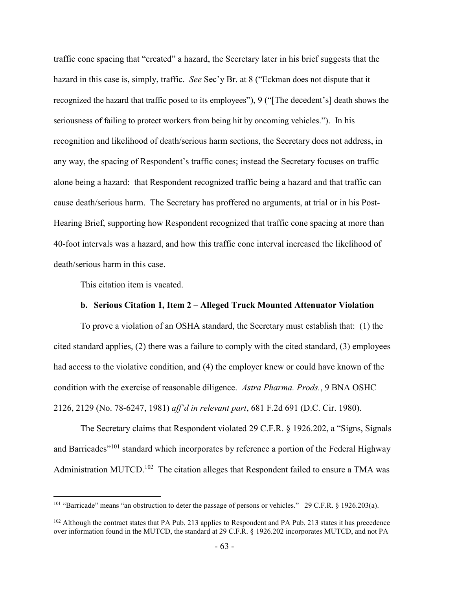traffic cone spacing that "created" a hazard, the Secretary later in his brief suggests that the hazard in this case is, simply, traffic. *See* Sec'y Br. at 8 ("Eckman does not dispute that it recognized the hazard that traffic posed to its employees"), 9 ("[The decedent's] death shows the seriousness of failing to protect workers from being hit by oncoming vehicles."). In his recognition and likelihood of death/serious harm sections, the Secretary does not address, in any way, the spacing of Respondent's traffic cones; instead the Secretary focuses on traffic alone being a hazard: that Respondent recognized traffic being a hazard and that traffic can cause death/serious harm. The Secretary has proffered no arguments, at trial or in his Post-Hearing Brief, supporting how Respondent recognized that traffic cone spacing at more than 40-foot intervals was a hazard, and how this traffic cone interval increased the likelihood of death/serious harm in this case.

This citation item is vacated.

 $\overline{a}$ 

### **b. Serious Citation 1, Item 2 – Alleged Truck Mounted Attenuator Violation**

To prove a violation of an OSHA standard, the Secretary must establish that: (1) the cited standard applies, (2) there was a failure to comply with the cited standard, (3) employees had access to the violative condition, and (4) the employer knew or could have known of the condition with the exercise of reasonable diligence. *Astra Pharma. Prods.*, 9 BNA OSHC 2126, 2129 (No. 78-6247, 1981) *aff'd in relevant part*, 681 F.2d 691 (D.C. Cir. 1980).

The Secretary claims that Respondent violated 29 C.F.R. § 1926.202, a "Signs, Signals and Barricades<sup>"101</sup> standard which incorporates by reference a portion of the Federal Highway Administration MUTCD.<sup>102</sup> The citation alleges that Respondent failed to ensure a TMA was

<sup>&</sup>lt;sup>101</sup> "Barricade" means "an obstruction to deter the passage of persons or vehicles." 29 C.F.R. § 1926.203(a).

<sup>&</sup>lt;sup>102</sup> Although the contract states that PA Pub. 213 applies to Respondent and PA Pub. 213 states it has precedence over information found in the MUTCD, the standard at 29 C.F.R. § 1926.202 incorporates MUTCD, and not PA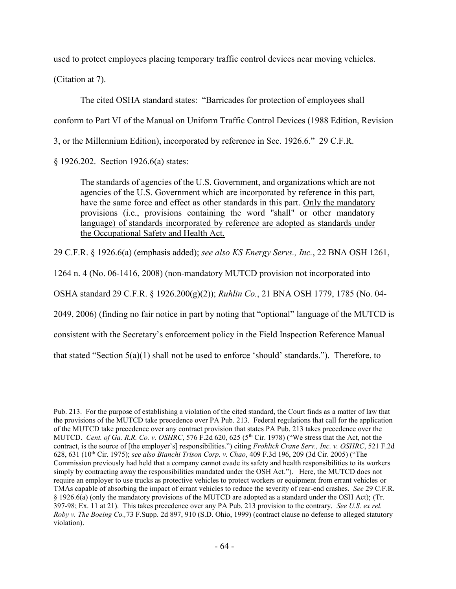used to protect employees placing temporary traffic control devices near moving vehicles.

(Citation at 7).

The cited OSHA standard states: "Barricades for protection of employees shall conform to Part VI of the Manual on Uniform Traffic Control Devices (1988 Edition, Revision 3, or the Millennium Edition), incorporated by reference in Sec. 1926.6." 29 C.F.R.

§ 1926.202. Section 1926.6(a) states:

The standards of agencies of the U.S. Government, and organizations which are not agencies of the U.S. Government which are incorporated by reference in this part, have the same force and effect as other standards in this part. Only the mandatory provisions (i.e., provisions containing the word "shall" or other mandatory language) of standards incorporated by reference are adopted as standards under the Occupational Safety and Health Act.

29 C.F.R. § 1926.6(a) (emphasis added); *see also KS Energy Servs., Inc.*, 22 BNA OSH 1261,

1264 n. 4 (No. 06-1416, 2008) (non-mandatory MUTCD provision not incorporated into

OSHA standard 29 C.F.R. § 1926.200(g)(2)); *Ruhlin Co.*, 21 BNA OSH 1779, 1785 (No. 04-

2049, 2006) (finding no fair notice in part by noting that "optional" language of the MUTCD is

consistent with the Secretary's enforcement policy in the Field Inspection Reference Manual

that stated "Section 5(a)(1) shall not be used to enforce 'should' standards."). Therefore, to

 $\overline{a}$ Pub. 213. For the purpose of establishing a violation of the cited standard, the Court finds as a matter of law that the provisions of the MUTCD take precedence over PA Pub. 213. Federal regulations that call for the application of the MUTCD take precedence over any contract provision that states PA Pub. 213 takes precedence over the MUTCD. *Cent. of Ga. R.R. Co. v. OSHRC*, 576 F.2d 620, 625 (5<sup>th</sup> Cir. 1978) ("We stress that the Act, not the contract, is the source of [the employer's] responsibilities.") citing *Frohlick Crane Serv., Inc. v. OSHRC*, 521 F.2d 628, 631 (10th Cir. 1975); *see also Bianchi Trison Corp. v. Chao*, 409 F.3d 196, 209 (3d Cir. 2005) ("The Commission previously had held that a company cannot evade its safety and health responsibilities to its workers simply by contracting away the responsibilities mandated under the OSH Act."). Here, the MUTCD does not require an employer to use trucks as protective vehicles to protect workers or equipment from errant vehicles or TMAs capable of absorbing the impact of errant vehicles to reduce the severity of rear-end crashes. *See* 29 C.F.R. § 1926.6(a) (only the mandatory provisions of the MUTCD are adopted as a standard under the OSH Act); (Tr. 397-98; Ex. 11 at 21). This takes precedence over any PA Pub. 213 provision to the contrary. *See U.S. ex rel. Roby v. The Boeing Co.,*73 F.Supp. 2d 897, 910 (S.D. Ohio, 1999) (contract clause no defense to alleged statutory violation).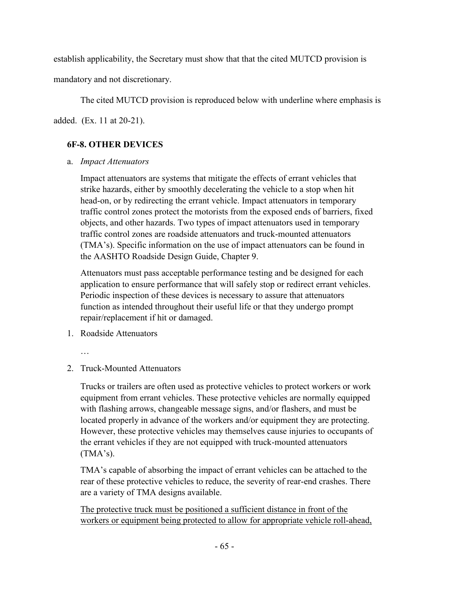establish applicability, the Secretary must show that that the cited MUTCD provision is

mandatory and not discretionary.

The cited MUTCD provision is reproduced below with underline where emphasis is

added. (Ex. 11 at 20-21).

# **6F-8. OTHER DEVICES**

a. *Impact Attenuators*

Impact attenuators are systems that mitigate the effects of errant vehicles that strike hazards, either by smoothly decelerating the vehicle to a stop when hit head-on, or by redirecting the errant vehicle. Impact attenuators in temporary traffic control zones protect the motorists from the exposed ends of barriers, fixed objects, and other hazards. Two types of impact attenuators used in temporary traffic control zones are roadside attenuators and truck-mounted attenuators (TMA's). Specific information on the use of impact attenuators can be found in the AASHTO Roadside Design Guide, Chapter 9.

Attenuators must pass acceptable performance testing and be designed for each application to ensure performance that will safely stop or redirect errant vehicles. Periodic inspection of these devices is necessary to assure that attenuators function as intended throughout their useful life or that they undergo prompt repair/replacement if hit or damaged.

- 1. Roadside Attenuators
	- …
- 2. Truck-Mounted Attenuators

Trucks or trailers are often used as protective vehicles to protect workers or work equipment from errant vehicles. These protective vehicles are normally equipped with flashing arrows, changeable message signs, and/or flashers, and must be located properly in advance of the workers and/or equipment they are protecting. However, these protective vehicles may themselves cause injuries to occupants of the errant vehicles if they are not equipped with truck-mounted attenuators (TMA's).

TMA's capable of absorbing the impact of errant vehicles can be attached to the rear of these protective vehicles to reduce, the severity of rear-end crashes. There are a variety of TMA designs available.

The protective truck must be positioned a sufficient distance in front of the workers or equipment being protected to allow for appropriate vehicle roll-ahead,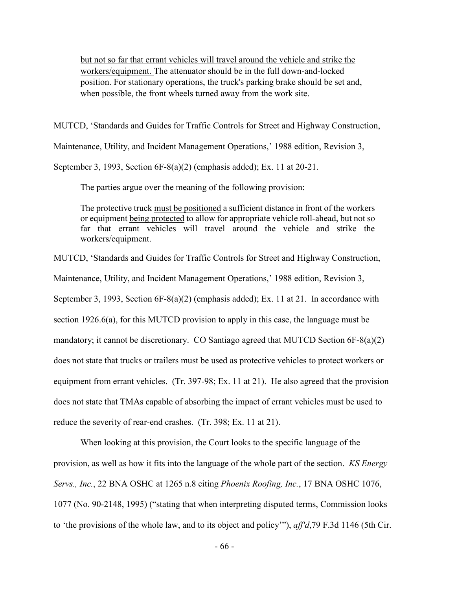but not so far that errant vehicles will travel around the vehicle and strike the workers/equipment. The attenuator should be in the full down-and-locked position. For stationary operations, the truck's parking brake should be set and, when possible, the front wheels turned away from the work site.

MUTCD, 'Standards and Guides for Traffic Controls for Street and Highway Construction,

Maintenance, Utility, and Incident Management Operations,' 1988 edition, Revision 3,

September 3, 1993, Section 6F-8(a)(2) (emphasis added); Ex. 11 at 20-21.

The parties argue over the meaning of the following provision:

The protective truck must be positioned a sufficient distance in front of the workers or equipment being protected to allow for appropriate vehicle roll-ahead, but not so far that errant vehicles will travel around the vehicle and strike the workers/equipment.

MUTCD, 'Standards and Guides for Traffic Controls for Street and Highway Construction,

Maintenance, Utility, and Incident Management Operations,' 1988 edition, Revision 3,

September 3, 1993, Section 6F-8(a)(2) (emphasis added); Ex. 11 at 21. In accordance with

section 1926.6(a), for this MUTCD provision to apply in this case, the language must be

mandatory; it cannot be discretionary. CO Santiago agreed that MUTCD Section 6F-8(a)(2)

does not state that trucks or trailers must be used as protective vehicles to protect workers or

equipment from errant vehicles. (Tr. 397-98; Ex. 11 at 21). He also agreed that the provision

does not state that TMAs capable of absorbing the impact of errant vehicles must be used to

reduce the severity of rear-end crashes. (Tr. 398; Ex. 11 at 21).

When looking at this provision, the Court looks to the specific language of the provision, as well as how it fits into the language of the whole part of the section. *KS Energy Servs., Inc.*, 22 BNA OSHC at 1265 n.8 citing *Phoenix Roofing, Inc.*, 17 BNA OSHC 1076, 1077 (No. 90-2148, 1995) ("stating that when interpreting disputed terms, Commission looks to 'the provisions of the whole law, and to its object and policy'"), *aff'd*,79 F.3d 1146 (5th Cir.

- 66 -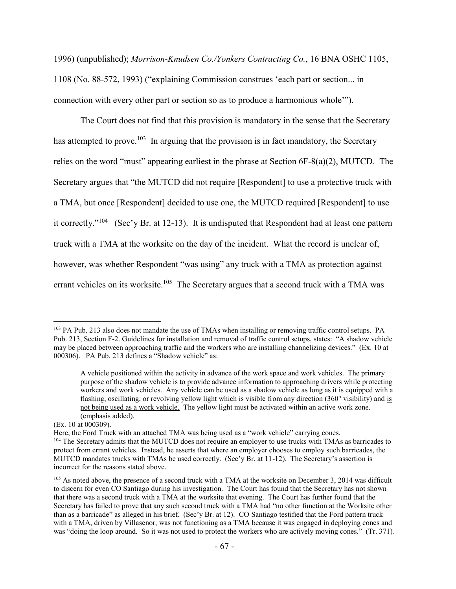1996) (unpublished); *Morrison-Knudsen Co./Yonkers Contracting Co.*, 16 BNA OSHC 1105, 1108 (No. 88-572, 1993) ("explaining Commission construes 'each part or section... in connection with every other part or section so as to produce a harmonious whole'").

The Court does not find that this provision is mandatory in the sense that the Secretary has attempted to prove.<sup>103</sup> In arguing that the provision is in fact mandatory, the Secretary relies on the word "must" appearing earliest in the phrase at Section 6F-8(a)(2), MUTCD. The Secretary argues that "the MUTCD did not require [Respondent] to use a protective truck with a TMA, but once [Respondent] decided to use one, the MUTCD required [Respondent] to use it correctly."<sup>104</sup> (Sec'y Br. at 12-13). It is undisputed that Respondent had at least one pattern truck with a TMA at the worksite on the day of the incident. What the record is unclear of, however, was whether Respondent "was using" any truck with a TMA as protection against errant vehicles on its worksite.<sup>105</sup> The Secretary argues that a second truck with a TMA was

<sup>&</sup>lt;sup>103</sup> PA Pub. 213 also does not mandate the use of TMAs when installing or removing traffic control setups. PA Pub. 213, Section F-2. Guidelines for installation and removal of traffic control setups, states: "A shadow vehicle may be placed between approaching traffic and the workers who are installing channelizing devices." (Ex. 10 at 000306). PA Pub. 213 defines a "Shadow vehicle" as:

A vehicle positioned within the activity in advance of the work space and work vehicles. The primary purpose of the shadow vehicle is to provide advance information to approaching drivers while protecting workers and work vehicles. Any vehicle can be used as a shadow vehicle as long as it is equipped with a flashing, oscillating, or revolving yellow light which is visible from any direction (360° visibility) and is not being used as a work vehicle. The yellow light must be activated within an active work zone. (emphasis added).

<sup>(</sup>Ex. 10 at 000309).

Here, the Ford Truck with an attached TMA was being used as a "work vehicle" carrying cones. <sup>104</sup> The Secretary admits that the MUTCD does not require an employer to use trucks with TMAs as barricades to protect from errant vehicles. Instead, he asserts that where an employer chooses to employ such barricades, the MUTCD mandates trucks with TMAs be used correctly. (Sec'y Br. at 11-12). The Secretary's assertion is incorrect for the reasons stated above.

 $105$  As noted above, the presence of a second truck with a TMA at the worksite on December 3, 2014 was difficult to discern for even CO Santiago during his investigation. The Court has found that the Secretary has not shown that there was a second truck with a TMA at the worksite that evening. The Court has further found that the Secretary has failed to prove that any such second truck with a TMA had "no other function at the Worksite other than as a barricade" as alleged in his brief. (Sec'y Br. at 12). CO Santiago testified that the Ford pattern truck with a TMA, driven by Villasenor, was not functioning as a TMA because it was engaged in deploying cones and was "doing the loop around. So it was not used to protect the workers who are actively moving cones." (Tr. 371).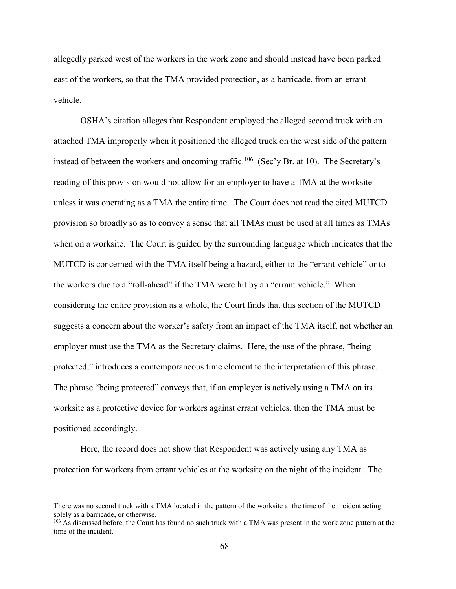allegedly parked west of the workers in the work zone and should instead have been parked east of the workers, so that the TMA provided protection, as a barricade, from an errant vehicle.

OSHA's citation alleges that Respondent employed the alleged second truck with an attached TMA improperly when it positioned the alleged truck on the west side of the pattern instead of between the workers and oncoming traffic.<sup>106</sup> (Sec'y Br. at 10). The Secretary's reading of this provision would not allow for an employer to have a TMA at the worksite unless it was operating as a TMA the entire time. The Court does not read the cited MUTCD provision so broadly so as to convey a sense that all TMAs must be used at all times as TMAs when on a worksite. The Court is guided by the surrounding language which indicates that the MUTCD is concerned with the TMA itself being a hazard, either to the "errant vehicle" or to the workers due to a "roll-ahead" if the TMA were hit by an "errant vehicle." When considering the entire provision as a whole, the Court finds that this section of the MUTCD suggests a concern about the worker's safety from an impact of the TMA itself, not whether an employer must use the TMA as the Secretary claims. Here, the use of the phrase, "being protected," introduces a contemporaneous time element to the interpretation of this phrase. The phrase "being protected" conveys that, if an employer is actively using a TMA on its worksite as a protective device for workers against errant vehicles, then the TMA must be positioned accordingly.

Here, the record does not show that Respondent was actively using any TMA as protection for workers from errant vehicles at the worksite on the night of the incident. The

There was no second truck with a TMA located in the pattern of the worksite at the time of the incident acting solely as a barricade, or otherwise.

<sup>&</sup>lt;sup>106</sup> As discussed before, the Court has found no such truck with a TMA was present in the work zone pattern at the time of the incident.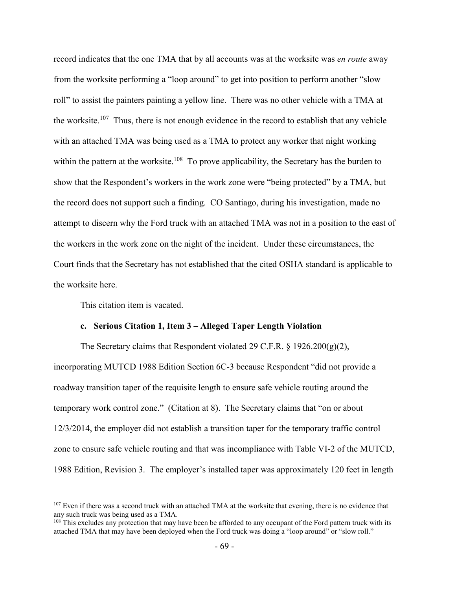record indicates that the one TMA that by all accounts was at the worksite was *en route* away from the worksite performing a "loop around" to get into position to perform another "slow roll" to assist the painters painting a yellow line. There was no other vehicle with a TMA at the worksite.<sup>107</sup> Thus, there is not enough evidence in the record to establish that any vehicle with an attached TMA was being used as a TMA to protect any worker that night working within the pattern at the worksite.<sup>108</sup> To prove applicability, the Secretary has the burden to show that the Respondent's workers in the work zone were "being protected" by a TMA, but the record does not support such a finding. CO Santiago, during his investigation, made no attempt to discern why the Ford truck with an attached TMA was not in a position to the east of the workers in the work zone on the night of the incident. Under these circumstances, the Court finds that the Secretary has not established that the cited OSHA standard is applicable to the worksite here.

This citation item is vacated.

 $\overline{a}$ 

#### **c. Serious Citation 1, Item 3 – Alleged Taper Length Violation**

The Secretary claims that Respondent violated 29 C.F.R.  $\S 1926.200(g)(2)$ , incorporating MUTCD 1988 Edition Section 6C-3 because Respondent "did not provide a roadway transition taper of the requisite length to ensure safe vehicle routing around the temporary work control zone." (Citation at 8). The Secretary claims that "on or about 12/3/2014, the employer did not establish a transition taper for the temporary traffic control zone to ensure safe vehicle routing and that was incompliance with Table VI-2 of the MUTCD, 1988 Edition, Revision 3. The employer's installed taper was approximately 120 feet in length

<sup>&</sup>lt;sup>107</sup> Even if there was a second truck with an attached TMA at the worksite that evening, there is no evidence that any such truck was being used as a TMA.

<sup>&</sup>lt;sup>108</sup> This excludes any protection that may have been be afforded to any occupant of the Ford pattern truck with its attached TMA that may have been deployed when the Ford truck was doing a "loop around" or "slow roll."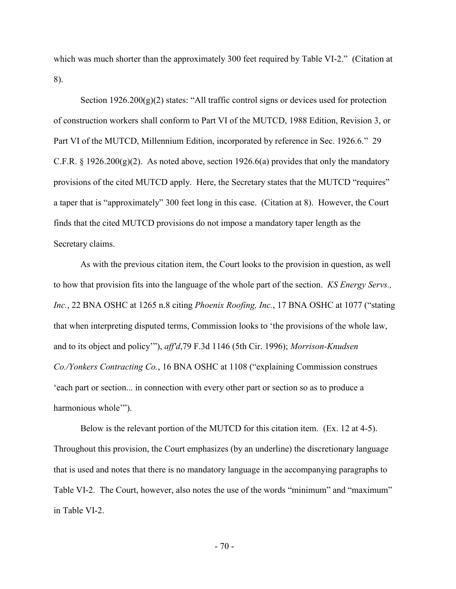which was much shorter than the approximately 300 feet required by Table VI-2." (Citation at 8).

Section  $1926.200(g)(2)$  states: "All traffic control signs or devices used for protection of construction workers shall conform to Part VI of the MUTCD, 1988 Edition, Revision 3, or Part VI of the MUTCD, Millennium Edition, incorporated by reference in Sec. 1926.6." 29 C.F.R. § 1926.200(g)(2). As noted above, section 1926.6(a) provides that only the mandatory provisions of the cited MUTCD apply. Here, the Secretary states that the MUTCD "requires" a taper that is "approximately" 300 feet long in this case. (Citation at 8). However, the Court finds that the cited MUTCD provisions do not impose a mandatory taper length as the Secretary claims.

As with the previous citation item, the Court looks to the provision in question, as well to how that provision fits into the language of the whole part of the section. *KS Energy Servs., Inc.*, 22 BNA OSHC at 1265 n.8 citing *Phoenix Roofing, Inc.*, 17 BNA OSHC at 1077 ("stating that when interpreting disputed terms, Commission looks to 'the provisions of the whole law, and to its object and policy'"), *aff'd*,79 F.3d 1146 (5th Cir. 1996); *Morrison-Knudsen Co./Yonkers Contracting Co.*, 16 BNA OSHC at 1108 ("explaining Commission construes 'each part or section... in connection with every other part or section so as to produce a harmonious whole"").

Below is the relevant portion of the MUTCD for this citation item. (Ex. 12 at 4-5). Throughout this provision, the Court emphasizes (by an underline) the discretionary language that is used and notes that there is no mandatory language in the accompanying paragraphs to Table VI-2. The Court, however, also notes the use of the words "minimum" and "maximum" in Table VI-2.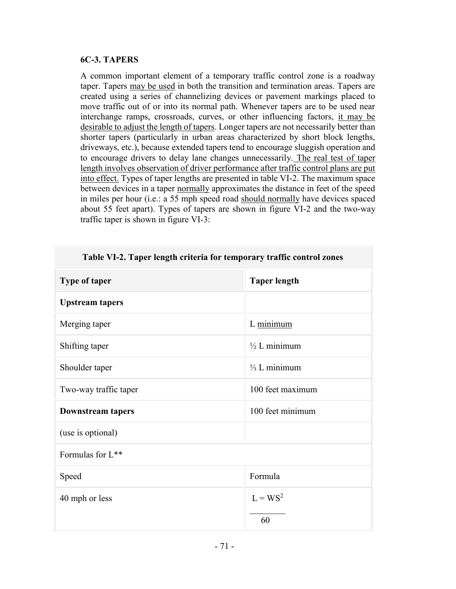# **6C-3. TAPERS**

A common important element of a temporary traffic control zone is a roadway taper. Tapers may be used in both the transition and termination areas. Tapers are created using a series of channelizing devices or pavement markings placed to move traffic out of or into its normal path. Whenever tapers are to be used near interchange ramps, crossroads, curves, or other influencing factors, it may be desirable to adjust the length of tapers. Longer tapers are not necessarily better than shorter tapers (particularly in urban areas characterized by short block lengths, driveways, etc.), because extended tapers tend to encourage sluggish operation and to encourage drivers to delay lane changes unnecessarily. The real test of taper length involves observation of driver performance after traffic control plans are put into effect. Types of taper lengths are presented in table VI-2. The maximum space between devices in a taper normally approximates the distance in feet of the speed in miles per hour (i.e.: a 55 mph speed road should normally have devices spaced about 55 feet apart). Types of tapers are shown in figure VI-2 and the two-way traffic taper is shown in figure VI-3:

| Tuble +1 2. Tuper length errettu for temporary truttle control zones |                         |
|----------------------------------------------------------------------|-------------------------|
| Type of taper                                                        | <b>Taper length</b>     |
| <b>Upstream tapers</b>                                               |                         |
| Merging taper                                                        | L minimum               |
| Shifting taper                                                       | $\frac{1}{2}$ L minimum |
| Shoulder taper                                                       | $\frac{1}{3}$ L minimum |
| Two-way traffic taper                                                | 100 feet maximum        |
| <b>Downstream tapers</b>                                             | 100 feet minimum        |
| (use is optional)                                                    |                         |
| Formulas for L**                                                     |                         |
| Speed                                                                | Formula                 |
| 40 mph or less                                                       | $L = WS^2$              |
|                                                                      | 60                      |

# **Table VI-2. Taper length criteria for temporary traffic control zones**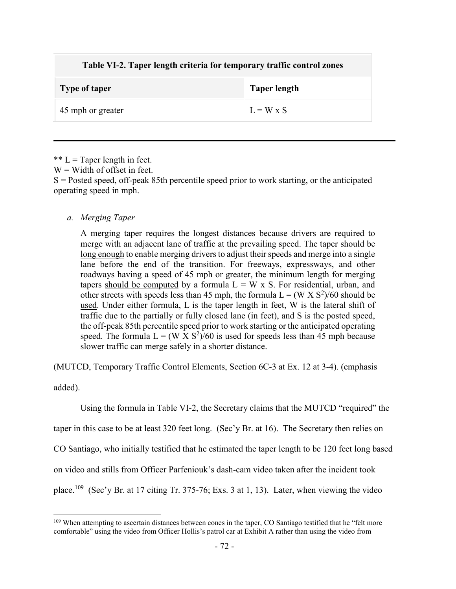| Table VI-2. Taper length criteria for temporary traffic control zones |                     |
|-----------------------------------------------------------------------|---------------------|
| <b>Type of taper</b>                                                  | <b>Taper length</b> |
| 45 mph or greater                                                     | $L = W \times S$    |

\*\*  $L =$  Taper length in feet.  $W =$  Width of offset in feet.

S = Posted speed, off-peak 85th percentile speed prior to work starting, or the anticipated operating speed in mph.

## *a. Merging Taper*

A merging taper requires the longest distances because drivers are required to merge with an adjacent lane of traffic at the prevailing speed. The taper should be long enough to enable merging drivers to adjust their speeds and merge into a single lane before the end of the transition. For freeways, expressways, and other roadways having a speed of 45 mph or greater, the minimum length for merging tapers should be computed by a formula  $L = W \times S$ . For residential, urban, and other streets with speeds less than 45 mph, the formula  $L = (W \times S^2)/60$  should be used. Under either formula, L is the taper length in feet, W is the lateral shift of traffic due to the partially or fully closed lane (in feet), and S is the posted speed, the off-peak 85th percentile speed prior to work starting or the anticipated operating speed. The formula  $L = (W \times S^2)/60$  is used for speeds less than 45 mph because slower traffic can merge safely in a shorter distance.

(MUTCD, Temporary Traffic Control Elements, Section 6C-3 at Ex. 12 at 3-4). (emphasis

added).

Using the formula in Table VI-2, the Secretary claims that the MUTCD "required" the

taper in this case to be at least 320 feet long. (Sec'y Br. at 16). The Secretary then relies on

CO Santiago, who initially testified that he estimated the taper length to be 120 feet long based

on video and stills from Officer Parfeniouk's dash-cam video taken after the incident took

place.<sup>109</sup> (Sec'y Br. at 17 citing Tr. 375-76; Exs. 3 at 1, 13). Later, when viewing the video

 $\overline{a}$ <sup>109</sup> When attempting to ascertain distances between cones in the taper, CO Santiago testified that he "felt more comfortable" using the video from Officer Hollis's patrol car at Exhibit A rather than using the video from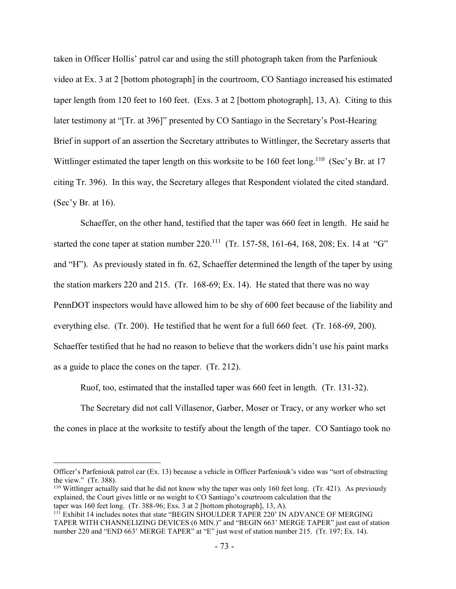taken in Officer Hollis' patrol car and using the still photograph taken from the Parfeniouk video at Ex. 3 at 2 [bottom photograph] in the courtroom, CO Santiago increased his estimated taper length from 120 feet to 160 feet. (Exs. 3 at 2 [bottom photograph], 13, A). Citing to this later testimony at "[Tr. at 396]" presented by CO Santiago in the Secretary's Post-Hearing Brief in support of an assertion the Secretary attributes to Wittlinger, the Secretary asserts that Wittlinger estimated the taper length on this worksite to be 160 feet long.<sup>110</sup> (Sec'y Br. at 17 citing Tr. 396). In this way, the Secretary alleges that Respondent violated the cited standard. (Sec'y Br. at  $16$ ).

Schaeffer, on the other hand, testified that the taper was 660 feet in length. He said he started the cone taper at station number  $220^{111}$  (Tr. 157-58, 161-64, 168, 208; Ex. 14 at "G" and "H"). As previously stated in fn. 62, Schaeffer determined the length of the taper by using the station markers 220 and 215. (Tr. 168-69; Ex. 14). He stated that there was no way PennDOT inspectors would have allowed him to be shy of 600 feet because of the liability and everything else. (Tr. 200). He testified that he went for a full 660 feet. (Tr. 168-69, 200). Schaeffer testified that he had no reason to believe that the workers didn't use his paint marks as a guide to place the cones on the taper. (Tr. 212).

Ruof, too, estimated that the installed taper was 660 feet in length. (Tr. 131-32).

The Secretary did not call Villasenor, Garber, Moser or Tracy, or any worker who set the cones in place at the worksite to testify about the length of the taper. CO Santiago took no

 $\overline{a}$ 

Officer's Parfeniouk patrol car (Ex. 13) because a vehicle in Officer Parfeniouk's video was "sort of obstructing the view." (Tr. 388).

<sup>&</sup>lt;sup>110</sup> Wittlinger actually said that he did not know why the taper was only 160 feet long. (Tr. 421). As previously explained, the Court gives little or no weight to CO Santiago's courtroom calculation that the taper was 160 feet long. (Tr. 388-96; Exs. 3 at 2 [bottom photograph], 13, A).

<sup>&</sup>lt;sup>111</sup> Exhibit 14 includes notes that state "BEGIN SHOULDER TAPER 220' IN ADVANCE OF MERGING TAPER WITH CHANNELIZING DEVICES (6 MIN.)" and "BEGIN 663' MERGE TAPER" just east of station number 220 and "END 663' MERGE TAPER" at "E" just west of station number 215. (Tr. 197; Ex. 14).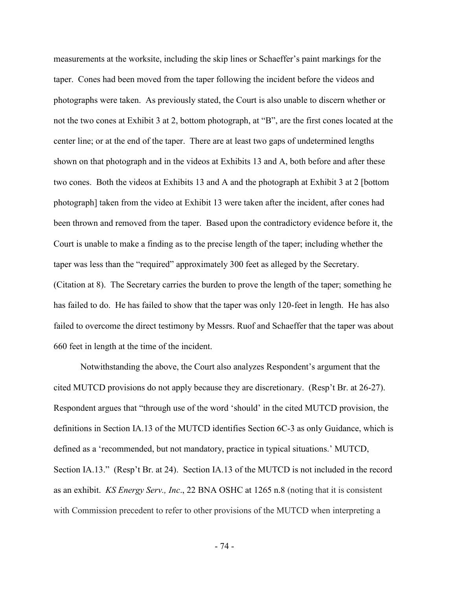measurements at the worksite, including the skip lines or Schaeffer's paint markings for the taper. Cones had been moved from the taper following the incident before the videos and photographs were taken. As previously stated, the Court is also unable to discern whether or not the two cones at Exhibit 3 at 2, bottom photograph, at "B", are the first cones located at the center line; or at the end of the taper. There are at least two gaps of undetermined lengths shown on that photograph and in the videos at Exhibits 13 and A, both before and after these two cones. Both the videos at Exhibits 13 and A and the photograph at Exhibit 3 at 2 [bottom photograph] taken from the video at Exhibit 13 were taken after the incident, after cones had been thrown and removed from the taper. Based upon the contradictory evidence before it, the Court is unable to make a finding as to the precise length of the taper; including whether the taper was less than the "required" approximately 300 feet as alleged by the Secretary. (Citation at 8). The Secretary carries the burden to prove the length of the taper; something he has failed to do. He has failed to show that the taper was only 120-feet in length. He has also failed to overcome the direct testimony by Messrs. Ruof and Schaeffer that the taper was about 660 feet in length at the time of the incident.

Notwithstanding the above, the Court also analyzes Respondent's argument that the cited MUTCD provisions do not apply because they are discretionary. (Resp't Br. at 26-27). Respondent argues that "through use of the word 'should' in the cited MUTCD provision, the definitions in Section IA.13 of the MUTCD identifies Section 6C-3 as only Guidance, which is defined as a 'recommended, but not mandatory, practice in typical situations.' MUTCD, Section IA.13." (Resp't Br. at 24). Section IA.13 of the MUTCD is not included in the record as an exhibit. *KS Energy Serv., Inc*., 22 BNA OSHC at 1265 n.8 (noting that it is consistent with Commission precedent to refer to other provisions of the MUTCD when interpreting a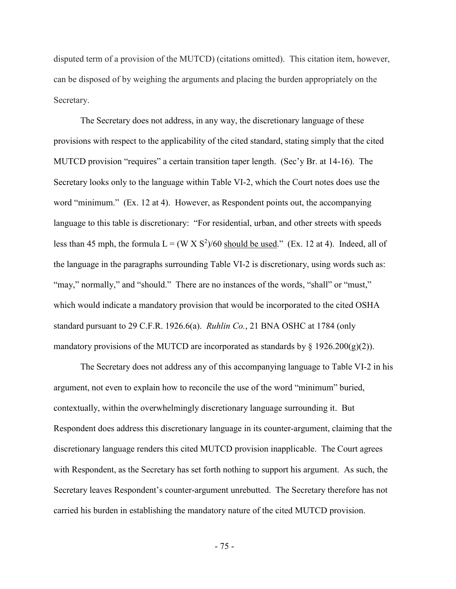disputed term of a provision of the MUTCD) (citations omitted). This citation item, however, can be disposed of by weighing the arguments and placing the burden appropriately on the Secretary.

The Secretary does not address, in any way, the discretionary language of these provisions with respect to the applicability of the cited standard, stating simply that the cited MUTCD provision "requires" a certain transition taper length. (Sec'y Br. at 14-16). The Secretary looks only to the language within Table VI-2, which the Court notes does use the word "minimum." (Ex. 12 at 4). However, as Respondent points out, the accompanying language to this table is discretionary: "For residential, urban, and other streets with speeds less than 45 mph, the formula  $L = (W \times S^2)/60$  should be used." (Ex. 12 at 4). Indeed, all of the language in the paragraphs surrounding Table VI-2 is discretionary, using words such as: "may," normally," and "should." There are no instances of the words, "shall" or "must," which would indicate a mandatory provision that would be incorporated to the cited OSHA standard pursuant to 29 C.F.R. 1926.6(a). *Ruhlin Co.*, 21 BNA OSHC at 1784 (only mandatory provisions of the MUTCD are incorporated as standards by  $\S$  1926.200(g)(2)).

The Secretary does not address any of this accompanying language to Table VI-2 in his argument, not even to explain how to reconcile the use of the word "minimum" buried, contextually, within the overwhelmingly discretionary language surrounding it. But Respondent does address this discretionary language in its counter-argument, claiming that the discretionary language renders this cited MUTCD provision inapplicable. The Court agrees with Respondent, as the Secretary has set forth nothing to support his argument. As such, the Secretary leaves Respondent's counter-argument unrebutted. The Secretary therefore has not carried his burden in establishing the mandatory nature of the cited MUTCD provision.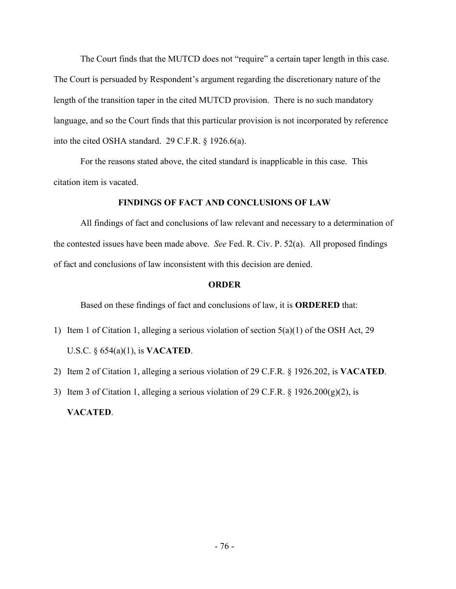The Court finds that the MUTCD does not "require" a certain taper length in this case. The Court is persuaded by Respondent's argument regarding the discretionary nature of the length of the transition taper in the cited MUTCD provision. There is no such mandatory language, and so the Court finds that this particular provision is not incorporated by reference into the cited OSHA standard. 29 C.F.R. § 1926.6(a).

For the reasons stated above, the cited standard is inapplicable in this case. This citation item is vacated.

## **FINDINGS OF FACT AND CONCLUSIONS OF LAW**

All findings of fact and conclusions of law relevant and necessary to a determination of the contested issues have been made above. *See* Fed. R. Civ. P. 52(a). All proposed findings of fact and conclusions of law inconsistent with this decision are denied.

## **ORDER**

Based on these findings of fact and conclusions of law, it is **ORDERED** that:

- 1) Item 1 of Citation 1, alleging a serious violation of section 5(a)(1) of the OSH Act, 29 U.S.C. § 654(a)(1), is **VACATED**.
- 2) Item 2 of Citation 1, alleging a serious violation of 29 C.F.R. § 1926.202, is **VACATED**.
- 3) Item 3 of Citation 1, alleging a serious violation of 29 C.F.R.  $\S$  1926.200(g)(2), is

**VACATED**.